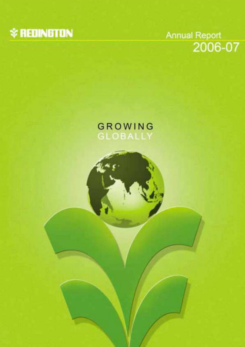

Annual Report<br>2006-07

# GROWING **GLOBALLY**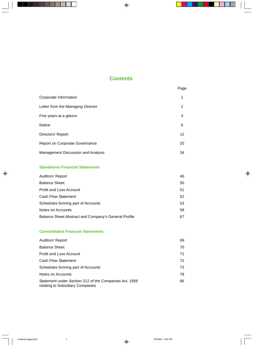# **Contents**

|                                       | Page |
|---------------------------------------|------|
| Corporate Information                 | 1    |
| Letter from the Managing Director     | 2    |
| Five years at a glance                | 4    |
| <b>Notice</b>                         | 6    |
| Directors' Report                     | 12   |
| <b>Report on Corporate Governance</b> | 20   |
| Management Discussion and Analysis    | 34   |

# **Standalone Financial Statements**

| Auditors' Report                                     | 46 |
|------------------------------------------------------|----|
| <b>Balance Sheet</b>                                 | 50 |
| <b>Profit and Loss Account</b>                       | 51 |
| <b>Cash Flow Statement</b>                           | 52 |
| Schedules forming part of Accounts                   | 53 |
| Notes on Accounts.                                   | 58 |
| Balance Sheet Abstract and Company's General Profile | 67 |

# **Consolidated Financial Statements**

| Auditors' Report                                                                           | 69 |
|--------------------------------------------------------------------------------------------|----|
| <b>Balance Sheet</b>                                                                       | 70 |
| <b>Profit and Loss Account</b>                                                             | 71 |
| <b>Cash Flow Statement</b>                                                                 | 72 |
| Schedules forming part of Accounts                                                         | 73 |
| Notes on Accounts                                                                          | 78 |
| Statement under Section 212 of the Companies Act, 1956<br>relating to Subsidiary Companies | 86 |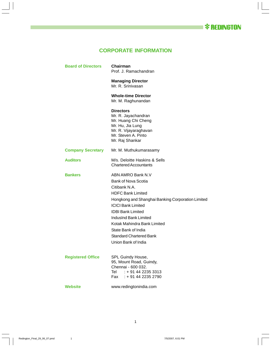# **CORPORATE INFORMATION**

| <b>Board of Directors</b> | Chairman<br>Prof. J. Ramachandran                                                                                                                                                                                                                                                                                                           |
|---------------------------|---------------------------------------------------------------------------------------------------------------------------------------------------------------------------------------------------------------------------------------------------------------------------------------------------------------------------------------------|
|                           | <b>Managing Director</b><br>Mr. R. Srinivasan                                                                                                                                                                                                                                                                                               |
|                           | <b>Whole-time Director</b><br>Mr. M. Raghunandan                                                                                                                                                                                                                                                                                            |
|                           | <b>Directors</b><br>Mr. R. Jayachandran<br>Mr. Huang Chi Cheng<br>Mr. Hu, Jia Lung<br>Mr. R. Vijayaraghavan<br>Mr. Steven A. Pinto<br>Mr. Raj Shankar                                                                                                                                                                                       |
| <b>Company Secretary</b>  | Mr. M. Muthukumarasamy                                                                                                                                                                                                                                                                                                                      |
| <b>Auditors</b>           | M/s. Deloitte Haskins & Sells<br><b>Chartered Accountants</b>                                                                                                                                                                                                                                                                               |
| <b>Bankers</b>            | ABN AMRO Bank N.V<br>Bank of Nova Scotia<br>Citibank N.A.<br><b>HDFC Bank Limited</b><br>Hongkong and Shanghai Banking Corporation Limited<br><b>ICICI Bank Limited</b><br><b>IDBI Bank Limited</b><br>IndusInd Bank Limited<br>Kotak Mahindra Bank Limited<br>State Bank of India<br><b>Standard Chartered Bank</b><br>Union Bank of India |
| <b>Registered Office</b>  | SPL Guindy House,<br>95, Mount Road, Guindy,<br>Chennai - 600 032.<br>Tel : + 91 44 2235 3313<br>Fax : + 91 44 2235 2790                                                                                                                                                                                                                    |
| <b>Website</b>            | www.redingtonindia.com                                                                                                                                                                                                                                                                                                                      |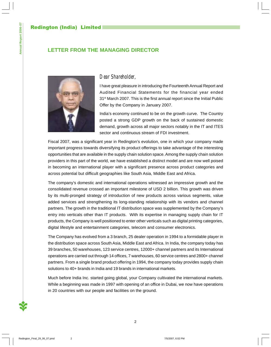# **LETTER FROM THE MANAGING DIRECTOR**



# *Dear Shareholder,*

I have great pleasure in introducing the Fourteenth Annual Report and Audited Financial Statements for the financial year ended 31<sup>st</sup> March 2007. This is the first annual report since the Initial Public Offer by the Company in January 2007.

India's economy continued to be on the growth curve. The Country posted a strong GDP growth on the back of sustained domestic demand, growth across all major sectors notably in the IT and ITES sector and continuous stream of FDI investment.

Fiscal 2007, was a significant year in Redington's evolution, one in which your company made important progress towards diversifying its product offerings to take advantage of the interesting opportunities that are available in the supply chain solution space. Among the supply chain solution providers in this part of the world, we have established a distinct model and are now well poised in becoming an international player with a significant presence across product categories and across potential but difficult geographies like South Asia, Middle East and Africa.

The company's domestic and international operations witnessed an impressive growth and the consolidated revenue crossed an important milestone of USD 2 billion. This growth was driven by its multi-pronged strategy of introduction of new products across various segments, value added services and strengthening its long-standing relationship with its vendors and channel partners. The growth in the traditional IT distribution space was supplemented by the Company's entry into verticals other than IT products. With its expertise in managing supply chain for IT products, the Company is well positioned to enter other verticals such as digital printing categories, digital lifestyle and entertainment categories, telecom and consumer electronics.

The Company has evolved from a 3 branch, 25 dealer operation in 1994 to a formidable player in the distribution space across South Asia, Middle East and Africa. In India, the company today has 39 branches, 50 warehouses, 123 service centres, 12000+ channel partners and its International operations are carried out through 14 offices, 7 warehouses, 60 service centres and 2800+ channel partners. From a single brand product offering in 1994, the company today provides supply chain solutions to 40+ brands in India and 19 brands in international markets.

Much before India Inc. started going global, your Company cultivated the international markets. While a beginning was made in 1997 with opening of an office in Dubai, we now have operations in 20 countries with our people and facilities on the ground.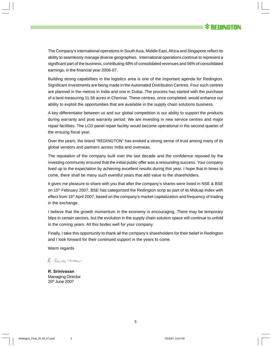

The Company's international operations in South Asia, Middle East, Africa and Singapore reflect its ability to seamlessly manage diverse geographies. International operations continue to represent a significant part of the business, contributing 48% of consolidated revenues and 56% of consolidated earnings, in the financial year 2006-07.

Building strong capabilities in the logistics area is one of the important agenda for Redington. Significant investments are being made in the Automated Distribution Centres. Four such centres are planned in the metros in India and one in Dubai. The process has started with the purchase of a land measuring 11.56 acres in Chennai. These centres, once completed, would enhance our ability to exploit the opportunities that are available in the supply chain solutions business.

A key differentiator between us and our global competition is our ability to support the products during warranty and post warranty period. We are investing in new service centres and major repair facilities. The LCD panel repair facility would become operational in the second quarter of the ensuing fiscal year.

Over the years, the brand "REDINGTON" has evoked a strong sense of trust among many of its global vendors and partners across India and overseas.

The reputation of the company built over the last decade and the confidence reposed by the investing community ensured that the initial public offer was a resounding success. Your company lived up to the expectation by achieving excellent results during this year. I hope that in times to come, there shall be many such eventful years that add value to the shareholders.

It gives me pleasure to share with you that after the company's shares were listed in NSE & BSE on  $15<sup>th</sup>$  February 2007, BSE has categorized the Redington scrip as part of its Midcap Index with effect from 16<sup>th</sup> April 2007, based on the company's market capitalization and frequency of trading in the exchange.

I believe that the growth momentum in the economy is encouraging. There may be temporary blips in certain sectors, but the evolution in the supply chain solution space will continue to unfold in the coming years. All this bodes well for your company.

Finally, I take this opportunity to thank all the company's shareholders for their belief in Redington and I look forward for their continued support in the years to come.

Warm regards

R. Sninram

**R. Srinivasan** Managing Director 20th June 2007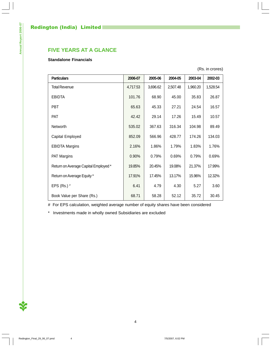# **FIVE YEARS AT A GLANCE**

# **Standalone Financials**

(Rs. in crores)

| <b>Particulars</b>                  | 2006-07  | 2005-06  | 2004-05  | 2003-04  | 2002-03  |
|-------------------------------------|----------|----------|----------|----------|----------|
| <b>Total Revenue</b>                | 4,717.53 | 3,696.62 | 2,507.48 | 1,960.20 | 1,528.54 |
| <b>EBIDTA</b>                       | 101.76   | 68.90    | 45.00    | 35.83    | 26.87    |
| PBT                                 | 65.63    | 45.33    | 27.21    | 24.54    | 16.57    |
| <b>PAT</b>                          | 42.42    | 29.14    | 17.26    | 15.49    | 10.57    |
| Networth                            | 535.02   | 367.63   | 316.34   | 104.98   | 89.49    |
| Capital Employed                    | 852.09   | 566.96   | 428.77   | 174.26   | 134.03   |
| <b>EBIDTA Margins</b>               | 2.16%    | 1.86%    | 1.79%    | 1.83%    | 1.76%    |
| PAT Margins                         | 0.90%    | 0.79%    | 0.69%    | 0.79%    | 0.69%    |
| Return on Average Capital Employed* | 19.85%   | 20.45%   | 19.08%   | 21.37%   | 17.99%   |
| Return on Average Equity*           | 17.91%   | 17.45%   | 13.17%   | 15.96%   | 12.32%   |
| EPS (Rs.) $#$                       | 6.41     | 4.79     | 4.30     | 5.27     | 3.60     |
| Book Value per Share (Rs.)          | 68.71    | 58.28    | 52.12    | 35.72    | 30.45    |

# For EPS calculation, weighted average number of equity shares have been considered

\* Investments made in wholly owned Subsidiaries are excluded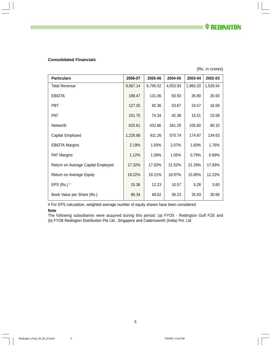*\* REDINGTON* 

# **Consolidated Financials**

(Rs. in crores)

| <b>Particulars</b>                 | 2006-07  | 2005-06  | 2004-05  | 2003-04  | 2002-03  |
|------------------------------------|----------|----------|----------|----------|----------|
| <b>Total Revenue</b>               | 9,067.14 | 6,795.52 | 4,053.93 | 1,960.20 | 1,528.54 |
| EBIDTA                             | 198.47   | 131.06   | 83.93    | 35.90    | 26.93    |
| <b>PBT</b>                         | 127.25   | 92.36    | 53.67    | 24.57    | 16.59    |
| <b>PAT</b>                         | 101.70   | 74.34    | 42.38    | 15.51    | 10.58    |
| Networth                           | 625.61   | 432.86   | 341.29   | 105.60   | 90.10    |
| Capital Employed                   | 1,226.88 | 911.26   | 570.74   | 174.87   | 134.63   |
| <b>EBIDTA Margins</b>              | 2.19%    | 1.93%    | 2.07%    | 1.83%    | 1.76%    |
| <b>PAT Margins</b>                 | 1.12%    | 1.09%    | 1.05%    | 0.79%    | 0.69%    |
| Return on Average Capital Employed | 17.32%   | 17.02%   | 21.52%   | 21.29%   | 17.93%   |
| Return on Average Equity           | 19.22%   | 19.21%   | 18.97%   | 15.85%   | 12.22%   |
| EPS (Rs.) $#$                      | 15.36    | 12.23    | 10.57    | 5.28     | 3.60     |
| Book Value per Share (Rs.)         | 80.34    | 68.62    | 56.23    | 35.93    | 30.66    |

# For EPS calculation, weighted average number of equity shares have been considered

#### **Note**

The following subsidiaries were acquired during this period: (a) FYO5 - Redington Gulf FZE and (b) FYO6 Redington Distribution Pte Ltd., Singapore and Cadensworth (India) Pvt. Ltd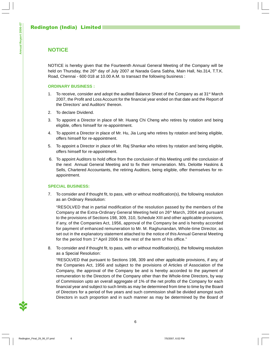# **NOTICE**

NOTICE is hereby given that the Fourteenth Annual General Meeting of the Company will be held on Thursday, the 26<sup>th</sup> day of July 2007 at Narada Gana Sabha, Main Hall, No.314, T.T.K. Road, Chennai - 600 018 at 10.00 A.M. to transact the following business :

# **ORDINARY BUSINESS :**

- 1. To receive, consider and adopt the audited Balance Sheet of the Company as at  $31<sup>st</sup>$  March 2007, the Profit and Loss Account for the financial year ended on that date and the Report of the Directors' and Auditors' thereon.
- 2. To declare Dividend.
- 3. To appoint a Director in place of Mr. Huang Chi Cheng who retires by rotation and being eligible, offers himself for re-appointment.
- 4. To appoint a Director in place of Mr. Hu, Jia Lung who retires by rotation and being eligible, offers himself for re-appointment.
- 5. To appoint a Director in place of Mr. Raj Shankar who retires by rotation and being eligible, offers himself for re-appointment.
- 6. To appoint Auditors to hold office from the conclusion of this Meeting until the conclusion of the next Annual General Meeting and to fix their remuneration. M/s. Deloitte Haskins & Sells, Chartered Accountants, the retiring Auditors, being eligible, offer themselves for reappointment.

# **SPECIAL BUSINESS:**

7. To consider and if thought fit, to pass, with or without modification(s), the following resolution as an Ordinary Resolution:

"RESOLVED that in partial modification of the resolution passed by the members of the Company at the Extra-Ordinary General Meeting held on 26<sup>th</sup> March, 2004 and pursuant to the provisions of Sections 198, 309, 310, Schedule XIII and other applicable provisions, if any, of the Companies Act, 1956, approval of the Company be and is hereby accorded for payment of enhanced remuneration to Mr. M. Raghunandan, Whole-time Director, as set out in the explanatory statement attached to the notice of this Annual General Meeting for the period from 1<sup>st</sup> April 2006 to the rest of the term of his office."

8. To consider and if thought fit, to pass, with or without modification(s), the following resolution as a Special Resolution:

"RESOLVED that pursuant to Sections 198, 309 and other applicable provisions, if any, of the Companies Act, 1956 and subject to the provisions of Articles of Association of the Company, the approval of the Company be and is hereby accorded to the payment of remuneration to the Directors of the Company other than the Whole-time Directors, by way of Commission upto an overall aggregate of 1% of the net profits of the Company for each financial year and subject to such limits as may be determined from time to time by the Board of Directors for a period of five years and such commission shall be divided amongst such Directors in such proportion and in such manner as may be determined by the Board of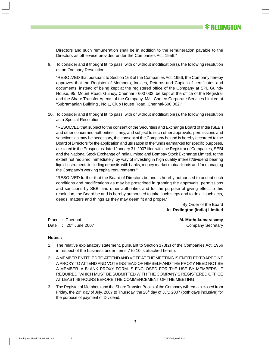

Directors and such remuneration shall be in addition to the remuneration payable to the Directors as otherwise provided under the Companies Act, 1956."

9. To consider and if thought fit, to pass, with or without modification(s), the following resolution as an Ordinary Resolution:

"RESOLVED that pursuant to Section 163 of the Companies Act, 1956, the Company hereby approves that the Register of Members, Indices, Returns and Copies of certificates and documents, instead of being kept at the registered office of the Company at SPL Guindy House, 95, Mount Road, Guindy, Chennai - 600 032, be kept at the office of the Registrar and the Share Transfer Agents of the Company, M/s. Cameo Corporate Services Limited at 'Subramanian Building', No.1, Club House Road, Chennai-600 002."

10. To consider and if thought fit, to pass, with or without modification(s), the following resolution as a Special Resolution:

"RESOLVED that subject to the consent of the Securities and Exchange Board of India (SEBI) and other concerned authorities, if any, and subject to such other approvals, permissions and sanctions as may be necessary, the consent of the Company be and is hereby accorded to the Board of Directors for the application and utilisation of the funds earmarked for specific purposes, as stated in the Prospectus dated January 31, 2007 filed with the Registrar of Companies, SEBI and the National Stock Exchange of India Limited and Bombay Stock Exchange Limited, to the extent not required immediately, by way of investing in high quality interest/dividend bearing liquid instruments including deposits with banks, money market mutual funds and for managing the Company's working capital requirements."

"RESOLVED further that the Board of Directors be and is hereby authorised to accept such conditions and modifications as may be prescribed in granting the approvals, permissions and sanctions by SEBI and other authorities and for the purpose of giving effect to this resolution, the Board be and is hereby authorised to take such steps and to do all such acts, deeds, matters and things as they may deem fit and proper."

> By Order of the Board for **Redington (India) Limited**

Place : Chennai **M. Muthukumarasamy**

Date : 20<sup>th</sup> June 2007 **Company Secretary** 

#### **Notes :**

- 1. The relative explanatory statement, pursuant to Section 173(2) of the Companies Act, 1956 in respect of the business under items 7 to 10 is attached hereto.
- 2. A MEMBER ENTITLED TO ATTEND AND VOTE AT THE MEETING IS ENTITLED TO APPOINT A PROXY TO ATTEND AND VOTE INSTEAD OF HIMSELF AND THE PROXY NEED NOT BE A MEMBER. A BLANK PROXY FORM IS ENCLOSED FOR THE USE BY MEMBERS, IF REQUIRED, WHICH MUST BE SUBMITTED WITH THE COMPANY'S REGISTERED OFFICE AT LEAST 48 HOURS BEFORE THE COMMENCEMENT OF THE MEETING.
- 3. The Register of Members and the Share Transfer Books of the Company will remain closed from Friday, the 20<sup>th</sup> day of July, 2007 to Thursday, the 26<sup>th</sup> day of July, 2007 (both days inclusive) for the purpose of payment of Dividend.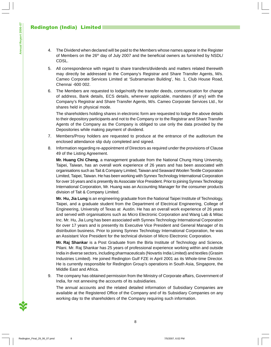- 4. The Dividend when declared will be paid to the Members whose names appear in the Register of Members on the  $26<sup>th</sup>$  day of July 2007 and the beneficial owners as furnished by NSDL/ CDSL.
- 5. All correspondence with regard to share transfers/dividends and matters related therewith may directly be addressed to the Company's Registrar and Share Transfer Agents, M/s. Cameo Corporate Services Limited at 'Subramanian Building', No. 1, Club House Road, Chennai -600 002.
- 6. The Members are requested to lodge/notify the transfer deeds, communication for change of address, Bank details, ECS details, wherever applicable, mandates (if any) with the Company's Registrar and Share Transfer Agents, M/s. Cameo Corporate Services Ltd., for shares held in physical mode.

The shareholders holding shares in electronic form are requested to lodge the above details to their depository participants and not to the Company or to the Registrar and Share Transfer Agents of the Company as the Company is obliged to use only the data provided by the Depositories while making payment of dividend.

- 7. Members/Proxy holders are requested to produce at the entrance of the auditorium the enclosed attendance slip duly completed and signed.
- 8. Information regarding re-appointment of Directors as required under the provisions of Clause 49 of the Listing Agreement.

**Mr. Huang Chi Cheng**, a management graduate from the National Chung Hsing University, Taipei, Taiwan, has an overall work experience of 26 years and has been associated with organisations such as Tait & Company Limited, Taiwan and Seaward Woolen Textile Corporation Limited, Taipei, Taiwan. He has been working with Synnex Technology International Corporation for over 16 years and is presently its Associate Vice President. Prior to joining Synnex Technology International Corporation, Mr. Huang was an Accounting Manager for the consumer products division of Tait & Company Limited.

**Mr. Hu, Jia Lung** is an engineering graduate from the National Taipei Institute of Technology, Taipei, and a graduate student from the Department of Electrical Engineering, College of Engineering, University of Texas at Austin. He has an overall work experience of 26 years and served with organisations such as Micro Electronic Corporation and Wang Lab & Mitac Inc. Mr. Hu, Jia Lung has been associated with Synnex Technology International Corporation for over 17 years and is presently its Executive Vice President and General Manager of its distribution business. Prior to joining Synnex Technology International Corporation, he was an Assistant Vice President for the technical division of Micro Electronic Corporation.

**Mr. Raj Shankar** is a Post Graduate from the Birla Institute of Technology and Science, Pilani. Mr. Raj Shankar has 25 years of professional experience working within and outside India in diverse sectors, including pharmaceuticals (Novartis India Limited) and textiles (Grasim Industries Limited). He joined Redington Gulf FZE in April 2001 as its Whole-time Director. He is currently responsible for Redington Group's operations in South Asia, Singapore, the Middle East and Africa.

9. The company has obtained permission from the Ministry of Corporate affairs, Government of India, for not annexing the accounts of its subsidiaries.

The annual accounts and the related detailed information of Subsidiary Companies are available at the Registered Office of the Company and of its Subsidiary Companies on any working day to the shareholders of the Company requiring such information.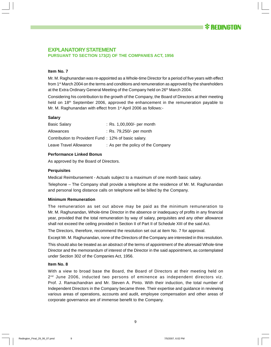# **EXPLANATORY STATEMENT PURSUANT TO SECTION 173(2) OF THE COMPANIES ACT, 1956**

# **Item No. 7**

Mr. M. Raghunandan was re-appointed as a Whole-time Director for a period of five years with effect from 1<sup>st</sup> March 2004 on the terms and conditions and remuneration as approved by the shareholders at the Extra Ordinary General Meeting of the Company held on  $26<sup>th</sup>$  March 2004.

Considering his contribution to the growth of the Company, the Board of Directors at their meeting held on 18<sup>th</sup> September 2006, approved the enhancement in the remuneration payable to Mr. M. Raghunandan with effect from 1<sup>st</sup> April 2006 as follows:-

#### **Salary**

| <b>Basic Salary</b>                                  | : Rs. 1,00,000/- per month         |
|------------------------------------------------------|------------------------------------|
| Allowances                                           | $:$ Rs. 79,250/- per month         |
| Contribution to Provident Fund: 12% of basic salary. |                                    |
| Leave Travel Allowance                               | : As per the policy of the Company |

# **Performance Linked Bonus**

As approved by the Board of Directors.

#### **Perquisites**

Medical Reimbursement - Actuals subject to a maximum of one month basic salary.

Telephone – The Company shall provide a telephone at the residence of Mr. M. Raghunandan and personal long distance calls on telephone will be billed by the Company.

# **Minimum Remuneration**

The remuneration as set out above may be paid as the minimum remuneration to Mr. M. Raghunandan, Whole-time Director in the absence or inadequacy of profits in any financial year, provided that the total remuneration by way of salary, perquisites and any other allowance shall not exceed the ceiling provided in Section II of Part II of Schedule XIII of the said Act.

The Directors, therefore, recommend the resolution set out at item No. 7 for approval.

Except Mr. M. Raghunandan, none of the Directors of the Company are interested in this resolution.

This should also be treated as an abstract of the terms of appointment of the aforesaid Whole-time Director and the memorandum of interest of the Director in the said appointment, as contemplated under Section 302 of the Companies Act, 1956.

#### **Item No. 8**

With a view to broad base the Board, the Board of Directors at their meeting held on  $2<sup>nd</sup>$  June 2006, inducted two persons of eminence as independent directors viz. Prof. J. Ramachandran and Mr. Steven A. Pinto. With their induction, the total number of Independent Directors in the Company became three. Their expertise and guidance in reviewing various areas of operations, accounts and audit, employee compensation and other areas of corporate governance are of immense benefit to the Company.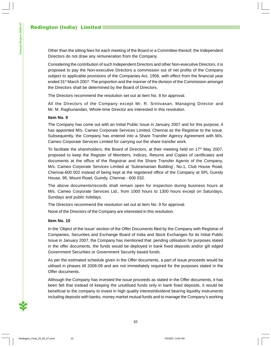Other than the sitting fees for each meeting of the Board or a Committee thereof, the Independent Directors do not draw any remuneration from the Company.

Considering the contribution of such Independent Directors and other Non-executive Directors, it is proposed to pay the Non-executive Directors a commission out of net profits of the Company subject to applicable provisions of the Companies Act, 1956, with effect from the financial year ended 31<sup>st</sup> March 2007. The proportion and the manner of the division of the Commission amongst the Directors shall be determined by the Board of Directors.

The Directors recommend the resolution set out at item No. 8 for approval.

All the Directors of the Company except Mr. R. Srinivasan, Managing Director and Mr. M. Raghunandan, Whole-time Director are interested in this resolution.

# **Item No. 9**

The Company has come out with an Initial Public Issue in January 2007 and for this purpose, it has appointed M/s. Cameo Corporate Services Limited, Chennai as the Registrar to the Issue. Subsequently, the Company has entered into a Share Transfer Agency Agreement with M/s. Cameo Corporate Services Limited for carrying out the share transfer work.

To facilitate the shareholders, the Board of Directors, at their meeting held on  $17<sup>th</sup>$  May 2007, proposed to keep the Register of Members, Indices, Returns and Copies of certificates and documents at the office of the Registrar and the Share Transfer Agents of the Company, M/s. Cameo Corporate Services Limited at 'Subramanian Building', No.1, Club House Road, Chennai-600 002 instead of being kept at the registered office of the Company at SPL Guindy House, 95, Mount Road, Guindy, Chennai - 600 032.

The above documents/records shall remain open for inspection during business hours at M/s. Cameo Corporate Services Ltd., from 1000 hours to 1300 hours except on Saturdays, Sundays and public holidays.

The Directors recommend the resolution set out at item No. 9 for approval.

None of the Directors of the Company are interested in this resolution.

# **Item No. 10**

In the 'Object of the Issue' section of the Offer Documents filed by the Company with Registrar of Companies, Securities and Exchange Board of India and Stock Exchanges for its Initial Public Issue in January 2007, the Company has mentioned that pending utilisation for purposes stated in the offer documents, the funds would be deployed in bank fixed deposits and/or gilt edged Government Securities or Government Security based funds.

As per the estimated schedule given in the Offer documents, a part of issue proceeds would be utilised in phases till 2008-09 and are not immediately required for the purposes stated in the Offer documents.

Although the Company has invested the issue proceeds as stated in the Offer documents, it has been felt that instead of keeping the unutilised funds only in bank fixed deposits, it would be beneficial to the company to invest in high quality interest/dividend bearing liquidity instruments including deposits with banks, money market mutual funds and to manage the Company's working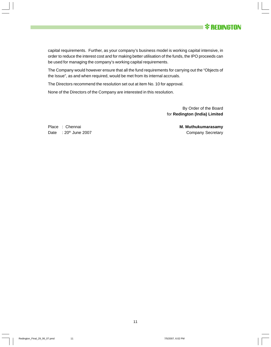

capital requirements. Further, as your company's business model is working capital intensive, in order to reduce the interest cost and for making better utilisation of the funds, the IPO proceeds can be used for managing the company's working capital requirements.

The Company would however ensure that all the fund requirements for carrying out the "Objects of the Issue", as and when required, would be met from its internal accruals.

The Directors recommend the resolution set out at item No. 10 for approval.

None of the Directors of the Company are interested in this resolution.

By Order of the Board for **Redington (India) Limited**

Place : Chennai **M. Muthukumarasamy** Date : 20<sup>th</sup> June 2007 **Company Secretary**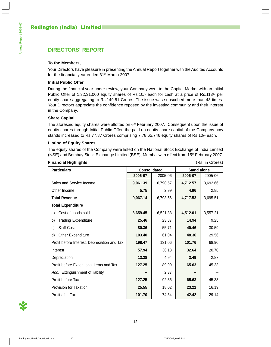# **DIRECTORS' REPORT**

# **To the Members,**

Your Directors have pleasure in presenting the Annual Report together with the Audited Accounts for the financial year ended 31<sup>st</sup> March 2007.

# **Initial Public Offer**

During the financial year under review, your Company went to the Capital Market with an Initial Public Offer of 1,32,31,000 equity shares of Rs.10/- each for cash at a price of Rs.113/- per equity share aggregating to Rs.149.51 Crores. The issue was subscribed more than 43 times. Your Directors appreciate the confidence reposed by the investing community and their interest in the Company.

# **Share Capital**

The aforesaid equity shares were allotted on  $6<sup>th</sup>$  February 2007. Consequent upon the issue of equity shares through Initial Public Offer, the paid up equity share capital of the Company now stands increased to Rs.77.87 Crores comprising 7,78,65,746 equity shares of Rs.10/- each.

# **Listing of Equity Shares**

The equity shares of the Company were listed on the National Stock Exchange of India Limited (NSE) and Bombay Stock Exchange Limited (BSE), Mumbai with effect from 15<sup>th</sup> February 2007.

# **Financial Highlights** (Rs. in Crores)

| <b>Particulars</b>                           | <b>Consolidated</b> |          | <b>Stand alone</b> |          |  |
|----------------------------------------------|---------------------|----------|--------------------|----------|--|
|                                              | 2006-07             | 2005-06  | 2006-07            | 2005-06  |  |
| Sales and Service Income                     | 9,061.39            | 6,790.57 | 4,712.57           | 3,692.66 |  |
| Other Income                                 | 5.75                | 2.99     | 4.96               | 2.85     |  |
| <b>Total Revenue</b>                         | 9,067.14            | 6,793.56 | 4,717.53           | 3,695.51 |  |
| <b>Total Expenditure</b>                     |                     |          |                    |          |  |
| Cost of goods sold<br>a)                     | 8,659.45            | 6,521.88 | 4,512.01           | 3,557.21 |  |
| <b>Trading Expenditure</b><br>b)             | 25.46               | 23.87    | 14.94              | 9.25     |  |
| <b>Staff Cost</b><br>C)                      | 80.36               | 55.71    | 40.46              | 30.59    |  |
| d)<br>Other Expenditure                      | 103.40              | 61.04    | 48.36              | 29.56    |  |
| Profit before Interest, Depreciation and Tax | 198.47              | 131.06   | 101.76             | 68.90    |  |
| Interest                                     | 57.94               | 36.13    | 32.64              | 20.70    |  |
| Depreciation                                 | 13.28               | 4.94     | 3.49               | 2.87     |  |
| Profit before Exceptional Items and Tax      | 127.25              | 89.99    | 65.63              | 45.33    |  |
| Add: Extinguishment of liability             |                     | 2.37     |                    |          |  |
| Profit before Tax                            | 127.25              | 92.36    | 65.63              | 45.33    |  |
| Provision for Taxation                       | 25.55               | 18.02    | 23.21              | 16.19    |  |
| <b>Profit after Tax</b>                      | 101.70              | 74.34    | 42.42              | 29.14    |  |

Annual Report 2006-07 **Annual Report 2006-07**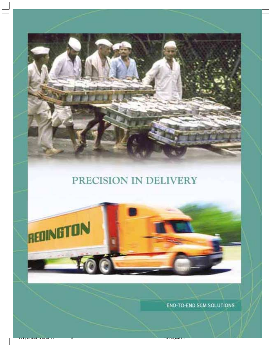# PRECISION IN DELIVERY



**END-TO-END SCM SOLUTIONS**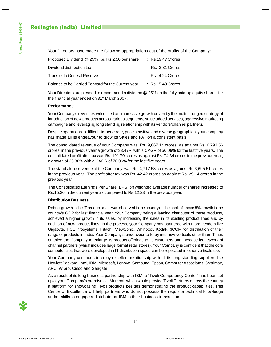Your Directors have made the following appropriations out of the profits of the Company:-

| Proposed Dividend @ 25% i.e. Rs.2.50 per share     | $:$ Rs.19.47 Crores |
|----------------------------------------------------|---------------------|
| Dividend distribution tax                          | $:$ Rs. 3.31 Crores |
| Transfer to General Reserve                        | $:$ Rs. 4.24 Crores |
| Balance to be Carried Forward for the Current year | $:$ Rs.15.40 Crores |

Your Directors are pleased to recommend a dividend @ 25% on the fully paid-up equity shares for the financial year ended on 31<sup>st</sup> March 2007.

# **Performance**

Your Company's revenues witnessed an impressive growth driven by the multi- pronged strategy of introduction of new products across various segments, value added services, aggressive marketing campaigns and leveraging long standing relationship with its vendors/channel partners.

Despite operations in difficult-to-penetrate, price sensitive and diverse geographies, your company has made all its endeavour to grow its Sales and PAT on a consistent basis.

The consolidated revenue of your Company was Rs. 9,067.14 crores as against Rs. 6,793.56 crores in the previous year a growth of 33.47% with a CAGR of 56.06% for the last five years. The consolidated profit after tax was Rs. 101.70 crores as against Rs. 74.34 crores in the previous year, a growth of 36.80% with a CAGR of 76.06% for the last five years.

The stand alone revenue of the Company was Rs. 4,717.53 crores as against Rs.3,695.51 crores in the previous year. The profit after tax was Rs. 42.42 crores as against Rs. 29.14 crores in the previous year.

The Consolidated Earnings Per Share (EPS) on weighted average number of shares increased to Rs.15.36 in the current year as compared to Rs.12.23 in the previous year.

# **Distribution Business**

Robust growth in the IT products sale was observed in the country on the back of above 8% growth in the country's GDP for last financial year. Your Company being a leading distributor of these products, achieved a higher growth in its sales, by increasing the sales in its existing product lines and by addition of new product lines. In the process, your Company has partnered with more vendors like Gigabyte, HCL Infosystems, Hitachi, ViewSonic, Whirlpool, Kodak, 3COM for distribution of their range of products in India. Your Company's endeavour to foray into new verticals other than IT, has enabled the Company to enlarge its product offerings to its customers and increase its network of channel partners (which includes large format retail stores). Your Company is confident that the core competencies that were developed in IT distribution space can be replicated in other verticals too.

Your Company continues to enjoy excellent relationship with all its long standing suppliers like Hewlett Packard, Intel, IBM, Microsoft, Lenovo, Samsung, Epson, Computer Associates, Systimax, APC, Wipro, Cisco and Seagate.

As a result of its long business partnership with IBM, a "Tivoli Competency Center" has been set up at your Company's premises at Mumbai, which would provide Tivoli Partners across the country a platform for showcasing Tivoli products besides demonstrating the product capabilities. This Centre of Excellence will help partners who do not possess the requisite technical knowledge and/or skills to engage a distributor or IBM in their business transaction.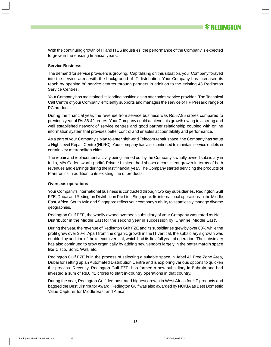With the continuing growth of IT and ITES industries, the performance of the Company is expected to grow in the ensuing financial years.

#### **Service Business**

The demand for service providers is growing. Capitalising on this situation, your Company forayed into the service arena with the background of IT distribution. Your Company has increased its reach by opening 80 service centres through partners in addition to the existing 43 Redington Service Centres.

Your Company has maintained its leading position as an after sales service provider. The Technical Call Centre of your Company, efficiently supports and manages the service of HP Presario range of PC products.

During the financial year, the revenue from service business was Rs.57.95 crores compared to previous year of Rs.38.42 crores. Your Company could achieve this growth owing to a strong and well established network of service centres and good partner relationship coupled with online information system that provides better control and enables accountability and performance.

As a part of your Company's plan to enter high-end Telecom repair space, the Company has setup a High Level Repair Centre (HLRC). Your company has also continued to maintain service outlets in certain key metropolitan cities.

The repair and replacement activity being carried out by the Company's wholly owned subsidiary in India, M/s Cadensworth (India) Private Limited, had shown a consistent growth in terms of both revenues and earnings during the last financial year. The Company started servicing the products of Plantronics in addition to its existing line of products.

#### **Overseas operations**

Your Company's international business is conducted through two key subsidiaries, Redington Gulf FZE, Dubai and Redington Distribution Pte Ltd., Singapore. Its international operations in the Middle East, Africa, South Asia and Singapore reflect your company's ability to seamlessly manage diverse geographies.

Redington Gulf FZE, the wholly owned overseas subsidiary of your Company was rated as No.1 Distributor in the Middle East for the second year in succession by 'Channel Middle East'.

During the year, the revenue of Redington Gulf FZE and its subsidiaries grew by over 60% while the profit grew over 30%. Apart from the organic growth in the IT vertical, the subsidiary's growth was enabled by addition of the telecom vertical, which had its first full year of operation. The subsidiary has also continued to grow organically by adding new vendors largely in the better margin space like Cisco, Sonic Wall, etc.

Redington Gulf FZE is in the process of selecting a suitable space in Jebel Ali Free Zone Area, Dubai for setting up an Automated Distribution Centre and is exploring various options to quicken the process. Recently, Redington Gulf FZE, has formed a new subsidiary in Bahrain and had invested a sum of Rs.0.41 crores to start in-country operations in that country.

During the year, Redington Gulf demonstrated highest growth in West Africa for HP products and bagged the Best Distributor Award. Redington Gulf was also awarded by NOKIA as Best Domestic Value Capturer for Middle East and Africa.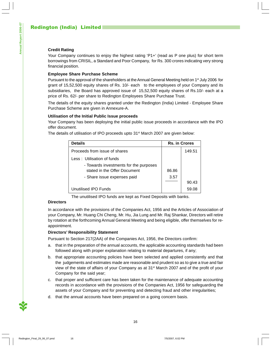# **Credit Rating**

Your Company continues to enjoy the highest rating 'P1+' (read as P one plus) for short term borrowings from CRISIL, a Standard and Poor Company, for Rs. 300 crores indicating very strong financial position.

# **Employee Share Purchase Scheme**

Pursuant to the approval of the shareholders at the Annual General Meeting held on 1<sup>st</sup> July 2006 for grant of 15,52,500 equity shares of Rs. 10/- each to the employees of your Company and its subsidiaries, the Board has approved issue of 15,52,500 equity shares of Rs.10/- each at a price of Rs. 62/- per share to Redington Employees Share Purchase Trust.

The details of the equity shares granted under the Redington (India) Limited - Employee Share Purchase Scheme are given in Annexure-A.

# **Utilisation of the Initial Public Issue proceeds**

Your Company has been deploying the initial public issue proceeds in accordance with the IPO offer document.

The details of utilisation of IPO proceeds upto  $31<sup>st</sup>$  March 2007 are given below:

| <b>Details</b><br><b>Rs. in Crores</b>                                 |       |        |
|------------------------------------------------------------------------|-------|--------|
| Proceeds from issue of shares                                          |       | 149.51 |
| Less: Utilisation of funds                                             |       |        |
| - Towards investments for the purposes<br>stated in the Offer Document | 86.86 |        |
| - Share issue expenses paid                                            | 3.57  |        |
|                                                                        |       | 90.43  |
| Unutilised IPO Funds                                                   |       | 59.08  |

The unutilised IPO funds are kept as Fixed Deposits with banks.

# **Directors**

In accordance with the provisions of the Companies Act, 1956 and the Articles of Association of your Company, Mr. Huang Chi Cheng, Mr. Hu, Jia Lung and Mr. Raj Shankar, Directors will retire by rotation at the forthcoming Annual General Meeting and being eligible, offer themselves for reappointment.

# **Directors' Responsibility Statement**

Pursuant to Section 217(2AA) of the Companies Act, 1956, the Directors confirm:

- a. that in the preparation of the annual accounts, the applicable accounting standards had been followed along with proper explanation relating to material departures, if any;
- b. that appropriate accounting policies have been selected and applied consistently and that the judgements and estimates made are reasonable and prudent so as to give a true and fair view of the state of affairs of your Company as at 31<sup>st</sup> March 2007 and of the profit of your Company for the said year;
- c. that proper and sufficient care has been taken for the maintenance of adequate accounting records in accordance with the provisions of the Companies Act, 1956 for safeguarding the assets of your Company and for preventing and detecting fraud and other irregularities;
- d. that the annual accounts have been prepared on a going concern basis.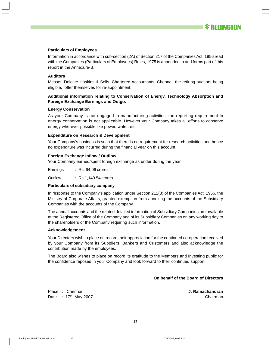

#### **Particulars of Employees**

Information in accordance with sub-section (2A) of Section 217 of the Companies Act, 1956 read with the Companies (Particulars of Employees) Rules, 1975 is appended to and forms part of this report in the Annexure-B.

#### **Auditors**

Messrs. Deloitte Haskins & Sells, Chartered Accountants, Chennai, the retiring auditors being eligible, offer themselves for re-appointment.

# **Additional information relating to Conservation of Energy, Technology Absorption and Foreign Exchange Earnings and Outgo.**

#### **Energy Conservation**

As your Company is not engaged in manufacturing activities, the reporting requirement in energy conservation is not applicable. However your Company takes all efforts to conserve energy wherever possible like power, water, etc.

#### **Expenditure on Research & Development**

Your Company's business is such that there is no requirement for research activities and hence no expenditure was incurred during the financial year on this account.

#### **Foreign Exchange Inflow / Outflow**

Your Company earned/spent foreign exchange as under during the year.

Earnings : Rs. 64.06 crores

Outflow : Rs.1,149.54 crores

#### **Particulars of subsidiary company**

In response to the Company's application under Section 212(8) of the Companies Act, 1956, the Ministry of Corporate Affairs, granted exemption from annexing the accounts of the Subsidiary Companies with the accounts of the Company.

The annual accounts and the related detailed information of Subsidiary Companies are available at the Registered Office of the Company and of its Subsidiary Companies on any working day to the shareholders of the Company requiring such information.

#### **Acknowledgement**

Your Directors wish to place on record their appreciation for the continued co-operation received by your Company from its Suppliers, Bankers and Customers and also acknowledge the contribution made by the employees.

The Board also wishes to place on record its gratitude to the Members and Investing public for the confidence reposed in your Company and look forward to their continued support.

# **On behalf of the Board of Directors**

Place : Chennai **J. Ramachandran** Date : 17<sup>th</sup> May 2007 **Chairman**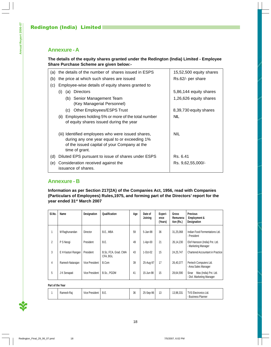# **Annexure - A**

# **The details of the equity shares granted under the Redington (India) Limited - Employee Share Purchase Scheme are given below:-**

|     |                                                          | (a) the details of the number of shares issued in ESPS                                                                                                               | 15,52,500 equity shares |
|-----|----------------------------------------------------------|----------------------------------------------------------------------------------------------------------------------------------------------------------------------|-------------------------|
| (b) |                                                          | the price at which such shares are issued                                                                                                                            | Rs.62/- per share       |
| (c) |                                                          | Employee-wise details of equity shares granted to                                                                                                                    |                         |
|     | (i)<br>(a)                                               | <b>Directors</b>                                                                                                                                                     | 5,86,144 equity shares  |
|     | (b) Senior Management Team<br>(Key Managerial Personnel) |                                                                                                                                                                      | 1,26,626 equity shares  |
|     | (C)                                                      | Other Employees/ESPS Trust                                                                                                                                           | 8,39,730 equity shares  |
|     | (ii)                                                     | Employees holding 5% or more of the total number<br>of equity shares issued during the year                                                                          | <b>NIL</b>              |
|     |                                                          | (iii) Identified employees who were issued shares,<br>during any one year equal to or exceeding 1%<br>of the issued capital of your Company at the<br>time of grant. | <b>NIL</b>              |
| (d) |                                                          | Diluted EPS pursuant to issue of shares under ESPS                                                                                                                   | Rs. 6.41                |
| (e) |                                                          | Consideration received against the<br>issuance of shares.                                                                                                            | Rs. 9,62,55,000/-       |

# **Annexure - B**

**Information as per Section 217(2A) of the Companies Act, 1956, read with Companies (Particulars of Employees) Rules,1975, and forming part of the Directors' report for the year ended 31st March 2007**

| SI.No.         | Name               | Designation    | Qualification                    | Age | Date of<br>Joinina | Experi-<br>ence<br>(Years) | <b>Gross</b><br>Remunera-<br>tion (Rs.) | <b>Previous</b><br><b>Employment &amp;</b><br>Designation   |
|----------------|--------------------|----------------|----------------------------------|-----|--------------------|----------------------------|-----------------------------------------|-------------------------------------------------------------|
|                | M Raghunandan      | Director       | B.E., MBA                        | 59  | 5-Jan-98           | 36                         | 31,25,068                               | Indian Food Fermentations Ltd.<br>- President               |
| $\overline{2}$ | P S Neogi          | President      | B.E.                             | 49  | 1-Apr-00           | 21                         | 26,14,230                               | Elof Hansson (India) Pvt. Ltd.<br>- Marketing Manager       |
| 3              | E H Kasturi Rangan | President      | B.Sc, FCA, Grad. CWA<br>CFA. BGL | 43  | 1-Oct-02           | 15                         | 24.25.747                               | <b>Chartered Accountant in Practice</b>                     |
| 4              | Ramesh Natarajan   | Vice President | B.Com                            | 39  | 25-Aug-97          | 17                         | 26,40,377                               | Pertech Computers Ltd.<br>- Area Sales Manager              |
| 5              | J K Senapati       | Vice President | B.Sc., PGDM                      | 41  | 15-Jun-98          | 15                         | 28,64,590                               | Sinar<br>Mas (India) Pvt. Ltd.<br>- Divl. Marketing Manager |

#### **Part of the Year**

|  | Ramesh Rai | .<br>Vice President | . ے . ب | 36 | 25-Sep-96 | ∪ו | 10.00.001<br>13.98.33 | T10F<br>Electronics Ltd.<br>- Business Planner |
|--|------------|---------------------|---------|----|-----------|----|-----------------------|------------------------------------------------|
|--|------------|---------------------|---------|----|-----------|----|-----------------------|------------------------------------------------|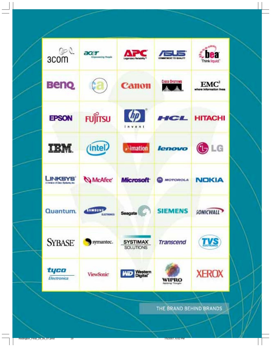| ್ರಾ<br>3COM                                | acer<br><b>Drasovering People</b>    | Lagendary Relatility*           | <b>HITABENT TO QUALITY</b> | Think liquid"                 |
|--------------------------------------------|--------------------------------------|---------------------------------|----------------------------|-------------------------------|
| <b>Benq</b>                                |                                      | <b>Canon</b>                    | <b>CISCO SYSTEMS</b>       | EM<br>where information lives |
| <b>EPSON</b>                               | <b>FUJITSU</b>                       | Invent                          | HCL                        | <b>HITACHI</b>                |
| IBM.                                       | (intel)                              | $\sqrt{1}$ imation              | lenovo                     | $\mathbb{G}$ LG               |
| INKSYS<br>A Division of Date Systems, Inc. | McAfee'                              | <b>Microsoft</b>                | <b>MOTOROLA</b>            | <b>NOKIA</b>                  |
| Quantum.                                   | <b>SAMSUNI</b><br><b>ELECTRIBIES</b> | Seagate                         | <b>SIEMENS</b>             | <b>SONICWALL</b>              |
| <b>SYBASE</b>                              | symantec.                            | <b>SYSTIMAX</b><br>SOLUTIONS    | <b>Transcend</b>           | TVE.                          |
| tyco<br>Electronics                        | <b>ViewSonic</b>                     | Western<br>Digital<br><b>WD</b> | WIPRO                      | <b>XEROX</b>                  |

THE BRAND BEHIND BRANDS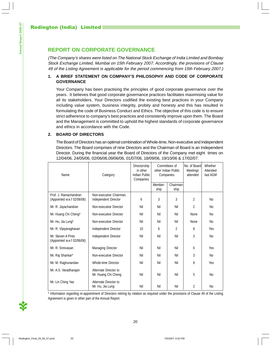# **REPORT ON CORPORATE GOVERNANCE**

(The Company's shares were listed on The National Stock Exchange of India Limited and Bombay Stock Exchange Limited, Mumbai on 15th February 2007. Accordingly, the provisions of Clause 49 of the Listing Agreement is applicable for the period commencing from 15th February 2007.)

# **1. A BRIEF STATEMENT ON COMPANY'S PHILOSOPHY AND CODE OF CORPORATE GOVERNANCE**

Your Company has been practising the principles of good corporate governance over the years. It believes that good corporate governance practices facilitates maximising value for all its stakeholders. Your Directors codified the existing best practices in your Company including value system, business integrity, probity and honesty and this has resulted in formulating the code of Business Conduct and Ethics. The objective of this code is to ensure strict adherence to company's best practices and consistently improve upon them. The Board and the Management is committed to uphold the highest standards of corporate governance and ethics in accordance with the Code.

# **2. BOARD OF DIRECTORS**

The Board of Directors has an optimal combination of Whole-time, Non-executive and Independent Directors. The Board comprises of nine Directors and the Chairman of Board is an Independent Director. During the financial year the Board of Directors of the Company met eight times on 12/04/06, 24/05/06, 02/06/06,09/06/06, 01/07/06, 18/09/06, 19/10/06 & 17/02/07.

| Name                                                | Category                                        | Directorship<br>in other<br>Indian Public<br>Companies | Committees of<br>other Indian Public<br>Companies. |                   | No. of Board<br>Meetings<br>attended | Whether<br>Attended<br>last AGM |
|-----------------------------------------------------|-------------------------------------------------|--------------------------------------------------------|----------------------------------------------------|-------------------|--------------------------------------|---------------------------------|
|                                                     |                                                 |                                                        | Member-<br>ship                                    | Chairman-<br>ship |                                      |                                 |
| Prof. J. Ramachandran<br>(Appointed w.e.f 02/06/06) | Non-executive Chairman,<br>Independent Director | 6                                                      | 3                                                  | 3                 | $\overline{2}$                       | N <sub>o</sub>                  |
| Mr. R. Jayachandran                                 | Non-executive Director                          | Nil                                                    | Nil                                                | Nil               | 2                                    | N <sub>o</sub>                  |
| Mr. Huang Chi Cheng*                                | Non-executive Director                          | Nil                                                    | Nil                                                | Nil               | None                                 | N <sub>o</sub>                  |
| Mr. Hu, Jia Lung*                                   | Non-executive Director                          | Nil                                                    | Nil                                                | Nil               | None                                 | N <sub>o</sub>                  |
| Mr. R. Vijayaraghavan                               | Independent Director                            | 10                                                     | 6                                                  | $\overline{2}$    | 8                                    | Yes                             |
| Mr. Steven A Pinto<br>(Appointed w.e.f 02/06/06)    | Independent Director                            | Nil                                                    | Nil                                                | Nil               | 3                                    | N <sub>o</sub>                  |
| Mr. R. Srinivasan                                   | <b>Managing Director</b>                        | Nil                                                    | Nil                                                | Nil               | 6                                    | Yes                             |
| Mr. Raj Shankar*                                    | Non-executive Director                          | Nil                                                    | Nil                                                | Nil               | 3                                    | N <sub>o</sub>                  |
| Mr. M. Raghunandan                                  | <b>Whole-time Director</b>                      | Nil                                                    | Nil                                                | Nil               | 8                                    | Yes                             |
| Mr. A.S. Varadharajan                               | Alternate Director to<br>Mr. Huang Chi Cheng    | Nil                                                    | Nil                                                | Nil               | 5                                    | N <sub>o</sub>                  |
| Mr. Lin Ching Yao                                   | Alternate Director to<br>Mr. Hu, Jia Lung       | Nil                                                    | Nil                                                | Nil               | $\overline{2}$                       | N <sub>o</sub>                  |

\* Information regarding re-appointment of Directors retiring by rotation as required under the provisions of Clause 49 of the Listing Agreement is given in other part of the Annual Report.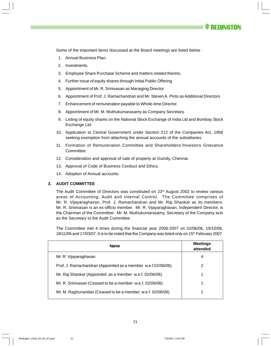

Some of the important items discussed at the Board meetings are listed below :

- 1. Annual Business Plan.
- 2. Investments.
- 3. Employee Share Purchase Scheme and matters related thereto.
- 4. Further issue of equity shares through Initial Public Offering
- 5. Appointment of Mr. R. Srinivasan as Managing Director
- 6. Appointment of Prof. J. Ramachandran and Mr. Steven A. Pinto as Additional Directors
- 7. Enhancement of remuneration payable to Whole-time Director.
- 8. Appointment of Mr. M. Muthukumarasamy as Company Secretary.
- 9. Listing of equity shares on the National Stock Exchange of India Ltd and Bombay Stock Exchange Ltd.
- 10. Application to Central Government under Section 212 of the Companies Act, 1956 seeking exemption from attaching the annual accounts of the subsidiaries.
- 11. Formation of Remuneration Committee and Shareholders'/Investors Grievance Committee.
- 12. Consideration and approval of sale of property at Guindy, Chennai.
- 13. Approval of Code of Business Conduct and Ethics.
- 14. Adoption of Annual accounts.

## **3. AUDIT COMMITTEE**

The Audit Committee of Directors was constituted on  $23<sup>rd</sup>$  August 2002 to review various areas of Accounting, Audit and Internal Control. The Committee comprises of Mr. R. Vijayaraghavan, Prof. J. Ramachandran and Mr. Raj Shankar as its members. Mr. R. Srinivasan is an ex-officio member. Mr. R. Vijayaraghavan, Independent Director, is the Chairman of the Committee. Mr. M. Muthukumarasamy, Secretary of the Company acts as the Secretary to the Audit Committee.

The Committee met 4 times during the financial year 2006-2007 on 02/06/06, 19/10/06, 18/11/06 and 17/03/07. It is to be noted that the Company was listed only on 15th February 2007.

| <b>Name</b>                                                  | <b>Meetings</b><br>attended |
|--------------------------------------------------------------|-----------------------------|
| Mr. R. Vijayaraghavan                                        | 4                           |
| Prof. J. Ramachandran (Appointed as a member w.e.f 02/06/06) | 2                           |
| Mr. Raj Shankar (Appointed as a member w.e.f. 02/06/06)      | 1                           |
| Mr. R. Srinivasan (Ceased to be a member w.e.f. 02/06/06)    | 1                           |
| Mr. M. Raghunandan (Ceased to be a member w.e.f. 02/06/06)   |                             |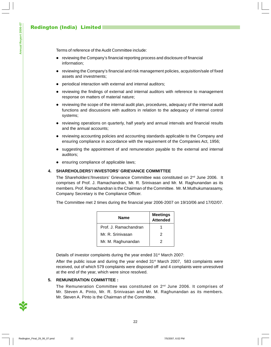Terms of reference of the Audit Committee include:

- reviewing the Company's financial reporting process and disclosure of financial information;
- reviewing the Company's financial and risk management policies, acquisition/sale of fixed assets and investments;
- periodical interaction with external and internal auditors;
- reviewing the findings of external and internal auditors with reference to management response on matters of material nature;
- reviewing the scope of the internal audit plan, procedures, adequacy of the internal audit functions and discussions with auditors in relation to the adequacy of internal control systems;
- reviewing operations on quarterly, half yearly and annual intervals and financial results and the annual accounts;
- reviewing accounting policies and accounting standards applicable to the Company and ensuring compliance in accordance with the requirement of the Companies Act, 1956;
- suggesting the appointment of and remuneration payable to the external and internal auditors;
- ensuring compliance of applicable laws;

# **4. SHAREHOLDERS'/ INVESTORS' GRIEVANCE COMMITTEE**

The Shareholders'/Investors' Grievance Committee was constituted on  $2^{nd}$  June 2006. It comprises of Prof. J. Ramachandran, Mr. R. Srinivasan and Mr. M. Raghunandan as its members. Prof. Ramachandran is the Chairman of the Committee. Mr. M.Muthukumarasamy, Company Secretary is the Compliance Officer.

The Committee met 2 times during the financial year 2006-2007 on 19/10/06 and 17/02/07.

| Name                  | <b>Meetings</b><br><b>Attended</b> |
|-----------------------|------------------------------------|
| Prof. J. Ramachandran |                                    |
| Mr. R. Srinivasan     | 2                                  |
| Mr. M. Raghunandan    | 2                                  |

Details of investor complaints during the year ended 31<sup>st</sup> March 2007:

After the public issue and during the year ended  $31<sup>st</sup>$  March 2007, 583 complaints were received, out of which 579 complaints were disposed off and 4 complaints were unresolved at the end of the year, which were since resolved.

# **5. REMUNERATION COMMITTEE :**

The Remuneration Committee was constituted on  $2^{nd}$  June 2006. It comprises of Mr. Steven A. Pinto, Mr. R. Srinivasan and Mr. M. Raghunandan as its members. Mr. Steven A. Pinto is the Chairman of the Committee.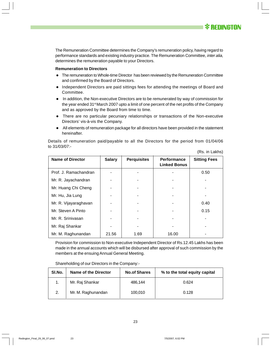The Remuneration Committee determines the Company's remuneration policy, having regard to performance standards and existing industry practice. The Remuneration Committee, inter alia, determines the remuneration payable to your Directors.

#### **Remuneration to Directors**

- The remuneration to Whole-time Director has been reviewed by the Remuneration Committee and confirmed by the Board of Directors.
- Independent Directors are paid sittings fees for attending the meetings of Board and Committee.
- In addition, the Non-executive Directors are to be remunerated by way of commission for the year ended 31<sup>st</sup> March 2007 upto a limit of one percent of the net profits of the Company and as approved by the Board from time to time.
- There are no particular pecuniary relationships or transactions of the Non-executive Directors' vis-à-vis the Company.
- All elements of remuneration package for all directors have been provided in the statement hereinafter.

(Rs. in Lakhs)

| <b>Name of Director</b> | <b>Salary</b> | <b>Perquisites</b> | <b>Performance</b><br><b>Linked Bonus</b> | <b>Sitting Fees</b> |
|-------------------------|---------------|--------------------|-------------------------------------------|---------------------|
| Prof. J. Ramachandran   |               |                    |                                           | 0.50                |
| Mr. R. Jayachandran     |               |                    |                                           |                     |
| Mr. Huang Chi Cheng     |               |                    |                                           |                     |
| Mr. Hu, Jia Lung        |               |                    |                                           |                     |
| Mr. R. Vijayaraghavan   |               |                    |                                           | 0.40                |
| Mr. Steven A Pinto      |               |                    |                                           | 0.15                |
| Mr. R. Srinivasan       |               |                    |                                           |                     |
| Mr. Raj Shankar         |               |                    |                                           |                     |
| Mr. M. Raghunandan      | 21.56         | 1.69               | 16.00                                     |                     |

Details of remuneration paid/payable to all the Directors for the period from 01/04/06 to 31/03/07:-

Provision for commission to Non-executive Independent Director of Rs.12.45 Lakhs has been made in the annual accounts which will be disbursed after approval of such commission by the members at the ensuing Annual General Meeting.

| SI.No. | <b>Name of the Director</b> | <b>No.of Shares</b> | % to the total equity capital |
|--------|-----------------------------|---------------------|-------------------------------|
|        | Mr. Raj Shankar             | 486.144             | 0.624                         |
| 2.     | Mr. M. Raghunandan          | 100,010             | 0.128                         |

Shareholding of our Directors in the Company:-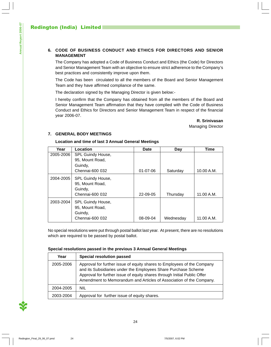# **6. CODE OF BUSINESS CONDUCT AND ETHICS FOR DIRECTORS AND SENIOR MANAGEMENT**

The Company has adopted a Code of Business Conduct and Ethics (the Code) for Directors and Senior Management Team with an objective to ensure strict adherence to the Company's best practices and consistently improve upon them.

The Code has been circulated to all the members of the Board and Senior Management Team and they have affirmed compliance of the same.

The declaration signed by the Managing Director is given below:-

I hereby confirm that the Company has obtained from all the members of the Board and Senior Management Team affirmation that they have complied with the Code of Business Conduct and Ethics for Directors and Senior Management Team in respect of the financial year 2006-07.

**R. Srinivasan**

Managing Director

# **7. GENERAL BODY MEETINGS**

#### **Location and time of last 3 Annual General Meetings**

| Year      | Location                                        | Date     | Day       | Time       |
|-----------|-------------------------------------------------|----------|-----------|------------|
| 2005-2006 | SPL Guindy House,                               |          |           |            |
|           | 95, Mount Road,                                 |          |           |            |
|           | Guindy,                                         |          |           |            |
|           | Chennai-600 032                                 | 01-07-06 | Saturday  | 10.00 A.M. |
| 2004-2005 | SPL Guindy House,<br>95, Mount Road,<br>Guindy, |          |           |            |
|           | Chennai-600 032                                 | 22-09-05 | Thursday  | 11.00 A.M. |
| 2003-2004 | SPL Guindy House,<br>95, Mount Road,<br>Guindy, |          |           |            |
|           | Chennai-600 032                                 | 08-09-04 | Wednesday | 11.00 A.M. |

No special resolutions were put through postal ballot last year. At present, there are no resolutions which are required to be passed by postal ballot.

# **Special resolutions passed in the previous 3 Annual General Meetings**

| Year      | Special resolution passed                                                                                                                                                                                                                                                                    |
|-----------|----------------------------------------------------------------------------------------------------------------------------------------------------------------------------------------------------------------------------------------------------------------------------------------------|
| 2005-2006 | Approval for further issue of equity shares to Employees of the Company<br>and its Subsidiaries under the Employees Share Purchase Scheme<br>Approval for further issue of equity shares through Initial Public Offer<br>Amendment to Memorandum and Articles of Association of the Company. |
| 2004-2005 | <b>NIL</b>                                                                                                                                                                                                                                                                                   |
| 2003-2004 | Approval for further issue of equity shares.                                                                                                                                                                                                                                                 |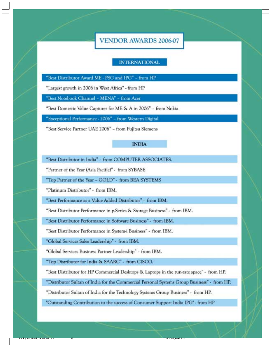**VENDOR AWARDS 2006-07** 

# **INTERNATIONAL**

"Best Distributor Award ME - PSG and IPG" - from HP

"Largest growth in 2006 in West Africa" - from HP

"Best Notebook Channel - MENA" - from Acer

"Best Domestic Value Capturer for ME & A in 2006" - from Nokia

"Exceptional Performance - 2006" - from Western Digital

"Best Service Partner UAE 2006" - from Fujitsu Siemens

# **INDIA**

"Best Distributor in India" - from COMPUTER ASSOCIATES.

"Partner of the Year (Asia Pacific)" - from SYBASE

"Top Partner of the Year - GOLD" - from BEA SYSTEMS

"Platinum Distributor" - from IBM.

"Best Performance as a Value Added Distributor" - from IBM.

"Best Distributor Performance in p-Series & Storage Business" - from IBM.

"Best Distributor Performance in Software Business" - from IBM.

"Best Distributor Performance in System-i Business" - from IBM.

"Global Services Sales Leadership" - from IBM.

"Global Services Business Partner Leadership" - from IBM.

"Top Distributor for India & SAARC" - from CISCO.

"Best Distributor for HP Commercial Desktops & Laptops in the run-rate space" - from HP.

"Distributor Sultan of India for the Commercial Personal Systems Group Business" - from HP.

"Distributor Sultan of India for the Technology Systems Group Business" - from HP.

"Outstanding Contribution to the success of Consumer Support India IPG" - from HP

25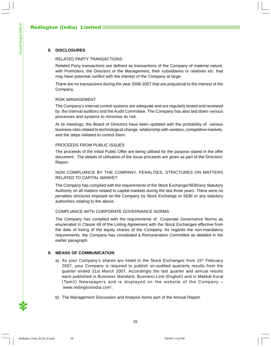# **8. DISCLOSURES**

# RELATED PARTY TRANSACTIONS

Related Party transactions are defined as transactions of the Company of material nature, with Promoters, the Directors or the Management, their subsidiaries or relatives etc. that may have potential conflict with the interest of the Company at large.

There are no transactions during the year 2006-2007 that are prejudicial to the interest of the Company.

# RISK MANAGEMENT

The Company's internal control systems are adequate and are regularly tested and reviewed by the internal auditors and the Audit Committee. The Company has also laid down various processes and systems to minimise its risk.

At its meetings, the Board of Directors have been updated with the probability of various business risks related to technological change, relationship with vendors, competitive markets, and the steps initiated to control them.

# PROCEEDS FROM PUBLIC ISSUES

The proceeds of the Initial Public Offer are being utilised for the purpose stated in the offer document. The details of utilisation of the issue proceeds are given as part of the Directors' Report.

# NON COMPLIANCE BY THE COMPANY, PENALTIES, STRICTURES ON MATTERS RELATED TO CAPITAL MARKET

The Company has complied with the requirements of the Stock Exchange/SEBI/any Statutory Authority on all matters related to capital markets during the last three years. There were no penalties strictures imposed on the Company by Stock Exchange or SEBI or any statutory authorities relating to the above.

# COMPLIANCE WITH CORPORATE GOVERNANCE NORMS

The Company has complied with the requirements of Corporate Governance Norms as enunerated in Clause 49 of the Listing Agreement with the Stock Exchanges effective from the date of listing of the equity shares of the Company. As regards the non-mandatory requirements, the Company has constituted a Remuneration Committee as detailed in the earlier paragraph.

# **9. MEANS OF COMMUNICATION**

- a) As your Company's shares are listed in the Stock Exchanges from 15<sup>th</sup> February 2007, your Company is required to publish un-audited quarterly results from the quarter ended 31st March 2007. Accordingly the last quarter and annual results were published in Business Standard, Business Line (English) and in Makkal Kural (Tamil) Newspapers and is displayed on the website of the Company – 'www.redingtonindia.com'.
- b) The Management Discussion and Analysis forms part of the Annual Report.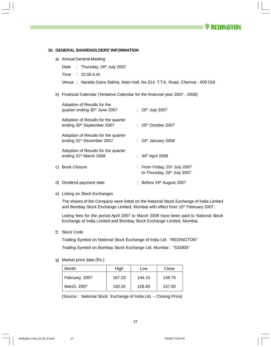*<b>X* REDINGTON

#### **10. GENERAL SHAREHOLDERS' INFORMATION**

- a) Annual General Meeting
	- Date : Thursday, 26<sup>th</sup> July 2007
	- Time : 10.00 A.M.
	- Venue : Narada Gana Sabha, Main Hall, No.314, T.T.K. Road, Chennai 600 018
- b) Financial Calendar (Tentative Calendar for the financial year 2007 2008)

| Adoption of Results for the<br>quarter ending 30 <sup>th</sup> June 2007      | : $25^{th}$ July 2007                                                    |
|-------------------------------------------------------------------------------|--------------------------------------------------------------------------|
| Adoption of Results for the quarter<br>ending 30 <sup>th</sup> September 2007 | : $25th$ October 2007                                                    |
| Adoption of Results for the quarter<br>ending 31 <sup>st</sup> December 2007  | : $24th$ January 2008                                                    |
| Adoption of Results for the quarter<br>ending 31 <sup>st</sup> March 2008     | : $30th$ April 2008                                                      |
| c) Book Closure                                                               | : From Friday, 20th July 2007<br>to Thursday, 26 <sup>th</sup> July 2007 |
| d) Dividend payment date                                                      | Before 24 <sup>th</sup> August 2007<br>÷.                                |

e) Listing on Stock Exchanges

The shares of the Company were listed on the National Stock Exchange of India Limited and Bombay Stock Exchange Limited, Mumbai with effect from 15<sup>th</sup> February 2007.

Listing fees for the period April 2007 to March 2008 have been paid to National Stock Exchange of India Limited and Bombay Stock Exchange Limited, Mumbai.

f) Stock Code

Trading Symbol on National Stock Exchange of India Ltd : "REDINGTON" Trading Symbol on Bombay Stock Exchange Ltd, Mumbai : "532805"

g) Market price data (Rs.)

| Month          | High   | Low    | Close  |  |
|----------------|--------|--------|--------|--|
| February, 2007 | 167.20 | 144.15 | 149.75 |  |
| March, 2007    | 150.20 | 126.65 | 137.00 |  |

(Source : National Stock Exchange of India Ltd. – Closing Price)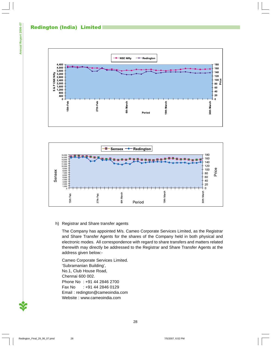# Redington (India) Limited





# h) Registrar and Share transfer agents

The Company has appointed M/s. Cameo Corporate Services Limited, as the Registrar and Share Transfer Agents for the shares of the Company held in both physical and electronic modes. All correspondence with regard to share transfers and matters related therewith may directly be addressed to the Registrar and Share Transfer Agents at the address given below:-

Cameo Corporate Services Limited. 'Subramanian Building', No.1, Club House Road, Chennai 600 002. Phone No : +91 44 2846 2700 Fax No : +91 44 2846 0129 Email : redington@cameoindia.com Website : www.cameoindia.com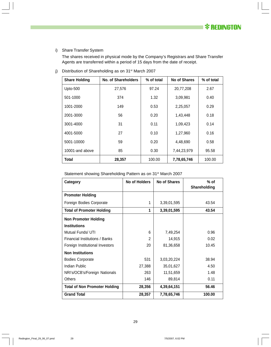# i) Share Transfer System

The shares received in physical mode by the Company's Registrars and Share Transfer Agents are transferred within a period of 15 days from the date of receipt.

| <b>Share Holding</b> | No. of Shareholders | % of total | No of Shares | % of total |
|----------------------|---------------------|------------|--------------|------------|
| Upto-500             | 27,576              | 97.24      | 20,77,208    | 2.67       |
| 501-1000             | 374                 | 1.32       | 3,09,981     | 0.40       |
| 1001-2000            | 149                 | 0.53       | 2,25,057     | 0.29       |
| 2001-3000            | 56                  | 0.20       | 1,43,448     | 0.18       |
| 3001-4000            | 31                  | 0.11       | 1,09,423     | 0.14       |
| 4001-5000            | 27                  | 0.10       | 1,27,960     | 0.16       |
| 5001-10000           | 59                  | 0.20       | 4,48,690     | 0.58       |
| 10001-and above      | 85                  | 0.30       | 7,44,23,979  | 95.58      |
| Total                | 28,357              | 100.00     | 7,78,65,746  | 100.00     |

j) Distribution of Shareholding as on 31<sup>st</sup> March 2007

| Category                             | No of Holders | No of Shares | $%$ of<br>Shareholding |
|--------------------------------------|---------------|--------------|------------------------|
| <b>Promoter Holding</b>              |               |              |                        |
| Foreign Bodies Corporate             | 1             | 3,39,01,595  | 43.54                  |
| <b>Total of Promoter Holding</b>     | 1             | 3,39,01,595  | 43.54                  |
| <b>Non Promoter Holding</b>          |               |              |                        |
| <b>Institutions</b>                  |               |              |                        |
| Mutual Funds/ UTI                    | 6             | 7,49,254     | 0.96                   |
| Financial Institutions / Banks       | 2             | 14,915       | 0.02                   |
| Foreign Institutional Investors      | 20            | 81,36,658    | 10.45                  |
| <b>Non Institutions</b>              |               |              |                        |
| <b>Bodies Corporate</b>              | 531           | 3,03,20,224  | 38.94                  |
| Indian Public                        | 27,388        | 35,01,627    | 4.50                   |
| NRI's/OCB's/Foreign Nationals        | 263           | 11,51,659    | 1.48                   |
| <b>Others</b>                        | 146           | 89,814       | 0.11                   |
| <b>Total of Non Promoter Holding</b> | 28,356        | 4,39,64,151  | 56.46                  |
| <b>Grand Total</b>                   | 28,357        | 7,78,65,746  | 100.00                 |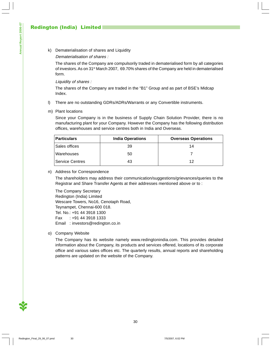k) Dematerialisation of shares and Liquidity

# Dematerialisation of shares :

The shares of the Company are compulsorily traded in dematerialised form by all categories of investors. As on 31<sup>st</sup> March 2007, 69.70% shares of the Company are held in dematerialised form.

#### Liquidity of shares :

The shares of the Company are traded in the "B1" Group and as part of BSE's Midcap Index.

- l) There are no outstanding GDRs/ADRs/Warrants or any Convertible instruments.
- m) Plant locations

Since your Company is in the business of Supply Chain Solution Provider, there is no manufacturing plant for your Company. However the Company has the following distribution offices, warehouses and service centres both in India and Overseas.

| <b>Particulars</b> | <b>India Operations</b> | <b>Overseas Operations</b> |
|--------------------|-------------------------|----------------------------|
| l Sales offices    | 39                      | 14                         |
| Warehouses         | 50                      |                            |
| Service Centres    | 43                      | 12                         |

n) Address for Correspondence

The shareholders may address their communication/suggestions/grievances/queries to the Registrar and Share Transfer Agents at their addresses mentioned above or to :

The Company Secretary Redington (India) Limited Wescare Towers, No16, Cenotaph Road, Teynampet, Chennai-600 018. Tel. No.: +91 44 3918 1300 Fax : +91 44 3918 1333 Email : investors@redington.co.in

o) Company Website

The Company has its website namely www.redingtonindia.com. This provides detailed information about the Company, its products and services offered, locations of its corporate office and various sales offices etc. The quarterly results, annual reports and shareholding patterns are updated on the website of the Company.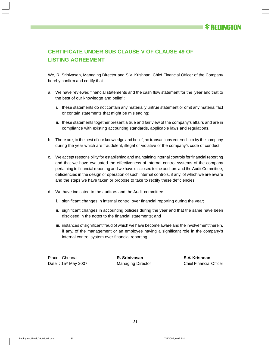# **CERTIFICATE UNDER SUB CLAUSE V OF CLAUSE 49 OF LISTING AGREEMENT**

We, R. Srinivasan, Managing Director and S.V. Krishnan, Chief Financial Officer of the Company hereby confirm and certify that -

- a. We have reviewed financial statements and the cash flow statement for the year and that to the best of our knowledge and belief :
	- i. these statements do not contain any materially untrue statement or omit any material fact or contain statements that might be misleading;
	- ii. these statements together present a true and fair view of the company's affairs and are in compliance with existing accounting standards, applicable laws and regulations.
- b. There are, to the best of our knowledge and belief, no transactions entered into by the company during the year which are fraudulent, illegal or violative of the company's code of conduct.
- c. We accept responsibility for establishing and maintaining internal controls for financial reporting and that we have evaluated the effectiveness of internal control systems of the company pertaining to financial reporting and we have disclosed to the auditors and the Audit Committee, deficiencies in the design or operation of such internal controls, if any, of which we are aware and the steps we have taken or propose to take to rectify these deficiencies.
- d. We have indicated to the auditors and the Audit committee
	- i. significant changes in internal control over financial reporting during the year;
	- ii. significant changes in accounting policies during the year and that the same have been disclosed in the notes to the financial statements; and
	- iii. instances of significant fraud of which we have become aware and the involvement therein, if any, of the management or an employee having a significant role in the company's internal control system over financial reporting.

Place : Chennai **R. Srinivasan S.V. Krishnan**

Date : 15<sup>th</sup> May 2007 **Managing Director** Chief Financial Officer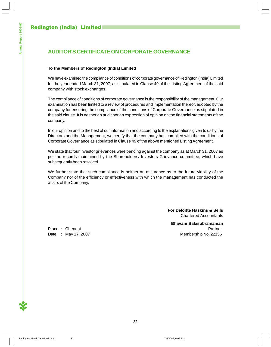# **AUDITOR'S CERTIFICATE ON CORPORATE GOVERNANCE**

# **To the Members of Redington (India) Limited**

We have examined the compliance of conditions of corporate governance of Redington (India) Limited for the year ended March 31, 2007, as stipulated in Clause 49 of the Listing Agreement of the said company with stock exchanges.

The compliance of conditions of corporate governance is the responsibility of the management. Our examination has been limited to a review of procedures and implementation thereof, adopted by the company for ensuring the compliance of the conditions of Corporate Governance as stipulated in the said clause. It is neither an audit nor an expression of opinion on the financial statements of the company.

In our opinion and to the best of our information and according to the explanations given to us by the Directors and the Management, we certify that the company has complied with the conditions of Corporate Governance as stipulated in Clause 49 of the above mentioned Listing Agreement.

We state that four investor grievances were pending against the company as at March 31, 2007 as per the records maintained by the Shareholders/ Investors Grievance committee, which have subsequently been resolved.

We further state that such compliance is neither an assurance as to the future viability of the Company nor of the efficiency or effectiveness with which the management has conducted the affairs of the Company.

> **For Deloitte Haskins & Sells** Chartered Accountants

**Bhavani Balasubramanian** Place : Chennai Partner Partner Partner Date : May 17, 2007 Membership No. 22156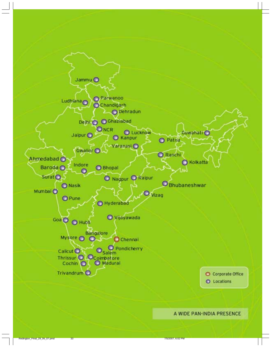

A WIDE PAN-INDIA PRESENCE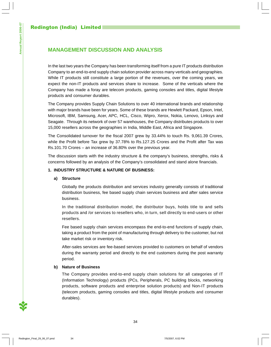**Annual Report 2006-07**

Annual Report 2006-07

# **MANAGEMENT DISCUSSION AND ANALYSIS**

In the last two years the Company has been transforming itself from a pure IT products distribution Company to an end-to-end supply chain solution provider across many verticals and geographies. While IT products still constitute a large portion of the revenues, over the coming years, we expect the non-IT products and services share to increase. Some of the verticals where the Company has made a foray are telecom products, gaming consoles and titles, digital lifestyle products and consumer durables.

The Company provides Supply Chain Solutions to over 40 international brands and relationship with major brands have been for years. Some of these brands are Hewlett Packard, Epson, Intel, Microsoft, IBM, Samsung, Acer, APC, HCL, Cisco, Wipro, Xerox, Nokia, Lenovo, Linksys and Seagate. Through its network of over 57 warehouses, the Company distributes products to over 15,000 resellers across the geographies in India, Middle East, Africa and Singapore.

The Consolidated turnover for the fiscal 2007 grew by 33.44% to touch Rs. 9,061.39 Crores, while the Profit before Tax grew by 37.78% to Rs.127.25 Crores and the Profit after Tax was Rs.101.70 Crores – an increase of 36.80% over the previous year.

The discussion starts with the industry structure & the company's business, strengths, risks & concerns followed by an analysis of the Company's consolidated and stand alone financials.

# **1. INDUSTRY STRUCTURE & NATURE OF BUSINESS:**

# **a) Structure**

Globally the products distribution and services industry generally consists of traditional distribution business, fee based supply chain services business and after sales service business.

In the traditional distribution model, the distributor buys, holds title to and sells products and /or services to resellers who, in turn, sell directly to end-users or other resellers.

Fee based supply chain services encompass the end-to-end functions of supply chain, taking a product from the point of manufacturing through delivery to the customer, but not take market risk or inventory risk.

After-sales services are fee-based services provided to customers on behalf of vendors during the warranty period and directly to the end customers during the post warranty period.

# **b) Nature of Business**

The Company provides end-to-end supply chain solutions for all categories of IT (Information Technology) products (PCs, Peripherals, PC building blocks, networking products, software products and enterprise solution products) and Non-IT products (telecom products, gaming consoles and titles, digital lifestyle products and consumer durables).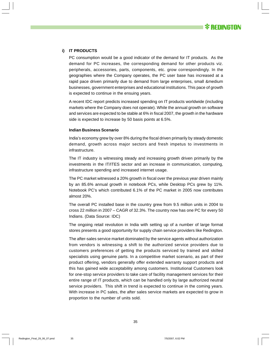

#### **i) IT PRODUCTS**

PC consumption would be a good indicator of the demand for IT products. As the demand for PC increases, the corresponding demand for other products viz. peripherals, accessories, parts, components, etc. grow correspondingly. In the geographies where the Company operates, the PC user base has increased at a rapid pace driven primarily due to demand from large enterprises, small &medium businesses, government enterprises and educational institutions. This pace of growth is expected to continue in the ensuing years.

A recent IDC report predicts increased spending on IT products worldwide (including markets where the Company does not operate). While the annual growth on software and services are expected to be stable at 6% in fiscal 2007, the growth in the hardware side is expected to increase by 50 basis points at 6.5%.

#### **Indian Business Scenario**

India's economy grew by over 8% during the fiscal driven primarily by steady domestic demand, growth across major sectors and fresh impetus to investments in infrastructure.

The IT industry is witnessing steady and increasing growth driven primarily by the investments in the IT/ITES sector and an increase in communication, computing, infrastructure spending and increased internet usage.

The PC market witnessed a 20% growth in fiscal over the previous year driven mainly by an 85.6% annual growth in notebook PCs, while Desktop PCs grew by 11%. Notebook PC's which contributed 6.1% of the PC market in 2005 now contributes almost 20%.

The overall PC installed base in the country grew from 9.5 million units in 2004 to cross 22 million in 2007 – CAGR of 32.3%. The country now has one PC for every 50 Indians. (Data Source: IDC)

The ongoing retail revolution in India with setting up of a number of large format stores presents a good opportunity for supply chain service providers like Redington.

The after-sales service market dominated by the service agents without authorization from vendors is witnessing a shift to the authorized service providers due to customers preferences of getting the products serviced by trained and skilled specialists using genuine parts. In a competitive market scenario, as part of their product offering, vendors generally offer extended warranty support products and this has gained wide acceptability among customers. Institutional Customers look for one-stop service providers to take care of facility management services for their entire range of IT products, which can be handled only by large authorized neutral service providers. This shift in trend is expected to continue in the coming years. With increase in PC sales, the after sales service markets are expected to grow in proportion to the number of units sold.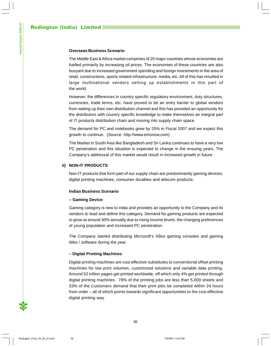#### **Overseas Business Scenario**

The Middle East & Africa market comprises of 20 major countries whose economies are fuelled primarily by increasing oil prices. The economies of these countries are also buoyant due to increased government spending and foreign investments in the area of retail, constructions, sports related infrastructure, media, etc. All of this has resulted in large multinational vendors setting up establishments in this part of the world.

However, the differences in country specific regulatory environment, duty structures, currencies, trade terms, etc. have proved to be an entry barrier to global vendors from setting up their own distribution channel and this has provided an opportunity for the distributors with country specific knowledge to make themselves an integral part of IT products distribution chain and moving into supply chain space.

The demand for PC and notebooks grew by 25% in Fiscal 2007 and we expect this growth to continue. (Source: http://www.emsnow.com)

The Market in South Asia like Bangladesh and Sri Lanka continues to have a very low PC penetration and this situation is expected to change in the ensuing years. The Company's addressal of this market would result in increased growth in future

#### **ii) NON-IT PRODUCTS**

Non-IT products that form part of our supply chain are predominantly gaming devices, digital printing machines, consumer durables and telecom products.

#### **Indian Business Scenario**

#### **– Gaming Device**

Gaming category is new to India and provides an opportunity to the Company and its vendors to lead and define this category. Demand for gaming products are expected to grow at around 30% annually due to rising income levels, the changing preferences of young population and increased PC penetration.

The Company started distributing Microsoft's XBox gaming consoles and gaming titles / software during the year.

#### **– Digital Printing Machines**

Digital printing machines are cost effective substitutes to conventional offset printing machines for low print volumes, customized solutions and variable data printing. Around 52 trillion pages get printed worldwide, off which only 4% get printed through digital printing machines. 78% of the printing jobs are less than 5,000 sheets and 33% of the Customers demand that their print jobs be completed within 24 hours from order – all of which points towards significant opportunities to the cost effective digital printing way.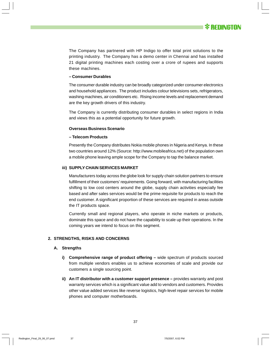The Company has partnered with HP Indigo to offer total print solutions to the printing industry. The Company has a demo center in Chennai and has installed 21 digital printing machines each costing over a crore of rupees and supports these machines.

#### **– Consumer Durables**

The consumer durable industry can be broadly categorized under consumer electronics and household appliances. The product includes colour televisions sets, refrigerators, washing machines, air conditioners etc. Rising income levels and replacement demand are the key growth drivers of this industry.

The Company is currently distributing consumer durables in select regions in India and views this as a potential opportunity for future growth.

#### **Overseas Business Scenario**

#### **– Telecom Products**

Presently the Company distributes Nokia mobile phones in Nigeria and Kenya. In these two countries around 12% (Source: http://www.mobileafrica.net) of the population own a mobile phone leaving ample scope for the Company to tap the balance market.

#### **iii) SUPPLY CHAIN SERVICES MARKET**

Manufacturers today across the globe look for supply chain solution partners to ensure fulfillment of their customers' requirements. Going forward, with manufacturing facilities shifting to low cost centers around the globe, supply chain activities especially fee based and after sales services would be the prime requisite for products to reach the end customer. A significant proportion of these services are required in areas outside the IT products space.

Currently small and regional players, who operate in niche markets or products, dominate this space and do not have the capability to scale up their operations. In the coming years we intend to focus on this segment.

#### **2. STRENGTHS, RISKS AND CONCERNS**

#### **A. Strengths**

- **i)** Comprehensive range of product offering wide spectrum of products sourced from multiple vendors enables us to achieve economies of scale and provide our customers a single sourcing point.
- **ii) An IT distributor with a customer support presence** provides warranty and post warranty services which is a significant value add to vendors and customers. Provides other value added services like reverse logistics, high-level repair services for mobile phones and computer motherboards.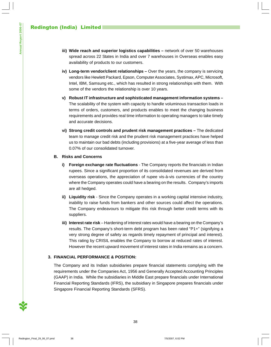- **iii) Wide reach and superior logistics capabilities** network of over 50 warehouses spread across 22 States in India and over 7 warehouses in Overseas enables easy availability of products to our customers.
- **iv) Long-term vendor/client relationships** Over the years, the company is servicing vendors like Hewlett Packard, Epson, Computer Associates, Systimax, APC, Microsoft, Intel, IBM, Samsung etc., which has resulted in strong relationships with them. With some of the vendors the relationship is over 10 years.
- **v) Robust IT infrastructure and sophisticated management information systems –** The scalability of the system with capacity to handle voluminous transaction loads in terms of orders, customers, and products enables to meet the changing business requirements and provides real time information to operating managers to take timely and accurate decisions.
- **vi) Strong credit controls and prudent risk management practices** The dedicated team to manage credit risk and the prudent risk management practices have helped us to maintain our bad debts (including provisions) at a five-year average of less than 0.07% of our consolidated turnover.

#### **B. Risks and Concerns**

- **i) Foreign exchange rate fluctuations** The Company reports the financials in Indian rupees. Since a significant proportion of its consolidated revenues are derived from overseas operations, the appreciation of rupee vis-à-vis currencies of the country where the Company operates could have a bearing on the results. Company's imports are all hedged.
- **ii) Liquidity risk** Since the Company operates in a working capital intensive industry, inability to raise funds from bankers and other sources could affect the operations. The Company endeavours to mitigate this risk through better credit terms with its suppliers.
- **iii) Interest rate risk** Hardening of interest rates would have a bearing on the Company's results. The Company's short-term debt program has been rated "P1+" (signifying a very strong degree of safety as regards timely repayment of principal and interest). This rating by CRISIL enables the Company to borrow at reduced rates of interest. However the recent upward movement of interest rates in India remains as a concern.

#### **3. FINANCIAL PERFORMANCE & POSITION:**

The Company and its Indian subsidiaries prepare financial statements complying with the requirements under the Companies Act, 1956 and Generally Accepted Accounting Principles (GAAP) in India. While the subsidiaries in Middle East prepare financials under International Financial Reporting Standards (IFRS), the subsidiary in Singapore prepares financials under Singapore Financial Reporting Standards (SFRS).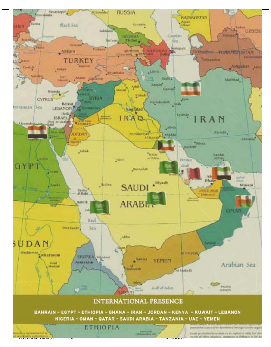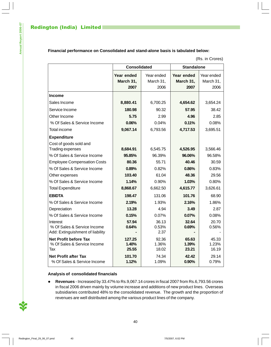#### **Financial performance on Consolidated and stand-alone basis is tabulated below:**

|                                                                             | <b>Consolidated</b>      |                         | <b>Standalone</b>       |                         |  |
|-----------------------------------------------------------------------------|--------------------------|-------------------------|-------------------------|-------------------------|--|
|                                                                             | Year ended               | Year ended              | Year ended              | Year ended              |  |
|                                                                             | March 31,                | March 31,               | March 31,               | March 31,               |  |
|                                                                             | 2007                     | 2006                    | 2007                    | 2006                    |  |
| <b>Income</b>                                                               |                          |                         |                         |                         |  |
| Sales Income                                                                | 8,880.41                 | 6,700.25                | 4,654.62                | 3,654.24                |  |
| Service Income                                                              | 180.98                   | 90.32                   | 57.95                   | 38.42                   |  |
| Other Income                                                                | 5.75                     | 2.99                    | 4.96                    | 2.85                    |  |
| % Of Sales & Service Income                                                 | 0.06%                    | 0.04%                   | 0.11%                   | 0.08%                   |  |
| <b>Total income</b>                                                         | 9,067.14                 | 6,793.56                | 4,717.53                | 3,695.51                |  |
| <b>Expenditure</b>                                                          |                          |                         |                         |                         |  |
| Cost of goods sold and                                                      |                          |                         |                         |                         |  |
| Trading expenses                                                            | 8,684.91                 | 6,545.75                | 4,526.95                | 3,566.46                |  |
| % Of Sales & Service Income                                                 | 95.85%                   | 96.39%                  | 96.06%                  | 96.58%                  |  |
| <b>Employee Compensation Costs</b>                                          | 80.36                    | 55.71                   | 40.46                   | 30.59                   |  |
| % Of Sales & Service Income                                                 | 0.89%                    | 0.82%                   | 0.86%                   | 0.83%                   |  |
| Other expenses                                                              | 103.40                   | 61.04                   | 48.36                   | 29.56                   |  |
| % Of Sales & Service Income                                                 | 1.14%                    | 0.90%                   | 1.03%                   | 0.80%                   |  |
| <b>Total Expenditure</b>                                                    | 8,868.67                 | 6,662.50                | 4,615.77                | 3,626.61                |  |
| <b>EBIDTA</b>                                                               | 198.47                   | 131.06                  | 101.76                  | 68.90                   |  |
| % Of Sales & Service Income                                                 | 2.19%                    | 1.93%                   | 2.16%                   | 1.86%                   |  |
| Depreciation                                                                | 13.28                    | 4.94                    | 3.49                    | 2.87                    |  |
| % Of Sales & Service Income                                                 | 0.15%                    | 0.07%                   | 0.07%                   | 0.08%                   |  |
| Interest<br>% Of Sales & Service Income<br>Add: Extinguishment of liability | 57.94<br>0.64%           | 36.13<br>0.53%<br>2.37  | 32.64<br>0.69%          | 20.70<br>0.56%          |  |
| <b>Net Profit before Tax</b><br>% Of Sales & Service Income<br>Tax          | 127.25<br>1.40%<br>25.55 | 92.36<br>1.36%<br>18.02 | 65.63<br>1.39%<br>23.21 | 45.33<br>1.23%<br>16.19 |  |
| <b>Net Profit after Tax</b><br>% Of Sales & Service Income                  | 101.70<br>1.12%          | 74.34<br>1.09%          | 42.42<br>0.90%          | 29.14<br>0.79%          |  |

#### (Rs. in Crores)

#### **Analysis of consolidated financials**

 **Revenues** - Increased by 33.47% to Rs.9,067.14 crores in fiscal 2007 from Rs.6,793.56 crores in fiscal 2006 driven mainly by volume increase and additions of new product lines. Overseas subsidiaries contributed 48% to the consolidated revenue. The growth and the proportion of revenues are well distributed among the various product lines of the company.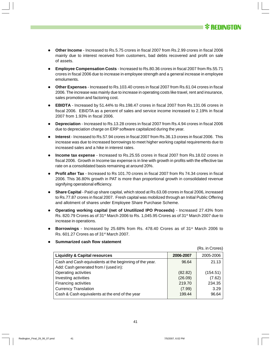

(Rs. in Crores)

- **Other Income** Increased to Rs.5.75 crores in fiscal 2007 from Rs.2.99 crores in fiscal 2006 mainly due to interest received from customers, bad debts recovered and profit on sale of assets.
- **Employee Compensation Costs** Increased to Rs.80.36 crores in fiscal 2007 from Rs.55.71 crores in fiscal 2006 due to increase in employee strength and a general increase in employee emoluments.
- **Other Expenses** Increased to Rs.103.40 crores in fiscal 2007 from Rs.61.04 crores in fiscal 2006. The increase was mainly due to increase in operating costs like travel, rent and insurance, sales promotion and factoring cost.
- **EBIDTA**  Increased by 51.44% to Rs.198.47 crores in fiscal 2007 from Rs.131.06 crores in fiscal 2006. EBIDTA as a percent of sales and service income increased to 2.19% in fiscal 2007 from 1.93% in fiscal 2006.
- **Depreciation**  Increased to Rs.13.28 crores in fiscal 2007 from Rs.4.94 crores in fiscal 2006 due to depreciation charge on ERP software capitalized during the year.
- **Interest**  Increased to Rs.57.94 crores in fiscal 2007 from Rs.36.13 crores in fiscal 2006. This increase was due to increased borrowings to meet higher working capital requirements due to increased sales and a hike in interest rates.
- **Income tax expense** Increased to Rs.25.55 crores in fiscal 2007 from Rs.18.02 crores in fiscal 2006. Growth in Income tax expense is in line with growth in profits with the effective tax rate on a consolidated basis remaining at around 20%.
- **Profit after Tax** Increased to Rs 101.70 crores in fiscal 2007 from Rs 74.34 crores in fiscal 2006. This 36.80% growth in PAT is more than proportional growth in consolidated revenue signifying operational efficiency.
- **Share Capital** Paid up share capital, which stood at Rs.63.08 crores in fiscal 2006, increased to Rs.77.87 crores in fiscal 2007. Fresh capital was mobilized through an Initial Public Offering and allotment of shares under Employee Share Purchase Scheme.
- **Operating working capital (net of Unutilized IPO Proceeds)** Increased 27.43% from Rs. 820.79 Crores as of 31st March 2006 to Rs. 1,045.95 Crores as of 31st March 2007 due to increase in operations.
- **Borrowings** Increased by 25.68% from Rs. 478.40 Crores as of 31<sup>st</sup> March 2006 to Rs. 601.27 Crores as of 31st March 2007.
- **Summarized cash flow statement**

| <b>Liquidity &amp; Capital resources</b>                | 2006-2007 | 2005-2006 |
|---------------------------------------------------------|-----------|-----------|
| Cash and Cash equivalents at the beginning of the year. | 96.64     | 21.13     |
| Add: Cash generated from / (used in):                   |           |           |
| Operating activities                                    | (82.82)   | (154.51)  |
| Investing activities                                    | (26.09)   | (7.62)    |
| Financing activities                                    | 219.70    | 234.35    |
| <b>Currency Translation</b>                             | (7.99)    | 3.29      |
| Cash & Cash equivalents at the end of the year          | 199.44    | 96.64     |
|                                                         |           |           |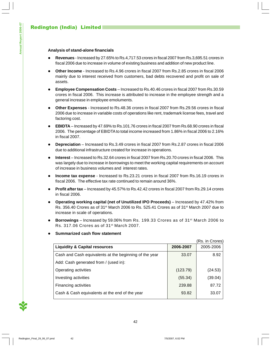#### **Analysis of stand-alone financials**

- **Revenues** Increased by 27.65% to Rs.4,717.53 crores in fiscal 2007 from Rs.3,695.51 crores in fiscal 2006 due to increase in volume of existing business and addition of new product line.
- **Other Income** Increased to Rs.4.96 crores in fiscal 2007 from Rs.2.85 crores in fiscal 2006 mainly due to interest received from customers, bad debts recovered and profit on sale of assets.
- **Employee Compensation Costs** Increased to Rs.40.46 crores in fiscal 2007 from Rs.30.59 crores in fiscal 2006. This increase is attributed to increase in the employee strength and a general increase in employee emoluments.
- **Other Expenses** Increased to Rs.48.36 crores in fiscal 2007 from Rs.29.56 crores in fiscal 2006 due to increase in variable costs of operations like rent, trademark license fees, travel and factoring cost.
- **EBIDTA** Increased by 47.69% to Rs.101.76 crores in fiscal 2007 from Rs.68.90 crores in fiscal 2006. The percentage of EBIDTA to total income increased from 1.86% in fiscal 2006 to 2.16% in fiscal 2007.
- **Depreciation**  Increased to Rs.3.49 crores in fiscal 2007 from Rs.2.87 crores in fiscal 2006 due to additional infrastructure created for increase in operations.
- **Interest**  Increased to Rs.32.64 crores in fiscal 2007 from Rs.20.70 crores in fiscal 2006. This was largely due to increase in borrowings to meet the working capital requirements on account of increase in business volumes and interest rates.
- **Income tax expense** Increased to Rs.23.21 crores in fiscal 2007 from Rs.16.19 crores in fiscal 2006. The effective tax rate continued to remain around 36%.
- **Profit after tax**  Increased by 45.57% to Rs.42.42 crores in fiscal 2007 from Rs.29.14 crores in fiscal 2006.
- **Operating working capital (net of Unutilized IPO Proceeds)** Increased by 47.42% from Rs. 356.40 Crores as of 31<sup>st</sup> March 2006 to Rs. 525.41 Crores as of 31<sup>st</sup> March 2007 due to increase in scale of operations.
- **Borrowings** Increased by 59.06% from Rs. 199.33 Crores as of 31<sup>st</sup> March 2006 to Rs. 317.06 Crores as of 31st March 2007.

|                                                        |           | (Rs. in Crores) |
|--------------------------------------------------------|-----------|-----------------|
| <b>Liquidity &amp; Capital resources</b>               | 2006-2007 | 2005-2006       |
| Cash and Cash equivalents at the beginning of the year | 33.07     | 8.92            |
| Add: Cash generated from / (used in):                  |           |                 |
| Operating activities                                   | (123.79)  | (24.53)         |
| Investing activities                                   | (55.34)   | (39.04)         |
| Financing activities                                   | 239.88    | 87.72           |
| Cash & Cash equivalents at the end of the year         | 93.82     | 33.07           |

**Summarized cash flow statement**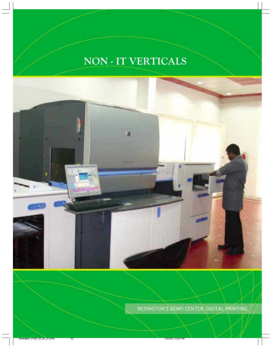# NON - IT VERTICALS



REDINGTON'S DEMO CENTER, DIGITAL PRINTING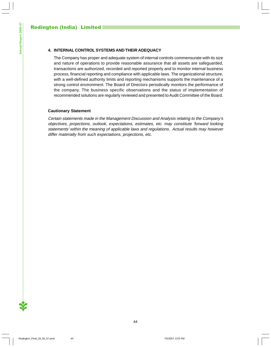#### **4. INTERNAL CONTROL SYSTEMS AND THEIR ADEQUACY**

The Company has proper and adequate system of internal controls commensurate with its size and nature of operations to provide reasonable assurance that all assets are safeguarded, transactions are authorized, recorded and reported properly and to monitor internal business process, financial reporting and compliance with applicable laws. The organizational structure, with a well-defined authority limits and reporting mechanisms supports the maintenance of a strong control environment. The Board of Directors periodically monitors the performance of the company. The business specific observations and the status of implementation of recommended solutions are regularly reviewed and presented to Audit Committee of the Board.

#### **Cautionary Statement**

Certain statements made in the Management Discussion and Analysis relating to the Company's objectives, projections, outlook, expectations, estimates, etc. may constitute 'forward looking statements' within the meaning of applicable laws and regulations. Actual results may however differ materially from such expectations, projections, etc.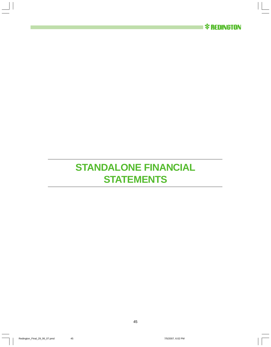

# **STANDALONE FINANCIAL STATEMENTS**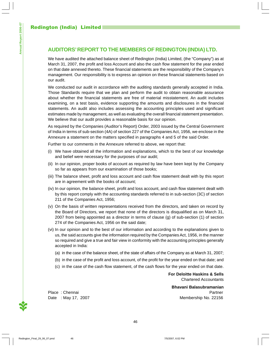We have audited the attached balance sheet of Redington (India) Limited, (the "Company") as at March 31, 2007, the profit and loss Account and also the cash flow statement for the year ended on that date annexed thereto. These financial statements are the responsibility of the Company's management. Our responsibility is to express an opinion on these financial statements based on our audit.

We conducted our audit in accordance with the auditing standards generally accepted in India. Those Standards require that we plan and perform the audit to obtain reasonable assurance about whether the financial statements are free of material misstatement. An audit includes examining, on a test basis, evidence supporting the amounts and disclosures in the financial statements. An audit also includes assessing the accounting principles used and significant estimates made by management, as well as evaluating the overall financial statement presentation. We believe that our audit provides a reasonable basis for our opinion.

As required by the Companies (Auditor's Report) Order, 2003 issued by the Central Government of India in terms of sub-section (4A) of section 227 of the Companies Act, 1956, we enclose in the Annexure a statement on the matters specified in paragraphs 4 and 5 of the said Order.

Further to our comments in the Annexure referred to above, we report that:

- (i) We have obtained all the information and explanations, which to the best of our knowledge and belief were necessary for the purposes of our audit;
- (ii) In our opinion, proper books of account as required by law have been kept by the Company so far as appears from our examination of those books;
- (iii) The balance sheet, profit and loss account and cash flow statement dealt with by this report are in agreement with the books of account;
- (iv) In our opinion, the balance sheet, profit and loss account, and cash flow statement dealt with by this report comply with the accounting standards referred to in sub-section (3C) of section 211 of the Companies Act, 1956;
- (v) On the basis of written representations received from the directors, and taken on record by the Board of Directors, we report that none of the directors is disqualified as on March 31, 2007 from being appointed as a director in terms of clause (g) of sub-section (1) of section 274 of the Companies Act, 1956 on the said date;
- (vi) In our opinion and to the best of our information and according to the explanations given to us, the said accounts give the information required by the Companies Act, 1956, in the manner so required and give a true and fair view in conformity with the accounting principles generally accepted in India:
	- (a) in the case of the balance sheet, of the state of affairs of the Company as at March 31, 2007;
	- (b) in the case of the profit and loss account, of the profit for the year ended on that date; and
	- (c) in the case of the cash flow statement, of the cash flows for the year ended on that date.

**For Deloitte Haskins & Sells** Chartered Accountants

**Bhavani Balasubramanian** Place : Chennai Partner Partner Partner Partner Partner Partner Partner Partner Partner Date : May 17, 2007 Membership No. 22156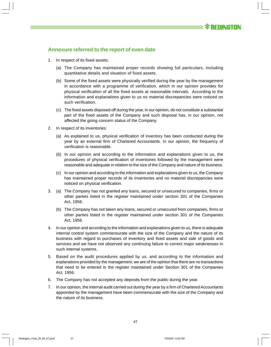# **Annexure referred to the report of even date**

- 1. In respect of its fixed assets:
	- (a) The Company has maintained proper records showing full particulars, including quantitative details and situation of fixed assets.
	- (b) Some of the fixed assets were physically verified during the year by the management in accordance with a programme of verification, which in our opinion provides for physical verification of all the fixed assets at reasonable intervals. According to the information and explanations given to us no material discrepancies were noticed on such verification.
	- (c) The fixed assets disposed off during the year, in our opinion, do not constitute a substantial part of the fixed assets of the Company and such disposal has, in our opinion, not affected the going concern status of the Company.
- 2. In respect of its inventories:
	- (a) As explained to us, physical verification of inventory has been conducted during the year by an external firm of Chartered Accountants. In our opinion, the frequency of verification is reasonable.
	- (b) In our opinion and according to the information and explanations given to us, the procedures of physical verification of inventories followed by the management were reasonable and adequate in relation to the size of the Company and nature of its business.
	- (c) In our opinion and according to the information and explanations given to us, the Company has maintained proper records of its inventories and no material discrepancies were noticed on physical verification.
- 3. (a) The Company has not granted any loans, secured or unsecured to companies, firms or other parties listed in the register maintained under section 301 of the Companies Act, 1956.
	- (b) The Company has not taken any loans, secured or unsecured from companies, firms or other parties listed in the register maintained under section 301 of the Companies Act, 1956.
- 4. In our opinion and according to the information and explanations given to us, there is adequate internal control system commensurate with the size of the Company and the nature of its business with regard to purchases of inventory and fixed assets and sale of goods and services and we have not observed any continuing failure to correct major weaknesses in such internal systems.
- 5. Based on the audit procedures applied by us, and according to the information and explanations provided by the management, we are of the opinion that there are no transactions that need to be entered in the register maintained under Section 301 of the Companies Act, 1956.
- 6. The Company has not accepted any deposits from the public during the year.
- 7. In our opinion, the internal audit carried out during the year by a firm of Chartered Accountants appointed by the management have been commensurate with the size of the Company and the nature of its business.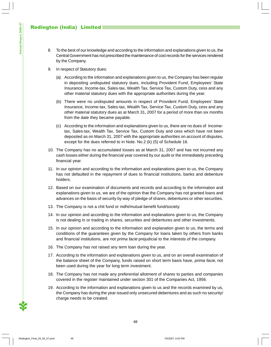- 8. To the best of our knowledge and according to the information and explanations given to us, the Central Government has not prescribed the maintenance of cost records for the services rendered by the Company.
- 9. In respect of Statutory dues:
	- (a) According to the information and explanations given to us, the Company has been regular in depositing undisputed statutory dues, including Provident Fund, Employees' State Insurance, Income-tax, Sales-tax, Wealth Tax, Service Tax, Custom Duty, cess and any other material statutory dues with the appropriate authorities during the year.
	- (b) There were no undisputed amounts in respect of Provident Fund, Employees' State Insurance, Income-tax, Sales-tax, Wealth Tax, Service Tax, Custom Duty, cess and any other material statutory dues as at March 31, 2007 for a period of more than six months from the date they became payable.
	- (c) According to the information and explanations given to us, there are no dues of Incometax, Sales-tax, Wealth Tax, Service Tax, Custom Duty and cess which have not been deposited as on March 31, 2007 with the appropriate authorities on account of disputes, except for the dues referred to in Note. No.2 (k) (5) of Schedule 16.
- 10. The Company has no accumulated losses as at March 31, 2007 and has not incurred any cash losses either during the financial year covered by our audit or the immediately preceding financial year.
- 11. In our opinion and according to the information and explanations given to us, the Company has not defaulted in the repayment of dues to financial institutions, banks and debenture holders.
- 12. Based on our examination of documents and records and according to the information and explanations given to us, we are of the opinion that the Company has not granted loans and advances on the basis of security by way of pledge of shares, debentures or other securities.
- 13. The Company is not a chit fund or nidhi/mutual benefit fund/society.
- 14. In our opinion and according to the information and explanations given to us, the Company is not dealing in or trading in shares, securities and debentures and other investments.
- 15. In our opinion and according to the information and explanation given to us, the terms and conditions of the guarantees given by the Company for loans taken by others from banks and financial institutions, are not prima facie prejudicial to the interests of the company.
- 16. The Company has not raised any term loan during the year.
- 17. According to the information and explanations given to us, and on an overall examination of the balance sheet of the Company, funds raised on short term basis have, *prima facie*, not been used during the year for long term investment.
- 18. The Company has not made any preferential allotment of shares to parties and companies covered in the register maintained under section 301 of the Companies Act, 1956.
- 19. According to the information and explanations given to us and the records examined by us, the Company has during the year issued only unsecured debentures and as such no security/ charge needs to be created.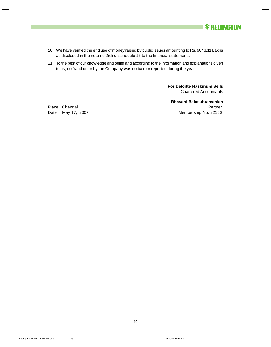

- 20. We have verified the end use of money raised by public issues amounting to Rs. 9043.11 Lakhs as disclosed in the note no 2(d) of schedule 16 to the financial statements.
- 21. To the best of our knowledge and belief and according to the information and explanations given to us, no fraud on or by the Company was noticed or reported during the year.

**For Deloitte Haskins & Sells** Chartered Accountants

**Bhavani Balasubramanian** Place : Chennai Partner Partner Partner Partner Partner Partner Partner Partner Partner Date : May 17, 2007 Membership No. 22156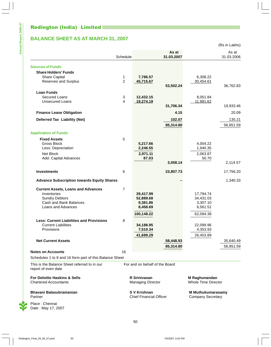# Redington (India) Limited

Date : May 17, 2007

# **BALANCE SHEET AS AT MARCH 31, 2007**

(Rs in Lakhs)

|                                                                     |                |                                |                     |                            | (RS IN LAKNS)       |
|---------------------------------------------------------------------|----------------|--------------------------------|---------------------|----------------------------|---------------------|
|                                                                     | Schedule       |                                | As at<br>31.03.2007 |                            | As at<br>31.03.2006 |
| <b>Sources of Funds</b>                                             |                |                                |                     |                            |                     |
| <b>Share Holders' Funds</b>                                         |                |                                |                     |                            |                     |
| <b>Share Capital</b>                                                | 1              | 7,786.57                       |                     | 6,308.22                   |                     |
| <b>Reserves and Surplus</b>                                         | $\overline{c}$ | 45,715.67                      |                     | 30,454.61                  |                     |
|                                                                     |                |                                | 53,502.24           |                            | 36,762.83           |
| <b>Loan Funds</b>                                                   |                |                                |                     |                            |                     |
| <b>Secured Loans</b>                                                | 3              | 12,432.15                      |                     | 8,051.84                   |                     |
| <b>Unsecured Loans</b>                                              | 4              | 19,274.19                      |                     | 11,881.62                  |                     |
|                                                                     |                |                                | 31,706.34           |                            | 19,933.46           |
| <b>Finance Lease Obligation</b>                                     |                |                                | 4.15                |                            | 20.09               |
| <b>Deferred Tax Liability (Net)</b>                                 |                |                                | 102.07              |                            | 135.21              |
|                                                                     |                |                                | 85,314.80           |                            | 56,851.59           |
| <b>Application of Funds</b>                                         |                |                                |                     |                            |                     |
| <b>Fixed Assets</b>                                                 | 5              |                                |                     |                            |                     |
| <b>Gross Block</b>                                                  |                | 5,217.66                       |                     | 4,004.22                   |                     |
| Less: Depreciation                                                  |                | 2,246.55                       |                     | 1,940.35                   |                     |
| Net Block                                                           |                | 2,971.11                       |                     | 2,063.87                   |                     |
| Add: Capital Advances                                               |                | 87.03                          |                     | 50.70                      |                     |
|                                                                     |                |                                | 3,058.14            |                            | 2,114.57            |
| <b>Investments</b>                                                  | 6              |                                | 23,807.73           |                            | 17,756.20           |
| <b>Advance Subscription towards Equity Shares</b>                   |                |                                |                     |                            | 1,340.33            |
| <b>Current Assets, Loans and Advances</b>                           | $\overline{7}$ |                                |                     |                            |                     |
| Inventories                                                         |                | 29,417.99                      |                     | 17,794.74                  |                     |
| <b>Sundry Debtors</b>                                               |                | 52,889.68                      |                     | 34,431.03                  |                     |
| Cash and Bank Balances                                              |                | 9,381.86                       |                     | 3,307.10                   |                     |
| Loans and Advances                                                  |                | 8,458.69                       |                     | 6,561.51                   |                     |
|                                                                     |                | 100,148.22                     |                     | 62,094.38                  |                     |
| <b>Less: Current Liabilities and Provisions</b>                     | 8              |                                |                     |                            |                     |
| <b>Current Liabilities</b>                                          |                | 34,188.95                      |                     | 22,099.96                  |                     |
| Provisions                                                          |                | 7,510.34                       |                     | 4,353.93                   |                     |
|                                                                     |                | 41,699.29                      |                     | 26,453.89                  |                     |
| <b>Net Current Assets</b>                                           |                |                                | 58,448.93           |                            | 35,640.49           |
|                                                                     |                |                                | 85,314.80           |                            | 56,851.59           |
| <b>Notes on Accounts</b>                                            | 16             |                                |                     |                            |                     |
| Schedules 1 to 8 and 16 form part of this Balance Sheet             |                |                                |                     |                            |                     |
| This is the Balance Sheet referred to in our<br>report of even date |                | For and on behalf of the Board |                     |                            |                     |
| For Deloitte Haskins & Sells                                        |                | R Srinivasan                   |                     | M Raghunandan              |                     |
| <b>Chartered Accountants</b>                                        |                | <b>Managing Director</b>       |                     | <b>Whole Time Director</b> |                     |
| Bhavani Balasubramanian                                             |                | S V Krishnan                   |                     | <b>M Muthukumarasamy</b>   |                     |
| Partner                                                             |                | <b>Chief Financial Officer</b> |                     | <b>Company Secretary</b>   |                     |
| Place: Chennai                                                      |                |                                |                     |                            |                     |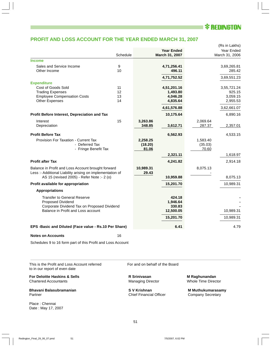# *\* REDINGTON*

### **PROFIT AND LOSS ACCOUNT FOR THE YEAR ENDED MARCH 31, 2007**

|                                                             |          |           |                   |          | (Rs in Lakhs)  |
|-------------------------------------------------------------|----------|-----------|-------------------|----------|----------------|
|                                                             |          |           | <b>Year Ended</b> |          | Year Ended     |
|                                                             | Schedule |           | March 31, 2007    |          | March 31, 2006 |
| <b>Income</b>                                               |          |           |                   |          |                |
| Sales and Service Income                                    | 9        |           | 4,71,256.41       |          | 3,69,265.81    |
| Other Income                                                | 10       |           | 496.11            |          | 285.42         |
|                                                             |          |           | 4,71,752.52       |          | 3,69,551.23    |
| <b>Expenditure</b>                                          |          |           |                   |          |                |
| Cost of Goods Sold                                          | 11       |           | 4,51,201.16       |          | 3,55,721.24    |
| <b>Trading Expenses</b>                                     | 12       |           | 1,493.80          |          | 925.15         |
| <b>Employee Compensation Costs</b>                          | 13       |           | 4,046.28          |          | 3,059.15       |
| <b>Other Expenses</b>                                       | 14       |           | 4,835.64          |          | 2,955.53       |
|                                                             |          |           | 4,61,576.88       |          | 3,62,661.07    |
| Profit Before Interest, Depreciation and Tax                |          |           | 10,175.64         |          | 6,890.16       |
| Interest                                                    | 15       | 3,263.86  |                   | 2,069.64 |                |
| Depreciation                                                |          | 348.85    | 3,612.71          | 287.37   | 2,357.01       |
|                                                             |          |           |                   |          |                |
| <b>Profit Before Tax</b>                                    |          |           | 6,562.93          |          | 4,533.15       |
| Provision For Taxation - Current Tax                        |          | 2,258.25  |                   | 1,583.40 |                |
| - Deferred Tax                                              |          | (18.20)   |                   | (35.03)  |                |
| - Fringe Benefit Tax                                        |          | 81.06     |                   | 70.60    |                |
|                                                             |          |           | 2,321.11          |          | 1,618.97       |
| <b>Profit after Tax</b>                                     |          |           | 4,241.82          |          | 2,914.18       |
| Balance in Profit and Loss Account brought forward          |          | 10,989.31 |                   | 8,075.13 |                |
| Less :- Additional Liability arising on implementation of   |          | 29.43     |                   |          |                |
| AS 15 (revised 2005) - Refer Note :- 2 (o)                  |          |           | 10,959.88         |          | 8,075.13       |
| Profit available for appropriation                          |          |           | 15,201.70         |          | 10,989.31      |
| <b>Appropriations</b>                                       |          |           |                   |          |                |
| <b>Transfer to General Reserve</b>                          |          |           | 424.18            |          |                |
| Proposed Dividend                                           |          |           | 1,946.64          |          |                |
| Corporate Dividend Tax on Proposed Dividend                 |          |           | 330.83            |          |                |
| Balance in Profit and Loss account                          |          |           | 12,500.05         |          | 10,989.31      |
|                                                             |          |           | 15,201.70         |          | 10,989.31      |
|                                                             |          |           |                   |          |                |
| EPS -Basic and Diluted (Face value - Rs.10 Per Share)       |          |           | 6.41              |          | 4.79           |
| <b>Notes on Accounts</b>                                    | 16       |           |                   |          |                |
| Schedules 9 to 16 form part of this Profit and Loss Account |          |           |                   |          |                |
|                                                             |          |           |                   |          |                |
|                                                             |          |           |                   |          |                |
|                                                             |          |           |                   |          |                |

This is the Profit and Loss Account referred For and on behalf of the Board to in our report of even date

**For Deloitte Haskins & Sells**<br>
Chartered Accountants<br>
Chartered Accountants<br>
Managing Director<br>
Managing Director<br>
Whole Time Director Chartered Accountants **Managing Director** Managing Director

**Bhavani Balasubramanian S V Krishnan S V Krishnan M Muthukumarasamy**<br>Partner Company Secretary Chief Financial Officer Company Secretary

Place : Chennai Date : May 17, 2007

Chief Financial Officer Company Secretary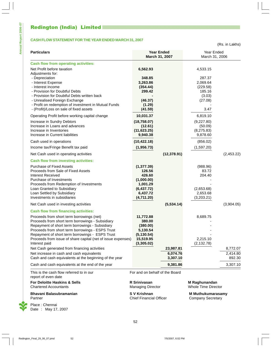# Redington (India) Limited

**Annual Report 2006-07**

Annual Report 2006-07

#### **CASH FLOW STATEMENT FOR THE YEAR ENDED MARCH 31, 2007**

(Rs. in Lakhs)

| <b>Particulars</b>                                                                                                                                                                                                                                                                                                                                                                                                                                                                                                                                                                                 | <b>Year Ended</b><br>March 31, 2007                                                                                                    | Year Ended<br>March 31, 2006                                        |                                            |  |
|----------------------------------------------------------------------------------------------------------------------------------------------------------------------------------------------------------------------------------------------------------------------------------------------------------------------------------------------------------------------------------------------------------------------------------------------------------------------------------------------------------------------------------------------------------------------------------------------------|----------------------------------------------------------------------------------------------------------------------------------------|---------------------------------------------------------------------|--------------------------------------------|--|
| <b>Cash flow from operating activities:</b>                                                                                                                                                                                                                                                                                                                                                                                                                                                                                                                                                        |                                                                                                                                        |                                                                     |                                            |  |
| Net Profit before taxation<br>Adjustments for:                                                                                                                                                                                                                                                                                                                                                                                                                                                                                                                                                     | 6,562.93                                                                                                                               | 4,533.15                                                            |                                            |  |
| - Depreciation<br>- Interest Expense<br>- Interest income<br>- Provision for Doubtful Debts<br>- Provision for Doubtful Debts written back                                                                                                                                                                                                                                                                                                                                                                                                                                                         | 348.85<br>3,263.86<br>(354.44)<br>299.42                                                                                               | 287.37<br>2,069.64<br>(229.58)<br>185.16<br>(3.03)                  |                                            |  |
| - Unrealised Foreign Exchange<br>- Profit on redemption of investment in Mutual Funds<br>- (Profit)/Loss on sale of fixed assets                                                                                                                                                                                                                                                                                                                                                                                                                                                                   | (46.37)<br>(1.29)<br>(41.59)                                                                                                           | (27.08)<br>3.47                                                     |                                            |  |
| Operating Profit before working capital change<br>Increase in Sundry Debtors<br>Increase in Loans and advances<br>Increase in Inventories<br>Increase in Current liabilities                                                                                                                                                                                                                                                                                                                                                                                                                       | 10,031.37<br>(18, 758.07)<br>(12.61)<br>(11, 623.25)<br>9,940.38                                                                       | 6,819.10<br>(9,227.80)<br>(50.09)<br>(8,275.83)<br>9,878.60         |                                            |  |
| Cash used in operations<br>Income tax/Fringe Benefit tax paid                                                                                                                                                                                                                                                                                                                                                                                                                                                                                                                                      | (10, 422.18)<br>(1,956.73)                                                                                                             | (856.02)<br>(1,597.20)                                              |                                            |  |
| Net Cash used in operating activities                                                                                                                                                                                                                                                                                                                                                                                                                                                                                                                                                              | (12, 378.91)                                                                                                                           |                                                                     | (2,453.22)                                 |  |
| <b>Cash flow from investing activities:</b><br><b>Purchase of Fixed Assets</b><br>Proceeds from Sale of Fixed Assets<br>Interest Received<br>Purchase of Investments<br>Proceeds from Redemption of Investments<br>Loan Granted to Subsidiary<br>Loan Settled by Subsidiary<br>Investments in subsidiaries                                                                                                                                                                                                                                                                                         | (1, 377.39)<br>126.56<br>426.60<br>(1,000.00)<br>1,001.29<br>(6, 437.72)<br>6,437.72<br>(4,711.20)                                     | (988.96)<br>83.72<br>204.40<br>(2,653.68)<br>2,653.68<br>(3,203.21) |                                            |  |
| Net Cash used in investing activities                                                                                                                                                                                                                                                                                                                                                                                                                                                                                                                                                              | (5,534.14)                                                                                                                             |                                                                     | (3,904.05)                                 |  |
| <b>Cash flow from financing activities:</b><br>Proceeds from short term borrowings (net)<br>Proceeds from short term borrowings - Subsidiary<br>Repayment of short term borrowings - Subsidiary<br>Proceeds from short term borrowings - ESPS Trust<br>Repayment of short term borrowings - ESPS Trust<br>Proceeds from issue of share capital (net of issue expenses)<br>Interest paid<br>Net Cash generated from financing activities<br>Net increase in cash and cash equivalents<br>Cash and cash equivalents at the beginning of the year<br>Cash and cash equivalents at the end of the year | 11,772.88<br>380.00<br>(380.00)<br>5,130.54<br>(5, 130.54)<br>15,519.95<br>(3,305.02)<br>23,987.81<br>6,074.76<br>3,307.10<br>9,381.86 | 8,689.75<br>2,215.10<br>(2, 132.78)                                 | 8,772.07<br>2,414.80<br>892.30<br>3,307.10 |  |
|                                                                                                                                                                                                                                                                                                                                                                                                                                                                                                                                                                                                    |                                                                                                                                        |                                                                     |                                            |  |
| This is the cash flow referred to in our<br>report of even date<br>For Deloitte Haskins & Sells                                                                                                                                                                                                                                                                                                                                                                                                                                                                                                    | For and on behalf of the Board<br>R Srinivasan                                                                                         | M Raghunandan                                                       |                                            |  |

Chartered Accountants Managing Director Whole Time Director

**Bhavani Balasubramanian S V Krishnan S V Krishnan M Muthukumarasamy**<br>Partner Company Secretary

Place : Chennai Date : May 17, 2007

52

Chief Financial Officer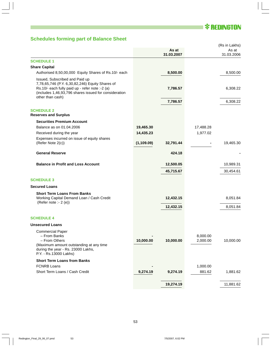# **\* REDINGTON**

# **Schedules forming part of Balance Sheet**

|                                                                                                                                                                                                                    |             |                     |                      | (Rs in Lakhs)       |
|--------------------------------------------------------------------------------------------------------------------------------------------------------------------------------------------------------------------|-------------|---------------------|----------------------|---------------------|
|                                                                                                                                                                                                                    |             | As at<br>31.03.2007 |                      | As at<br>31.03.2006 |
| <b>SCHEDULE 1</b>                                                                                                                                                                                                  |             |                     |                      |                     |
| <b>Share Capital</b>                                                                                                                                                                                               |             |                     |                      |                     |
| Authorised 8,50,00,000 Equity Shares of Rs.10/- each                                                                                                                                                               |             | 8,500.00            |                      | 8,500.00            |
| Issued, Subscribed and Paid up<br>7,78,65,746 (P.Y. 6,30,82,246) Equity Shares of<br>Rs.10/- each fully paid up - refer note :- 2 (a)<br>(includes 1,46,93,796 shares issued for consideration<br>other than cash) |             | 7,786.57            |                      | 6,308.22            |
|                                                                                                                                                                                                                    |             | 7,786.57            |                      | 6,308.22            |
| <b>SCHEDULE 2</b><br><b>Reserves and Surplus</b>                                                                                                                                                                   |             |                     |                      |                     |
| <b>Securities Premium Account</b>                                                                                                                                                                                  |             |                     |                      |                     |
| Balance as on 01.04.2006                                                                                                                                                                                           | 19,465.30   |                     | 17,488.28            |                     |
| Received during the year                                                                                                                                                                                           | 14,435.23   |                     | 1,977.02             |                     |
| Expenses incurred on issue of equity shares<br>(Refer Note 2(c))                                                                                                                                                   | (1, 109.09) | 32,791.44           |                      | 19,465.30           |
| <b>General Reserve</b>                                                                                                                                                                                             |             | 424.18              |                      |                     |
| <b>Balance in Profit and Loss Account</b>                                                                                                                                                                          |             | 12,500.05           |                      | 10,989.31           |
|                                                                                                                                                                                                                    |             | 45,715.67           |                      | 30,454.61           |
| <b>SCHEDULE 3</b>                                                                                                                                                                                                  |             |                     |                      |                     |
| <b>Secured Loans</b>                                                                                                                                                                                               |             |                     |                      |                     |
| <b>Short Term Loans From Banks</b><br>Working Capital Demand Loan / Cash Credit<br>(Refer note :- 2 (e))                                                                                                           |             | 12,432.15           |                      | 8,051.84            |
|                                                                                                                                                                                                                    |             | 12,432.15           |                      | 8,051.84            |
| <b>SCHEDULE 4</b>                                                                                                                                                                                                  |             |                     |                      |                     |
| <b>Unsecured Loans</b>                                                                                                                                                                                             |             |                     |                      |                     |
| <b>Commercial Paper</b><br>- From Banks<br>- From Others<br>(Maximum amount outstanding at any time<br>during the year - Rs. 23000 Lakhs,<br>P.Y. - Rs.13000 Lakhs)                                                | 10,000.00   | 10,000.00           | 8,000.00<br>2,000.00 | 10,000.00           |
| <b>Short Term Loans from Banks</b>                                                                                                                                                                                 |             |                     |                      |                     |
| <b>FCNRB Loans</b>                                                                                                                                                                                                 |             |                     | 1,000.00             |                     |
| Short Term Loans / Cash Credit                                                                                                                                                                                     | 9,274.19    | 9,274.19            | 881.62               | 1,881.62            |
|                                                                                                                                                                                                                    |             | 19,274.19           |                      | 11,881.62           |
|                                                                                                                                                                                                                    |             |                     |                      |                     |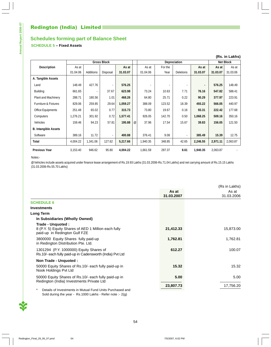# **Schedules forming part of Balance Sheet**

### **SCHEDULE 5 – Fixed Assets**

| (Rs. in Lakhs)                  |          |           |                    |          |   |          |                     |                  |                |                  |          |
|---------------------------------|----------|-----------|--------------------|----------|---|----------|---------------------|------------------|----------------|------------------|----------|
|                                 |          |           | <b>Gross Block</b> |          |   |          | <b>Depreciation</b> |                  |                | <b>Net Block</b> |          |
| <b>Description</b>              | As at    |           |                    | As at    |   | As at    | For the             |                  | As at          | As at            | As at    |
|                                 | 01.04.06 | Additions | Disposal           | 31.03.07 |   | 01.04.06 | Year                | <b>Deletions</b> | 31.03.07       | 31.03.07         | 31.03.06 |
| A. Tangible Assets              |          |           |                    |          |   |          |                     |                  |                |                  |          |
| Land                            | 148.49   | 427.76    | ۰                  | 576.25   |   |          |                     |                  | $\blacksquare$ | 576.25           | 148.49   |
| <b>Building</b>                 | 661.65   | ٠         | 37.67              | 623.98   |   | 73.24    | 10.63               | 7.71             | 76.16          | 547.82           | 588.41   |
| <b>Plant and Machinery</b>      | 288.71   | 180.56    | 1.01               | 468.26   |   | 64.80    | 25.71               | 0.22             | 90.29          | 377.97           | 223.91   |
| <b>Furniture &amp; Fixtures</b> | 829.06   | 259.85    | 29.64              | 1,059.27 |   | 388.09   | 123.52              | 18.39            | 493.22         | 566.05           | 440.97   |
| Office Equipments               | 251.48   | 65.02     | 0.77               | 315.73   |   | 73.80    | 19.67               | 0.16             | 93.31          | 222.42           | 177.68   |
| Computers                       | 1,276.21 | 301.92    | 0.72               | 1,577.41 |   | 926.05   | 142.70              | 0.50             | 1,068.25       | 509.16           | 350.16   |
| Vehicles                        | 159.46   | 94.23     | 57.81              | 195.88   | @ | 37.96    | 17.54               | 15.67            | 39.83          | 156.05           | 121.50   |
| <b>B. Intangible Assets</b>     |          |           |                    |          |   |          |                     |                  |                |                  |          |
| Software                        | 389.16   | 11.72     | $\blacksquare$     | 400.88   |   | 376.41   | 9.08                |                  | 385.49         | 15.39            | 12.75    |
| <b>Total</b>                    | 4,004.22 | 1,341.06  | 127.62             | 5,217.66 |   | 1,940.35 | 348.85              | 42.65            | 2,246.55       | 2,971.11         | 2,063.87 |
| <b>Previous Year</b>            | 3,153.40 | 946.62    | 95.80              | 4,004.22 |   | 1,661.59 | 287.37              | 8.61             | 1,940.35       | 2,063.87         |          |

#### Notes:-

@Vehicles include assets acquired under finance lease arrangement of Rs.19.93 Lakhs (31.03.2006-Rs.71.04 Lakhs) and net carrying amount of Rs.15.15 Lakhs (31.03.2006-Rs.55.70 Lakhs)

|                                                                                                                                     |            | (Rs in Lakhs) |
|-------------------------------------------------------------------------------------------------------------------------------------|------------|---------------|
|                                                                                                                                     | As at      | As at         |
|                                                                                                                                     | 31.03.2007 | 31.03.2006    |
| <b>SCHEDULE 6</b>                                                                                                                   |            |               |
| <b>Investments</b>                                                                                                                  |            |               |
| <b>Long Term</b>                                                                                                                    |            |               |
| In Subsidiaries (Wholly Owned)                                                                                                      |            |               |
| Trade - Unquoted :<br>8 (P.Y. 5) Equity Shares of AED 1 Million each fully<br>paid-up in Redington Gulf FZE                         | 21,412.33  | 15,873.00     |
| 3800000 Equity Shares fully paid-up<br>in Redington Distribution Pte. Ltd.                                                          | 1,762.81   | 1,762.81      |
| 1301294 (P.Y. 1000000) Equity Shares of<br>Rs.10/- each fully paid-up in Cadensworth (India) Pvt Ltd                                | 612.27     | 100.07        |
| Non Trade - Unquoted :                                                                                                              |            |               |
| 50000 Equity Shares of Rs.10/- each fully paid-up in<br>Nook Holdings Pvt Ltd                                                       | 15.32      | 15.32         |
| 50000 Equity Shares of Rs.10/- each fully paid-up in<br>Redington (India) Investments Private Ltd                                   | 5.00       | 5.00          |
|                                                                                                                                     | 23,807.73  | 17,756.20     |
| $\ast$<br>Details of Investments in Mutual Fund Units Purchased and<br>Sold during the year - Rs. 1000 Lakhs - Refer note :- $2(q)$ |            |               |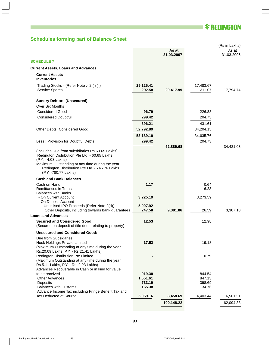# **\* REDINGTON**

# **Schedules forming part of Balance Sheet**

|                                                                                                                                                                                                                                                    |                     | As at<br>31.03.2007 |                     | (Rs in Lakhs)<br>As at<br>31.03.2006 |
|----------------------------------------------------------------------------------------------------------------------------------------------------------------------------------------------------------------------------------------------------|---------------------|---------------------|---------------------|--------------------------------------|
| <b>SCHEDULE 7</b>                                                                                                                                                                                                                                  |                     |                     |                     |                                      |
| <b>Current Assets, Loans and Advances</b>                                                                                                                                                                                                          |                     |                     |                     |                                      |
| <b>Current Assets</b><br><b>Inventories</b>                                                                                                                                                                                                        |                     |                     |                     |                                      |
| Trading Stocks - (Refer Note :- 2 (r))<br>Service Spares                                                                                                                                                                                           | 29,125.41<br>292.58 | 29,417.99           | 17,483.67<br>311.07 | 17,794.74                            |
| <b>Sundry Debtors (Unsecured)</b>                                                                                                                                                                                                                  |                     |                     |                     |                                      |
| <b>Over Six Months</b>                                                                                                                                                                                                                             |                     |                     |                     |                                      |
| <b>Considered Good</b>                                                                                                                                                                                                                             | 96.79               |                     | 226.88              |                                      |
| <b>Considered Doubtful</b>                                                                                                                                                                                                                         | 299.42              |                     | 204.73              |                                      |
|                                                                                                                                                                                                                                                    | 396.21              |                     | 431.61              |                                      |
| Other Debts (Considered Good)                                                                                                                                                                                                                      | 52,792.89           |                     | 34,204.15           |                                      |
|                                                                                                                                                                                                                                                    |                     |                     |                     |                                      |
|                                                                                                                                                                                                                                                    | 53,189.10           |                     | 34,635.76           |                                      |
| Less: Provision for Doubtful Debts                                                                                                                                                                                                                 | 299.42              |                     | 204.73              | 34,431.03                            |
| (Includes Due from subsidiaries Rs.60.65 Lakhs)<br>Redington Distribution Pte Ltd - 60.65 Lakhs<br>(P.Y. - 4.03 Lakhs)<br>Maximum Outstanding at any time during the year<br>Redington Distribution Pte Ltd - 746.76 Lakhs<br>(P.Y. -780.77 Lakhs) |                     | 52,889.68           |                     |                                      |
| <b>Cash and Bank Balances</b>                                                                                                                                                                                                                      |                     |                     |                     |                                      |
| Cash on Hand                                                                                                                                                                                                                                       | 1.17                |                     | 0.64                |                                      |
| <b>Remittances in Transit</b>                                                                                                                                                                                                                      |                     |                     | 6.28                |                                      |
| <b>Balances with Banks</b><br>- On Current Account                                                                                                                                                                                                 | 3,225.19            |                     | 3,273.59            |                                      |
| - On Deposit Account                                                                                                                                                                                                                               |                     |                     |                     |                                      |
| Unutilised IPO Proceeds (Refer Note 2(d))<br>Other Deposits, including towards bank guarantees                                                                                                                                                     | 5,907.92<br>247.58  | 9,381.86            | 26.59               | 3,307.10                             |
| <b>Loans and Advances</b>                                                                                                                                                                                                                          |                     |                     |                     |                                      |
| <b>Secured and Considered Good</b><br>(Secured on deposit of title deed relating to property)                                                                                                                                                      | 12.53               |                     | 12.98               |                                      |
| <b>Unsecured and Considered Good:</b>                                                                                                                                                                                                              |                     |                     |                     |                                      |
| Due from Subsidaries<br>Nook Holdings Private Limited<br>(Maximum Outstanding at any time during the year<br>Rs.20.09 Lakhs, P.Y. - Rs.21.41 Lakhs)                                                                                                | 17.52               |                     | 19.18               |                                      |
| Redington Distribution Pte Limited<br>(Maximum Outstanding at any time during the year<br>Rs.5.11 Lakhs, P.Y. - Rs. 9.93 Lakhs)                                                                                                                    |                     |                     | 0.79                |                                      |
| Advances Recoverable in Cash or in kind for value<br>to be received                                                                                                                                                                                | 919.30              |                     | 844.54              |                                      |
| <b>Other Advances</b>                                                                                                                                                                                                                              | 1,551.61            |                     | 847.13              |                                      |
| Deposits                                                                                                                                                                                                                                           | 733.19              |                     | 398.69              |                                      |
| <b>Balances with Customs</b>                                                                                                                                                                                                                       | 165.38              |                     | 34.76               |                                      |
| Advance Income Tax including Fringe Benefit Tax and<br>Tax Deducted at Source                                                                                                                                                                      | 5,059.16            | 8,458.69            | 4,403.44            | 6,561.51                             |
|                                                                                                                                                                                                                                                    |                     | 100,148.22          |                     | 62,094.38                            |
|                                                                                                                                                                                                                                                    |                     |                     |                     |                                      |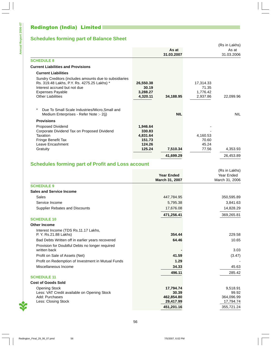# Redington (India) Limited

# **Schedules forming part of Balance Sheet**

|                                                                                                                                                                                              |                                            |            |                                            | (Rs in Lakhs) |
|----------------------------------------------------------------------------------------------------------------------------------------------------------------------------------------------|--------------------------------------------|------------|--------------------------------------------|---------------|
|                                                                                                                                                                                              |                                            | As at      |                                            | As at         |
|                                                                                                                                                                                              |                                            | 31.03.2007 |                                            | 31.03.2006    |
| <b>SCHEDULE 8</b>                                                                                                                                                                            |                                            |            |                                            |               |
| <b>Current Liabilities and Provisions</b>                                                                                                                                                    |                                            |            |                                            |               |
| <b>Current Liabilities</b>                                                                                                                                                                   |                                            |            |                                            |               |
| Sundry Creditors (includes amounts due to subsidiaries<br>Rs. 319.48 Lakhs, P.Y. Rs. 4275.25 Lakhs) *<br>Interest accrued but not due<br><b>Expenses Payable</b><br><b>Other Liabilities</b> | 26,550.38<br>30.19<br>3,288.27<br>4,320.11 | 34,188.95  | 17,314.33<br>71.35<br>1,776.42<br>2,937.86 | 22,099.96     |
| $^\star$<br>Due To Small Scale Industries/Micro, Small and<br>Medium Enterprises - Refer Note :- 2(j)                                                                                        |                                            | <b>NIL</b> |                                            | <b>NIL</b>    |
| <b>Provisions</b>                                                                                                                                                                            |                                            |            |                                            |               |
| <b>Proposed Dividend</b><br>Corporate Dividend Tax on Proposed Dividend                                                                                                                      | 1,946.64<br>330.83                         |            |                                            |               |
| Taxation                                                                                                                                                                                     | 4,831.64                                   |            | 4,160.53                                   |               |
| Fringe Benefit Tax                                                                                                                                                                           | 151.73                                     |            | 70.60                                      |               |
| Leave Encashment                                                                                                                                                                             | 124.26                                     |            | 45.24                                      |               |
| Gratuity                                                                                                                                                                                     | 125.24                                     | 7,510.34   | 77.56                                      | 4,353.93      |
|                                                                                                                                                                                              |                                            | 41,699.29  |                                            | 26,453.89     |

# **Schedules forming part of Profit and Loss account**

|                                                    |                                     | (Rs in Lakhs)                |
|----------------------------------------------------|-------------------------------------|------------------------------|
|                                                    | <b>Year Ended</b><br>March 31, 2007 | Year Ended<br>March 31, 2006 |
|                                                    |                                     |                              |
| <b>SCHEDULE 9</b>                                  |                                     |                              |
| <b>Sales and Service Income</b>                    |                                     |                              |
| Sales                                              | 447,784.95                          | 350,595.89                   |
| Service Income                                     | 5,795.38                            | 3,841.63                     |
| <b>Supplier Rebates and Discounts</b>              | 17,676.08                           | 14,828.29                    |
|                                                    | 471,256.41                          | 369,265.81                   |
| <b>SCHEDULE 10</b>                                 |                                     |                              |
| <b>Other Income</b>                                |                                     |                              |
| Interest Income (TDS Rs.11.17 Lakhs,               |                                     |                              |
| P. Y. Rs.21.88 Lakhs)                              | 354.44                              | 229.58                       |
| Bad Debts Written off in earlier years recovered   | 64.46                               | 10.65                        |
| Provision for Doubtful Debts no longer required    |                                     |                              |
| written back                                       |                                     | 3.03                         |
| Profit on Sale of Assets (Net)                     | 41.59                               | (3.47)                       |
| Profit on Redemption of Investment in Mutual Funds | 1.29                                |                              |
| Miscellaneous Income                               | 34.33                               | 45.63                        |
|                                                    | 496.11                              | 285.42                       |
| <b>SCHEDULE 11</b>                                 |                                     |                              |
| <b>Cost of Goods Sold</b>                          |                                     |                              |
| <b>Opening Stock</b>                               | 17,794.74                           | 9,518.91                     |
| Less: VAT Credit available on Opening Stock        | 30.39                               | 99.92                        |
| Add: Purchases                                     | 462,854.80                          | 364,096.99                   |
| Less: Closing Stock                                | 29,417.99                           | 17,794.74                    |
|                                                    | 451,201.16                          | 355,721.24                   |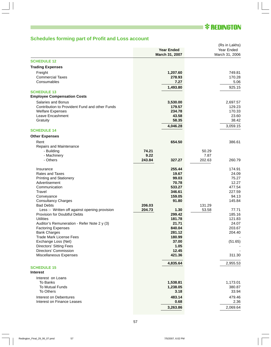# **\* REDINGTON**

# **Schedules forming part of Profit and Loss account**

|                                                       | <b>Year Ended</b><br>March 31, 2007 | (Rs in Lakhs)<br>Year Ended<br>March 31, 2006 |
|-------------------------------------------------------|-------------------------------------|-----------------------------------------------|
| <b>SCHEDULE 12</b>                                    |                                     |                                               |
| <b>Trading Expenses</b>                               |                                     |                                               |
| Freight                                               | 1,207.60                            | 749.81                                        |
| <b>Commercial Taxes</b>                               | 278.93                              | 170.28                                        |
| Consumables                                           | 7.27                                | 5.06                                          |
|                                                       | 1,493.80                            | 925.15                                        |
| <b>SCHEDULE 13</b>                                    |                                     |                                               |
| <b>Employee Compensation Costs</b>                    |                                     |                                               |
| Salaries and Bonus                                    | 3,530.00                            | 2,697.57                                      |
| Contribution to Provident Fund and other Funds        | 179.57                              | 129.23                                        |
| <b>Welfare Expenses</b>                               | 234.78                              | 170.33                                        |
| Leave Encashment                                      | 43.58<br>58.35                      | 23.60<br>38.42                                |
| Gratuity                                              |                                     |                                               |
| <b>SCHEDULE 14</b>                                    | 4,046.28                            | 3,059.15                                      |
| <b>Other Expenses</b>                                 |                                     |                                               |
| Rent                                                  | 654.50                              | 386.61                                        |
| Repairs and Maintenance                               |                                     |                                               |
| - Building                                            | 74.21                               | 50.29                                         |
| - Machinery                                           | 9.22                                | 7.87                                          |
| - Others                                              | 243.84<br>327.27                    | 202.63<br>260.79                              |
|                                                       |                                     |                                               |
| Insurance<br><b>Rates and Taxes</b>                   | 255.44<br>19.67                     | 174.91<br>24.09                               |
| <b>Printing and Stationery</b>                        | 99.03                               | 75.27                                         |
| Advertisement                                         | 70.78                               | 12.27                                         |
| Communication                                         | 533.27                              | 477.54                                        |
| Travel                                                | 346.61                              | 227.59                                        |
| Conveyance                                            | 159.05                              | 94.13                                         |
| <b>Consultancy Charges</b><br><b>Bad Debts</b>        | 91.80                               | 145.84<br>131.29                              |
| Less :- Written off against opening provision         | 206.03<br>204.73<br>1.30            | 53.58<br>77.71                                |
| Provision for Doubtful Debts                          | 299.42                              | 185.16                                        |
| Utilities                                             | 181.78                              | 121.83                                        |
| Auditor's Remuneration - Refer Note 2 y (3)           | 21.71                               | 24.07                                         |
| <b>Factoring Expenses</b>                             | 840.04                              | 203.67                                        |
| <b>Bank Charges</b>                                   | 281.12                              | 204.40                                        |
| <b>Trade Mark License Fees</b><br>Exchange Loss (Net) | 180.99<br>37.00                     | (51.65)                                       |
| <b>Directors' Sitting Fees</b>                        | 1.05                                |                                               |
| Directors' Commission                                 | 12.45                               |                                               |
| Miscellaneous Expenses                                | 421.36                              | 311.30                                        |
|                                                       | 4,835.64                            | 2,955.53                                      |
| <b>SCHEDULE 15</b>                                    |                                     |                                               |
| <b>Interest</b>                                       |                                     |                                               |
| Interest on Loans                                     |                                     |                                               |
| To Banks                                              | 1,538.81                            | 1,173.01                                      |
| <b>To Mutual Funds</b>                                | 1,238.05                            | 380.87                                        |
| To Others                                             | 3.18                                | 33.94                                         |
| Interest on Debentures                                | 483.14                              | 479.46                                        |
| Interest on Finance Leases                            | 0.68                                | 2.36                                          |
|                                                       | 3,263.86                            | 2,069.64                                      |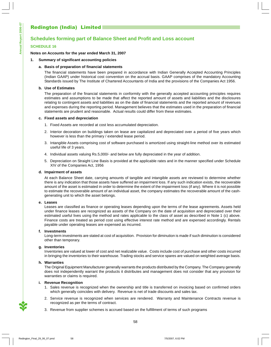# Redington (India) Limited

## **Schedules forming part of Balance Sheet and Profit and Loss account**

#### **SCHEDULE 16**

#### **Notes on Accounts for the year ended March 31, 2007**

#### **1. Summary of significant accounting policies**

#### **a. Basis of preparation of financial statements**

The financial statements have been prepared in accordance with Indian Generally Accepted Accounting Principles (Indian GAAP) under historical cost convention on the accrual basis. GAAP comprises of the mandatory Accounting Standards issued by The Institute of Chartered Accountants of India and the provisions of the Companies Act 1956.

#### **b. Use of Estimates**

The preparation of the financial statements in conformity with the generally accepted accounting principles requires estimates and assumptions to be made that affect the reported amount of assets and liabilities and the disclosures relating to contingent assets and liabilities as on the date of financial statements and the reported amount of revenues and expenses during the reporting period. Management believes that the estimates used in the preparation of financial statements are prudent and reasonable. Actual results could differ from these estimates.

#### **c. Fixed assets and depreciation**

- 1. Fixed Assets are recorded at cost less accumulated depreciation.
- 2. Interior decoration on buildings taken on lease are capitalized and depreciated over a period of five years which however is less than the primary / extended lease period.
- 3. Intangible Assets comprising cost of software purchased is amortized using straight-line method over its estimated useful life of 3 years.
- 4. Individual assets valuing Rs.5,000/- and below are fully depreciated in the year of addition.
- 5. Depreciation on Straight Line Basis is provided at the applicable rates and in the manner specified under Schedule XIV of the Companies Act, 1956

#### **d. Impairment of assets**

At each Balance Sheet date, carrying amounts of tangible and intangible assets are reviewed to determine whether there is any indication that those assets have suffered an impairment loss. If any such indication exists, the recoverable amount of the asset is estimated in order to determine the extent of the impairment loss (if any). Where it is not possible to estimate the recoverable amount of an individual asset, the company estimates the recoverable amount of the cashgenerating unit to which the asset belongs.

#### **e. Leases**

Leases are classified as finance or operating leases depending upon the terms of the lease agreements. Assets held under finance leases are recognized as assets of the Company on the date of acquisition and depreciated over their estimated useful lives using the method and rates applicable to the class of asset as described in Note 1 (c) above. Finance costs are treated as period cost using effective interest rate method and are expensed accordingly. Rentals payable under operating leases are expensed as incurred.

#### **f. Investments**

Long-term investments are stated at cost of acquisition. Provision for diminution is made if such diminution is considered other than temporary.

#### **g. Inventories**

Inventories are valued at lower of cost and net realizable value. Costs include cost of purchase and other costs incurred in bringing the inventories to their warehouse. Trading stocks and service spares are valued on weighted average basis.

#### **h. Warranties**

The Original Equipment Manufacturer generally warrants the products distributed by the Company. The Company generally does not independently warrant the products it distributes and management does not consider that any provision for warranties or claims is required.

#### **i. Revenue Recognition**

- 1. Sales revenue is recognized when the ownership and title is transferred on invoicing based on confirmed orders which generally coincides with delivery. Revenue is net of trade discounts and sales tax.
- 2. Service revenue is recognized when services are rendered. Warranty and Maintenance Contracts revenue is recognized as per the terms of contract.
- 3. Revenue from supplier schemes is accrued based on the fulfillment of terms of such programs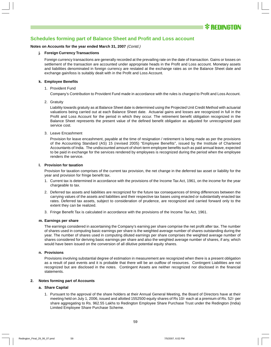

#### **Schedules forming part of Balance Sheet and Profit and Loss account**

#### **Notes on Accounts for the year ended March 31, 2007** (Contd.)

#### **j. Foreign Currency Transactions**

Foreign currency transactions are generally recorded at the prevailing rate on the date of transaction. Gains or losses on settlement of the transaction are accounted under appropriate heads in the Profit and Loss account. Monetary assets and liabilities denominated in foreign currency are restated at the exchange rates as on the Balance Sheet date and exchange gain/loss is suitably dealt with in the Profit and Loss Account.

#### **k. Employee Benefits**

1. Provident Fund

Company's Contribution to Provident Fund made in accordance with the rules is charged to Profit and Loss Account.

2. Gratuity

Liability towards gratuity as at Balance Sheet date is determined using the Projected Unit Credit Method with actuarial valuations being carried out at each Balance Sheet date. Actuarial gains and losses are recognized in full in the Profit and Loss Account for the period in which they occur. The retirement benefit obligation recognized in the Balance Sheet represents the present value of the defined benefit obligation as adjusted for unrecognized past service cost.

3. Leave Encashment

Provision for leave encashment, payable at the time of resignation / retirement is being made as per the provisions of the Accounting Standard (AS) 15 (revised 2005) "Employee Benefits", issued by the Institute of Chartered Accountants of India. The undiscounted amount of short-term employee benefits such as paid annual leave, expected to be paid in exchange for the services rendered by employees is recognized during the period when the employee renders the service.

#### **l. Provision for taxation**

Provision for taxation comprises of the current tax provision, the net change in the deferred tax asset or liability for the year and provision for fringe benefit tax.

- 1. Current tax is determined in accordance with the provisions of the Income Tax Act, 1961, on the income for the year chargeable to tax.
- 2. Deferred tax assets and liabilities are recognized for the future tax consequences of timing differences between the carrying values of the assets and liabilities and their respective tax bases using enacted or substantially enacted tax rates. Deferred tax assets, subject to consideration of prudence, are recognized and carried forward only to the extent they can be realized.
- 3. Fringe Benefit Tax is calculated in accordance with the provisions of the Income Tax Act, 1961.

#### **m. Earnings per share**

The earnings considered in ascertaining the Company's earning per share comprise the net profit after tax. The number of shares used in computing basic earnings per share is the weighted average number of shares outstanding during the year. The number of shares used in computing diluted earnings per share comprises the weighted average number of shares considered for deriving basic earnings per share and also the weighted average number of shares, if any, which would have been issued on the conversion of all dilutive potential equity shares.

#### **n. Provisions**

Provisions involving substantial degree of estimation in measurement are recognized when there is a present obligation as a result of past events and it is probable that there will be an outflow of resources. Contingent Liabilities are not recognized but are disclosed in the notes. Contingent Assets are neither recognized nor disclosed in the financial statements.

#### **2. Notes forming part of Accounts**

#### **a. Share Capital**

1. Pursuant to the approval of the share holders at their Annual General Meeting, the Board of Directors have at their meeting held on July 1, 2006, issued and allotted 1552500 equity shares of Rs 10/- each at a premium of Rs. 52/- per share aggregating to Rs. 962.55 Lakhs to Redington Employee Share Purchase Trust under the Redington (India) Limited Employee Share Purchase Scheme.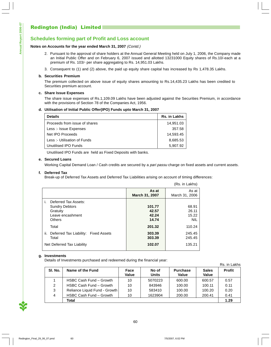#### **Notes on Accounts for the year ended March 31, 2007** (Contd.)

- 2. Pursuant to the approval of share holders at the Annual General Meeting held on July 1, 2006, the Company made an Initial Public Offer and on February 6, 2007 issued and allotted 13231000 Equity shares of Rs.10/-each at a premium of Rs. 103/- per share aggregating to Rs. 14,951.03 Lakhs.
- 3. Consequent to (1) and (2) above, the paid up equity share capital has increased by Rs 1,478.35 Lakhs.

#### **b. Securities Premium**

The premium collected on above issue of equity shares amounting to Rs.14,435.23 Lakhs has been credited to Securities premium account.

#### **c. Share Issue Expenses**

The share issue expenses of Rs.1,109.09 Lakhs have been adjusted against the Securities Premium, in accordance with the provisions of Section 78 of the Companies Act, 1956.

#### **d. Utilisation of Initial Public Offer(IPO) Funds upto March 31, 2007**

| <b>Details</b>                | Rs. in Lakhs |
|-------------------------------|--------------|
| Proceeds from issue of shares | 14,951.03    |
| Less :- Issue Expenses        | 357.58       |
| Net IPO Proceeds              | 14,593.45    |
| Less :- Utilisation of Funds  | 8,685.53     |
| Unutilised IPO Funds          | 5.907.92     |

Unutilised IPO Funds are held as Fixed Deposits with banks.

#### **e. Secured Loans**

Working Capital Demand Loan / Cash credits are secured by a pari passu charge on fixed assets and current assets.

#### **f. Deferred Tax**

Break-up of Deferred Tax Assets and Deferred Tax Liabilities arising on account of timing differences:

|                                                                        |                                   | (Rs. in Lakhs)                        |
|------------------------------------------------------------------------|-----------------------------------|---------------------------------------|
|                                                                        | As at<br>March 31, 2007           | As at<br>March 31, 2006               |
| i.<br>Deferred Tax Assets:                                             |                                   |                                       |
| <b>Sundry Debtors</b><br>Gratuity<br>Leave encashment<br><b>Others</b> | 101.77<br>42.57<br>42.24<br>14.74 | 68.91<br>26.11<br>15.22<br><b>NIL</b> |
| Total                                                                  | 201.32                            | 110.24                                |
| ii. Deferred Tax Liability: Fixed Assets<br>Total                      | 303.39<br>303.39                  | 245.45<br>245.45                      |
| Net Deferred Tax Liability                                             | 102.07                            | 135.21                                |

#### **g. Investments**

Details of Investments purchased and redeemed during the financial year:

|                |                               |               |                       |                          |                       | Rs. in Lakhs  |
|----------------|-------------------------------|---------------|-----------------------|--------------------------|-----------------------|---------------|
| SI. No.        | Name of the Fund              | Face<br>Value | No of<br><b>Units</b> | <b>Purchase</b><br>Value | <b>Sales</b><br>Value | <b>Profit</b> |
|                | HSBC Cash Fund - Growth       | 10            | 5070223               | 600.00                   | 600.57                | 0.57          |
| $\mathcal{P}$  | HSBC Cash Fund - Growth       | 10            | 843946                | 100.00                   | 100.11                | 0.11          |
| 3              | Reliance Liquid Fund - Growth | 10            | 583410                | 100.00                   | 100.20                | 0.20          |
| $\overline{4}$ | HSBC Cash Fund - Growth       | 10            | 1623904               | 200.00                   | 200.41                | 0.41          |
|                | Total                         |               |                       |                          |                       | 1.29          |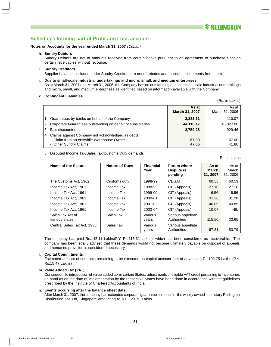#### **Notes on Accounts for the year ended March 31, 2007** (Contd.)

**h. Sundry Debtors**

Sundry Debtors are net of amounts received from certain banks pursuant to an agreement to purchase / assign certain receivables without recourse**.**

#### **i. Sundry Creditors**

Supplier balances included under Sundry Creditors are net of rebates and discount entitlements from them.

**j. Due to small-scale industrial undertakings and micro, small, and medium enterprises** As at March 31, 2007 and March 31, 2006, the Company has no outstanding dues to small-scale industrial undertakings and micro, small, and medium enterprises as identified based on information available with the Company.

#### **k. Contingent Liabilities**

|                                                                                                                           | As at<br><b>March 31, 2007</b> | As at<br>March 31, 2006 |
|---------------------------------------------------------------------------------------------------------------------------|--------------------------------|-------------------------|
| 1. Guarantees by banks on behalf of the Company                                                                           | 2,883.51                       | 110.07                  |
| 2. Corporate Guarantees outstanding on behalf of subsidiaries                                                             | 44,116.17                      | 43,827.00               |
| 3. Bills discounted                                                                                                       | 2,759.28                       | 929.46                  |
| 4. Claims against Company not acknowledged as debts<br>- Claim from an erstwhile Warehouse Owner<br>- Other Sundry Claims | 67.00<br>47.05                 | 67.00<br>41.80          |

#### 5. Disputed Income Tax/Sales Tax/Customs Duty demands

| Name of the Statute                | <b>Nature of Dues</b> | <b>Financial</b><br>Year | Forum where<br>Dispute is<br>pending | As at<br>March<br>31, 2007 | As at<br>March<br>31, 2006 |
|------------------------------------|-----------------------|--------------------------|--------------------------------------|----------------------------|----------------------------|
| The Customs Act, 1962              | Customs duty          | 1998-99                  | <b>CEGAT</b>                         | 60.53                      | 60.53                      |
| Income Tax Act, 1961               | Income Tax            | 1998-99                  | CIT (Appeals)                        | 27.10                      | 27.10                      |
| Income Tax Act, 1961               | Income Tax            | 1999-00                  | CIT (Appeals)                        | 6.56                       | 6.56                       |
| Income Tax Act, 1961               | Income Tax            | 2000-01                  | CIT (Appeals)                        | 31.28                      | 31.28                      |
| Income Tax Act. 1961               | Income Tax            | 2001-02                  | CIT (Appeals)                        | 40.89                      | 40.89                      |
| Income Tax Act, 1961               | Income Tax            | 2003-04                  | CIT (Appeals)                        | 10.07                      | <b>NIL</b>                 |
| Sales Tax Act of<br>various states | Sales Tax             | Various<br>years         | Various appellate<br>Authorities     | 115.50                     | 33.65                      |
| Central Sales Tax Act, 1956        | Sales Tax             | Various<br>years         | Various appellate<br>Authorities     | 97.31                      | 53.79                      |

The company has paid Rs.145.11 Lakhs(P.Y. Rs.113.61 Lakhs), which has been considered as recoverable. The company has been legally advised that these demands would not become ultimately payable on disposal of appeals and hence no provision is considered necessary.

#### **l. Capital Commitments**

Estimated amount of contracts remaining to be executed on capital account (net of advances) Rs.102.75 Lakhs (P.Y. Rs.15.47 Lakhs)

#### **m. Value Added Tax (VAT)**

Consequent to introduction of value added tax in certain States, adjustments of eligible VAT credit pertaining to inventories on hand as on the date of implementation by the respective States have been done in accordance with the guidelines prescribed by the Institute of Chartered Accountants of India.

#### **n. Events occurring after the balance sheet date**

After March 31, 2007, the company has extended corporate guarantee on behalf of the wholly owned subsidiary Redington Distribution Pte Ltd, Singapore amounting to Rs. 123.75 Lakhs.

Rs. in Lakhs

(Rs. in Lakhs)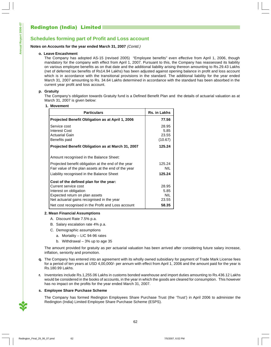### **Notes on Accounts for the year ended March 31, 2007** (Contd.)

#### **o. Leave Encashment**

The Company has adopted AS-15 (revised 2005) "Employee benefits" even effective from April 1, 2006, though mandatory for the company with effect from April 1, 2007. Pursuant to this, the Company has reassessed its liability on various employee benefits as on that date and the additional liability arising thereon amounting to Rs.29.43 Lakhs (net of deferred tax benefits of Rs14.94 Lakhs) has been adjusted against opening balance in profit and loss account which is in accordance with the transitional provisions in the standard. The additional liability for the year ended March 31, 2007 amounting to Rs. 34.64 Lakhs determined in accordance with the standard has been absorbed in the current year profit and loss account.

#### **p. Gratuity**

The Company's obligation towards Gratuity fund is a Defined Benefit Plan and the details of actuarial valuation as at March 31, 2007 is given below:

| 1. Movement                                                                                                                                                              |                                   |
|--------------------------------------------------------------------------------------------------------------------------------------------------------------------------|-----------------------------------|
| <b>Particulars</b>                                                                                                                                                       | Rs. in Lakhs                      |
| Projected Benefit Obligation as at April 1, 2006                                                                                                                         | 77.56                             |
| Service cost<br><b>Interest Cost</b><br><b>Actuarial Gain</b><br>Benefits paid                                                                                           | 28.95<br>5.85<br>23.55<br>(10.67) |
| Projected Benefit Obligation as at March 31, 2007                                                                                                                        | 125.24                            |
| Amount recognised in the Balance Sheet:                                                                                                                                  |                                   |
| Projected benefit obligation at the end of the year<br>Fair value of the plan assets at the end of the year<br>Liability recognised in the Balance Sheet                 | 125.24<br>NIL.<br>125.24          |
| Cost of the defined plan for the year:<br>Current service cost<br>Interest on obligation<br>Expected return on plan assets<br>Net actuarial gains recognised in the year | 28.95<br>5.85<br>NIL<br>23.55     |
| Net cost recognised in the Profit and Loss account                                                                                                                       | 58.35                             |

#### **2. Mean Financial Assumptions**

- A. Discount Rate 7.5% p.a.
- B. Salary escalation rate 4% p.a.
- C. Demographic assumptions
	- a. Mortality LIC 94-96 rates
	- b. Withdrawal 3% up to age 35

The amount provided for gratuity as per actuarial valuation has been arrived after considering future salary increase, inflation, seniority and promotion.

- **q.** The Company has entered into an agreement with its wholly owned subsidiary for payment of Trade Mark License fees for a period of ten years at USD 4,00,000/- per annum with effect from April 1, 2006 and the amount paid for the year is Rs.180.99 Lakhs.
- **r.** Inventories include Rs.1,255.06 Lakhs in customs bonded warehouse and import duties amounting to Rs.436.12 Lakhs would be considered in the books of accounts, in the year in which the goods are cleared for consumption. This however has no impact on the profits for the year ended March 31, 2007.

#### **s. Employee Share Purchase Scheme**

The Company has formed Redington Employees Share Purchase Trust (the 'Trust') in April 2006 to administer the Redington (India) Limited Employee Share Purchase Scheme (ESPS).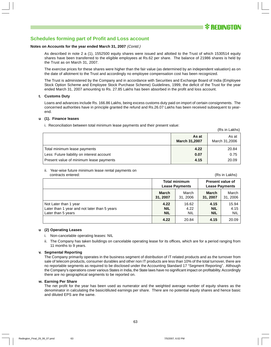#### **Notes on Accounts for the year ended March 31, 2007** (Contd.)

As described in note 2 a (1), 1552500 equity shares were issued and allotted to the Trust of which 1530514 equity shares have been transferred to the eligible employees at Rs.62 per share. The balance of 21986 shares is held by the Trust as on March 31, 2007.

The exercise prices for these shares were higher than the fair value (as determined by an independent valuation) as on the date of allotment to the Trust and accordingly no employee compensation cost has been recognized.

The Trust is administered by the Company and in accordance with Securities and Exchange Board of India (Employee Stock Option Scheme and Employee Stock Purchase Scheme) Guidelines, 1999, the deficit of the Trust for the year ended March 31, 2007 amounting to Rs. 27.85 Lakhs has been absorbed in the profit and loss account.

#### **t. Customs Duty**

Loans and advances include Rs. 166.86 Lakhs, being excess customs duty paid on import of certain consignments. The concerned authorities have in principle granted the refund and Rs.26.07 Lakhs has been received subsequent to yearend.

#### **u (1). Finance leases**

i. Reconciliation between total minimum lease payments and their present value:

|                                            | As at<br><b>March 31,2007</b> | As at<br>March 31,2006 |
|--------------------------------------------|-------------------------------|------------------------|
| Total minimum lease payments               | 4.22                          | 20.84                  |
| Less: Future liability on interest account | 0.07                          | 0.75                   |
| Present value of minimum lease payments    | 4.15                          | 20.09                  |

#### ii. Year-wise future minimum lease rental payments on contracts entered: (Rs in Lakhs)

(Rs in Lakhs)

|                                                                                             | <b>Total minimum</b><br><b>Lease Payments</b> |                             | <b>Present value of</b><br><b>Lease Payments</b> |                             |
|---------------------------------------------------------------------------------------------|-----------------------------------------------|-----------------------------|--------------------------------------------------|-----------------------------|
|                                                                                             | <b>March</b><br>31, 2007                      | March<br>31, 2006           | <b>March</b><br>31, 2007                         | March<br>31, 2006           |
| Not Later than 1 year<br>Later than 1 year and not later than 5 years<br>Later than 5 years | 4.22<br><b>NIL</b><br><b>NIL</b>              | 16.62<br>4.22<br><b>NIL</b> | 4.15<br><b>NIL</b><br><b>NIL</b>                 | 15.94<br>4.15<br><b>NIL</b> |
|                                                                                             | 4.22                                          | 20.84                       | 4.15                                             | 20.09                       |

#### **u (2) Operating Leases**

- i. Non-cancelable operating leases: NIL
- ii. The Company has taken buildings on cancelable operating lease for its offices, which are for a period ranging from 11 months to 9 years.

#### **v. Segmental Reporting**

The Company primarily operates in the business segment of distribution of IT related products and as the turnover from sale of telecom products, consumer durables and other non IT products are less than 10% of the total turnover, there are no reportable segments as required to be disclosed under the Accounting Standard 17 "Segment Reporting". Although the Company's operations cover various States in India, the State laws have no significant impact on profitability. Accordingly there are no geographical segments to be reported on.

#### **w. Earning Per Share**

The net profit for the year has been used as numerator and the weighted average number of equity shares as the denominator in calculating the basic/diluted earnings per share. There are no potential equity shares and hence basic and diluted EPS are the same.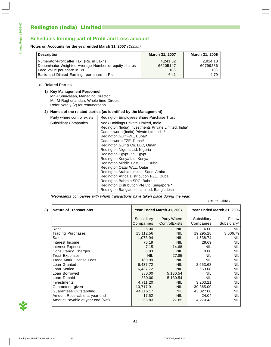#### **Notes on Accounts for the year ended March 31, 2007** (Contd.)

| <b>Description</b>                                   | March 31, 2007 | March 31, 2006 |
|------------------------------------------------------|----------------|----------------|
| Numerator-Profit after Tax (Rs. in Lakhs)            | 4.241.82       | 2.914.18       |
| Denominator-Weighted Average Number of equity shares | 66205147       | 60799286       |
| Face Value per share in Rs.                          | $10/-$         | $10/-$         |
| Basic and Diluted Earnings per share in Rs           | 6.41           | 4.79           |

#### **x. Related Parties**

#### **1) Key Management Personnel**

Mr.R.Srinivasan, Managing Director Mr. M Raghunandan, Whole-time Director Refer Note y (2) for remuneration

#### **2) Names of the related parties (as identified by the Management)**

| Party where control exists  | Redington Employees Share Purchase Trust              |
|-----------------------------|-------------------------------------------------------|
| <b>Subsidiary Companies</b> | Nook Holdings Private Limited, India *                |
|                             | Redington (India) Investments Private Limited, India* |
|                             | Cadensworth (India) Private Ltd, India*               |
|                             | Redington Gulf FZE, Dubai*                            |
|                             | Cadensworth FZE, Dubai*                               |
|                             | Redington Gulf & Co. LLC, Oman                        |
|                             | Redington Nigeria Ltd, Nigeria                        |
|                             | Redington Egypt Ltd, Egypt                            |
|                             | Redington Kenya Ltd, Kenya                            |
|                             | Redington Middle East LLC, Dubai                      |
|                             | Redington Qatar WLL, Qatar                            |
|                             | Redington Arabia Limited, Saudi Araba                 |
|                             | Redington Africa Distribution FZE, Dubai              |
|                             | Redington Bahrain SPC, Bahrain                        |
|                             | Redington Distribution Pte Ltd, Singapore *           |
|                             | Redington Bangladesh Limited, Bangladesh              |
|                             |                                                       |

\*Represents companies with whom transactions have taken place during the year.

(Rs. in Lakhs)

| <b>Nature of Transactions</b>    |            | Year Ended March 31, 2007           |            | Year Ended March 31, 2006 |
|----------------------------------|------------|-------------------------------------|------------|---------------------------|
|                                  | Subsidiary | Party Where<br><b>ControlExists</b> | Subsidiary | Fellow<br>Subsidiary*     |
|                                  | Companies  |                                     | Companies  |                           |
| Rent                             | 6.00       | <b>NIL</b>                          | 6.00       | <b>NIL</b>                |
| <b>Trading Purchases</b>         | 15,112.56  | <b>NIL</b>                          | 19,295.28  | 3,006.79                  |
| Sales                            | 1,073.94   | <b>NIL</b>                          | 1,538.74   | <b>NIL</b>                |
| Interest Income                  | 76.19      | <b>NIL</b>                          | 29.69      | <b>NIL</b>                |
| Interest Expense                 | 7.15       | 14.68                               | <b>NIL</b> | <b>NIL</b>                |
| <b>Consultancy Charges</b>       | 0.83       | <b>NIL</b>                          | 0.88       | <b>NIL</b>                |
| <b>Trust Expenses</b>            | <b>NIL</b> | 27.85                               | <b>NIL</b> | <b>NIL</b>                |
| Trade Mark License Fees          | 180.99     | <b>NIL</b>                          | <b>NIL</b> | <b>NIL</b>                |
| Loan Granted                     | 6,437.72   | <b>NIL</b>                          | 2,653.68   | <b>NIL</b>                |
| Loan Settled                     | 6,437.72   | <b>NIL</b>                          | 2,653.68   | <b>NIL</b>                |
| Loan Borrowed                    | 380.00     | 5,130.54                            | <b>NIL</b> | <b>NIL</b>                |
| Loan Repaid                      | 380.00     | 5,130.54                            | <b>NIL</b> | <b>NIL</b>                |
| Investments                      | 4,711.20   | <b>NIL</b>                          | 3,203.21   | <b>NIL</b>                |
| Guarantees given                 | 10,717.91  | <b>NIL</b>                          | 39,365.00  | <b>NIL</b>                |
| Guarantees Outstanding           | 44,116.17  | <b>NIL</b>                          | 43,827.00  | <b>NIL</b>                |
| Amount Receivable at year end    | 17.52      | <b>NIL</b>                          | 24.04      | NIL                       |
| Amount Payable at year end (Net) | 258.83     | 27.85                               | 4,270.43   | <b>NIL</b>                |

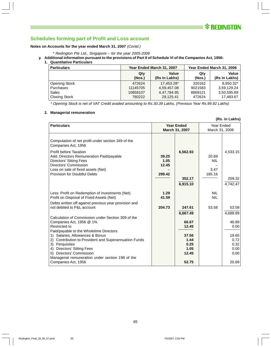

#### **Notes on Accounts for the year ended March 31, 2007** (Contd.)

- \* Redington Pte Ltd., Singapore for the year 2005-2006
- **y. Additional information pursuant to the provisions of Part II of Schedule VI of the Companies Act, 1956:**
	- **1. Quantitative Particulars**

| <b>Particulars</b>   |          | Year Ended March 31, 2007 | Year Ended March 31, 2006 |               |  |  |  |
|----------------------|----------|---------------------------|---------------------------|---------------|--|--|--|
|                      | Qty      | Value                     | Qty                       | Value         |  |  |  |
|                      | (Nos.)   | (Rs in Lakhs)             | (Nos.)                    | (Rs in Lakhs) |  |  |  |
| <b>Opening Stock</b> | 472624   | 17.453.28*                | 320162                    | 8,950.32*     |  |  |  |
| <b>Purchases</b>     | 11145705 | 4.59.457.08               | 9021583                   | 3,59,129.24   |  |  |  |
| Sales                | 10858107 | 4,47,784.95               | 8869121                   | 3,50,595.89   |  |  |  |
| Closing Stock        | 760222   | 29,125.41                 | 472624                    | 17,483.67     |  |  |  |

\* Opening Stock is net of VAT Credit availed amounting to Rs.30.39 Lakhs, (Previous Year Rs.99.92 Lakhs)

#### **2. Managerial remuneration**

|                                                                                                                                                                                                                                                                                                                                                                                                      |                                  |                                                                               |                                       | (Rs. in Lakhs)                                                              |  |  |
|------------------------------------------------------------------------------------------------------------------------------------------------------------------------------------------------------------------------------------------------------------------------------------------------------------------------------------------------------------------------------------------------------|----------------------------------|-------------------------------------------------------------------------------|---------------------------------------|-----------------------------------------------------------------------------|--|--|
| <b>Particulars</b>                                                                                                                                                                                                                                                                                                                                                                                   |                                  | <b>Year Ended</b><br>March 31, 2007                                           | Year Ended<br>March 31, 2006          |                                                                             |  |  |
| Computation of net profit under section 349 of the<br>Companies Act, 1956<br><b>Profit before Taxation</b><br>Add: Directors Remuneration Paid/payable<br>Directors' Sitting Fees<br>Directors' Commission<br>Loss on sale of fixed assets (Net)<br>Provision for Doubtful Debts                                                                                                                     | 39.25<br>1.05<br>12.45<br>299.42 | 6,562.93<br>352.17<br>6,915.10                                                | 20.69<br><b>NIL</b><br>3.47<br>185.16 | 4,533.15<br>209.32<br>4,742.47                                              |  |  |
| Less: Profit on Redemption of investments (Net)<br>Profit on Disposal of Fixed Assets (Net)<br>Debts written off against previous year provision and<br>not debited to P&L account                                                                                                                                                                                                                   | 1.29<br>41.59<br>204.73          | 247.61                                                                        | <b>NIL</b><br><b>NIL</b><br>53.58     | 53.58                                                                       |  |  |
| Calculation of Commission under Section 309 of the<br>Companies Act, 1956 @ 1%<br><b>Restricted to</b><br>Paid/payable to the Wholetime Directors<br>1) Salaries, Allowances & Bonus<br>2) Contribution to Provident and Superannuation Funds<br>3) Perquisites<br>4) Directors' Sitting Fees<br>5) Directors' Commission<br>Managerial remuneration under section 198 of the<br>Companies Act, 1956 |                                  | 6,667.49<br>66.67<br>12.45<br>37.56<br>1.44<br>0.25<br>1.05<br>12.45<br>52.75 |                                       | 4,688.89<br>46.89<br>0.00<br>19.65<br>0.72<br>0.32<br>0.00<br>0.00<br>20.69 |  |  |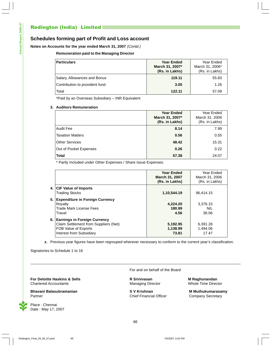# Redington (India) Limited

### **Schedules forming part of Profit and Loss account**

#### **Notes on Accounts for the year ended March 31, 2007** (Contd.)

#### **Remuneration paid to the Managing Director**

| <b>Particulars</b>             | <b>Year Ended</b><br>March 31, 2007*<br>(Rs. in Lakhs) | Year Ended<br>March 31, 2006*<br>(Rs. in Lakhs) |
|--------------------------------|--------------------------------------------------------|-------------------------------------------------|
| Salary, Allowances and Bonus   | 119.11                                                 | 55.83                                           |
| Contribution to provident fund | 3.00                                                   | 1.26                                            |
| Total                          | 122.11                                                 | 57.09                                           |

\*Paid by an Overseas Subsidiary – INR Equivalent

#### **3. Auditors Remuneration**

|                         | <b>Year Ended</b><br>March 31, 2007*<br>(Rs. in Lakhs) | Year Ended<br>March 31, 2006<br>(Rs. in Lakhs) |
|-------------------------|--------------------------------------------------------|------------------------------------------------|
| <b>Audit Fee</b>        | 8.14                                                   | 7.99                                           |
| <b>Taxation Matters</b> | 0.56                                                   | 0.55                                           |
| <b>Other Services</b>   | 48.42                                                  | 15.31                                          |
| Out of Pocket Expenses  | 0.26                                                   | 0.22                                           |
| <b>Total</b>            | 57.38                                                  | 24.07                                          |

\* Partly Included under Other Expenses / Share Issue Expenses.

|      |                                                                                                                                  | <b>Year Ended</b><br>March 31, 2007<br>(Rs. in Lakhs) | Year Ended<br>March 31, 2006<br>(Rs. in Lakhs) |
|------|----------------------------------------------------------------------------------------------------------------------------------|-------------------------------------------------------|------------------------------------------------|
| 4. I | <b>CIF Value of Imports</b><br><b>Trading Stocks</b>                                                                             | 1,10,544.19                                           | 96.414.15                                      |
| 5.1  | <b>Expenditure in Foreign Currency</b><br>Royalty<br>Trade Mark License Fees<br>Travel                                           | 4,224.20<br>180.99<br>4.56                            | 3.376.15<br>NIL<br>36.06                       |
| 6.1  | <b>Earnings in Foreign Currency</b><br>Claim Settlement from Suppliers (Net)<br>FOB Value of Exports<br>Interest from Subsidiary | 5,192.95<br>1,138.99<br>73.81                         | 6.391.28<br>1,494.06<br>17.47                  |

**z.** Previous year figures have been regrouped wherever necessary to conform to the current year's classification.

Signatories to Schedule 1 to 16

**For Deloitte Haskins & Sells**<br>
Chartered Accountants<br>
Managing Director Managing Director Mole Time Director Chartered Accountants **Managing Director** Managing Director

**Bhavani Balasubramanian Nikitary S V Krishnan Nikitary S V Krishnan Nikitary S M Muthukumarasamy** Partner **Chief Financial Officer** Company Secretary Chief Financial Officer Company Secretary



Place : Chennai Date : May 17, 2007 For and on behalf of the Board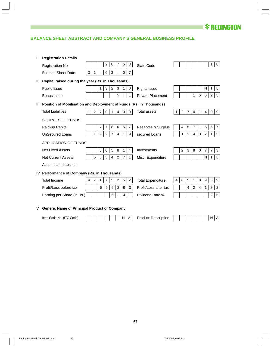

### **BALANCE SHEET ABSTRACT AND COMPANY'S GENERAL BUSINESS PROFILE**

|   | <b>Registration Details</b>                                             |   |                |                |                |                |                |                                |                          |              |                |                |                |                |                |                |                  |
|---|-------------------------------------------------------------------------|---|----------------|----------------|----------------|----------------|----------------|--------------------------------|--------------------------|--------------|----------------|----------------|----------------|----------------|----------------|----------------|------------------|
|   | <b>Registration No</b>                                                  |   |                |                | $\overline{c}$ | 8              | 7              | 5<br>8                         | State Code               |              |                |                |                |                |                | 1              | 8                |
|   | <b>Balance Sheet Date</b>                                               | 3 | 1              |                | $\mathbf 0$    | 3              |                | $\overline{7}$<br>$\mathbf 0$  |                          |              |                |                |                |                |                |                |                  |
| Ш | Capital raised during the year (Rs. in Thousands)                       |   |                |                |                |                |                |                                |                          |              |                |                |                |                |                |                |                  |
|   | <b>Public Issue</b>                                                     |   |                | $\mathbf{1}$   | 3              | $\overline{2}$ | 3              | 1<br>0                         | <b>Rights Issue</b>      |              |                |                |                |                | N              |                | L                |
|   | Bonus Issue                                                             |   |                |                |                |                | N              |                                | <b>Private Placement</b> |              |                |                | 1              | 5              | 5              | $\overline{c}$ | $5\phantom{.0}$  |
|   | III Position of Mobilisation and Deployment of Funds (Rs. in Thousands) |   |                |                |                |                |                |                                |                          |              |                |                |                |                |                |                |                  |
|   | <b>Total Liabilities</b>                                                | 1 | $\overline{2}$ | $\overline{7}$ | $\mathbf 0$    | $\mathbf{1}$   | $\overline{4}$ | $\mathbf 0$<br>9               | <b>Total assets</b>      | $\mathbf{1}$ | $\overline{2}$ | $\overline{7}$ | $\mathbf 0$    | $\mathbf{1}$   | $\overline{4}$ | $\mathbf 0$    | 9                |
|   | SOURCES OF FUNDS                                                        |   |                |                |                |                |                |                                |                          |              |                |                |                |                |                |                |                  |
|   | Paid-up Capital                                                         |   |                | $\overline{7}$ | $\overline{7}$ | 8              | 6              | 5<br>$\overline{7}$            | Reserves & Surplus       |              | 4              | 5              | $\overline{7}$ | 1              | 5              | 6              | $\overline{7}$   |
|   | <b>UnSecured Loans</b>                                                  |   | 1              | 9              | 2              | $\overline{7}$ | $\overline{4}$ | 9<br>1                         | secured Loans            |              | 1              | $\overline{2}$ | $\overline{4}$ | 3              | $\overline{2}$ | 1.             | $5\phantom{.0}$  |
|   | <b>APPLICATION OF FUNDS</b>                                             |   |                |                |                |                |                |                                |                          |              |                |                |                |                |                |                |                  |
|   | <b>Net Fixed Assets</b>                                                 |   |                | 3              | 0              | 5              | 8              | $\overline{4}$<br>$\mathbf{1}$ | Investments              |              | $\overline{2}$ | $\mathbf{3}$   | 8              | $\mathbf 0$    | $\overline{7}$ | $\overline{7}$ | 3                |
|   | <b>Net Current Assets</b>                                               |   | 5              | 8              | $\mathbf{3}$   | $\overline{4}$ | $\overline{c}$ | $\overline{7}$<br>$\mathbf{1}$ | Misc. Expenditure        |              |                |                |                |                | N              |                |                  |
|   | <b>Accumulated Losses</b>                                               |   |                |                |                |                |                |                                |                          |              |                |                |                |                |                |                |                  |
|   | IV Performance of Company (Rs. in Thousands)                            |   |                |                |                |                |                |                                |                          |              |                |                |                |                |                |                |                  |
|   | <b>Total Income</b>                                                     | 4 | $\overline{7}$ | $\mathbf{1}$   | $\overline{7}$ | 5              | $\overline{c}$ | 5<br>$\overline{2}$            | <b>Total Expenditure</b> | 4            | 6              | $\sqrt{5}$     | 1              | 8              | 9              | $\sqrt{5}$     | 9                |
|   | Profit/Loss before tax                                                  |   |                | 6              | $\sqrt{5}$     | 6              | $\overline{c}$ | $\boldsymbol{9}$<br>3          | Profit/Loss after tax    |              |                | $\overline{4}$ | $\overline{c}$ | $\overline{4}$ | 1              | $\,8\,$        | $\boldsymbol{2}$ |
|   | Earning per Share (in Rs.)                                              |   |                |                |                | 6              |                | $\overline{4}$<br>$\mathbf{1}$ | Dividend Rate %          |              |                |                |                |                |                | 2              | 5                |
|   | <b>Generic Name of Principal Product of Company</b>                     |   |                |                |                |                |                |                                |                          |              |                |                |                |                |                |                |                  |

Item Code No. (ITC Code) | | | | | | |N |A | Product Description | | | | | | |N | A

 $\overline{\phantom{a}}$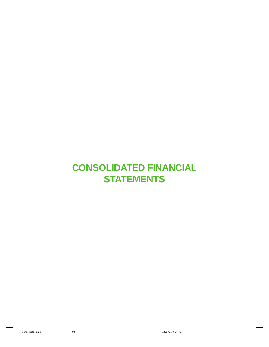# **CONSOLIDATED FINANCIAL STATEMENTS**

 $\begin{array}{c} \perp \\ \perp \\ \perp \end{array}$ 

 $\perp$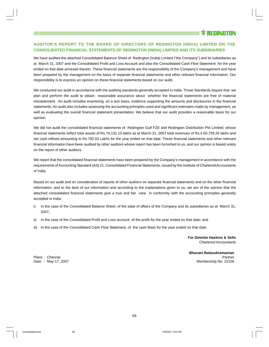### **AUDITOR'S REPORT TO THE BOARD OF DIRECTORS OF REDINGTON (INDIA) LIMITED ON THE CONSOLIDATED FINANCIAL STATEMENTS OF REDINGTON (INDIA) LIMITED AND ITS SUBSIDIARIES**

We have audited the attached Consolidated Balance Sheet of Redington (India) Limited ("the Company") and its subsidiaries as at March 31, 2007 and the Consolidated Profit and Loss Account and also the Consolidated Cash Flow Statement for the year ended on that date annexed thereto. These financial statements are the responsibility of the Company's management and have been prepared by the management on the basis of separate financial statements and other relevant financial information. Our responsibility is to express an opinion on these financial statements based on our audit.

We conducted our audit in accordance with the auditing standards generally accepted in India. Those Standards require that we plan and perform the audit to obtain reasonable assurance about whether the financial statements are free of material misstatement. An audit includes examining, on a test basis, evidence supporting the amounts and disclosures in the financial statements. An audit also includes assessing the accounting principles used and significant estimates made by management, as well as evaluating the overall financial statement presentation. We believe that our audit provides a reasonable basis for our opinion.

We did not audit the consolidated financial statements of Redington Gulf FZE and Redington Distribution Pte Limited, whose financial statements reflect total assets of Rs.74,131.15 lakhs as at March 31, 2007 total revenues of Rs.4,50,759.26 lakhs and net cash inflows amounting to Rs.792.03 Lakhs for the year ended on that date. These financial statements and other relevant financial information have been audited by other auditors whose report has been furnished to us, and our opinion is based solely on the report of other auditors.

We report that the consolidated financial statements have been prepared by the Company's management in accordance with the requirements of Accounting Standard (AS) 21, Consolidated Financial Statements, issued by the Institute of Chartered Accountants of India.

Based on our audit and on consideration of reports of other auditors on separate financial statements and on the other financial information, and to the best of our information and according to the explanations given to us, we are of the opinion that the attached consolidated financial statements give a true and fair view in conformity with the accounting principles generally accepted in India:

- i) in the case of the Consolidated Balance Sheet, of the state of affairs of the Company and its subsidiaries as at March 31, 2007;
- ii) in the case of the Consolidated Profit and Loss account, of the profit for the year ended on that date; and
- iii) in the case of the Consolidated Cash Flow Statement, of the cash flows for the year ended on that date.

**For Deloitte Haskins & Sells** Chartered Accountants

**Bhavani Balasubramanian** Place : Chennai Partner et al. 2009 et al. 2009 et al. 2009 et al. 2009 et al. 2009 et al. 2009 et al. 2009 et al. 2009 et al. 2009 et al. 2009 et al. 2009 et al. 2009 et al. 2009 et al. 2009 et al. 2009 et al. 2009 et al. Date : May 17, 2007 Membership No. 22156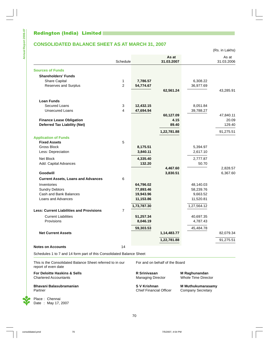# Redington (India) Limited

**Annual Report 2006-07**

Annual Report 2006-07

 $\begin{array}{c} \end{array}$ 

L

# **CONSOLIDATED BALANCE SHEET AS AT MARCH 31, 2007**

(Rs. in Lakhs)

 $\perp$ 

|                                                 | Schedule       |                      | As at<br>31.03.2007  |                      | As at<br>31.03.2006  |
|-------------------------------------------------|----------------|----------------------|----------------------|----------------------|----------------------|
| <b>Sources of Funds</b>                         |                |                      |                      |                      |                      |
| <b>Shareholders' Funds</b>                      |                |                      |                      |                      |                      |
| <b>Share Capital</b>                            | $\mathbf{1}$   | 7,786.57             |                      | 6,308.22             |                      |
| Reserves and Surplus                            | $\overline{2}$ | 54,774.67            |                      | 36,977.69            |                      |
|                                                 |                |                      | 62,561.24            |                      | 43,285.91            |
| <b>Loan Funds</b>                               |                |                      |                      |                      |                      |
| Secured Loans                                   | 3              | 12,432.15            |                      | 8,051.84             |                      |
| <b>Unsecured Loans</b>                          | $\overline{4}$ | 47,694.94            |                      | 39,788.27            |                      |
|                                                 |                |                      | 60,127.09            |                      | 47,840.11            |
| <b>Finance Lease Obligation</b>                 |                |                      | 4.15                 |                      | 20.09                |
| <b>Deferred Tax Liability (Net)</b>             |                |                      | 89.40                |                      | 129.40               |
|                                                 |                |                      | 1,22,781.88          |                      | 91,275.51            |
| <b>Application of Funds</b>                     |                |                      |                      |                      |                      |
| <b>Fixed Assets</b><br>Gross Block              | 5              |                      |                      |                      |                      |
| Less: Depreciation                              |                | 8,175.51<br>3,840.11 |                      | 5,394.97<br>2,617.10 |                      |
|                                                 |                |                      |                      |                      |                      |
| Net Block                                       |                | 4,335.40             |                      | 2,777.87             |                      |
| Add: Capital Advances                           |                | 132.20               |                      | 50.70                |                      |
| Goodwill                                        |                |                      | 4,467.60<br>3,830.51 |                      | 2,828.57<br>6,367.60 |
| <b>Current Assets, Loans and Advances</b>       | 6              |                      |                      |                      |                      |
| Inventories                                     |                | 64,796.02            |                      | 48,140.03            |                      |
| <b>Sundry Debtors</b>                           |                | 77,893.46            |                      | 58,239.76            |                      |
| Cash and Bank Balances                          |                | 19,943.96            |                      | 9,663.52             |                      |
| Loans and Advances                              |                | 11,153.86            |                      | 11,520.81            |                      |
|                                                 |                | 1,73,787.30          |                      | 1,27,564.12          |                      |
| <b>Less: Current Liabilities and Provisions</b> | $\overline{7}$ |                      |                      |                      |                      |
| <b>Current Liabilities</b>                      |                | 51,257.34            |                      | 40,697.35            |                      |
| Provisions                                      |                | 8,046.19             |                      | 4,787.43             |                      |
|                                                 |                | 59,303.53            |                      | 45,484.78            |                      |
| <b>Net Current Assets</b>                       |                |                      | 1,14,483.77          |                      | 82,079.34            |
|                                                 |                |                      | 1,22,781.88          |                      | 91,275.51            |
| <b>Notes on Accounts</b>                        | 14             |                      |                      |                      |                      |

Schedules 1 to 7 and 14 form part of this Consolidated Balance Sheet

This is the Consolidated Balance Sheet referred to in our For and on behalf of the Board report of even date

**For Deloitte Haskins & Sells**<br>
Chartered Accountants<br>
Chartered Accountants<br>
Chartered Accountants<br>
Chartered Accountants Chartered Accountants

**Bhavani Balasubramanian S V Krishnan M Muthukumarasamy**<br>Partner Company Secretary<br>Chief Financial Officer Company Secretary

Place : Chennai Date : May 17, 2007

**Chief Financial Officer** 

 $\mathbb{I}$ 

70

 $\mathbb{L}$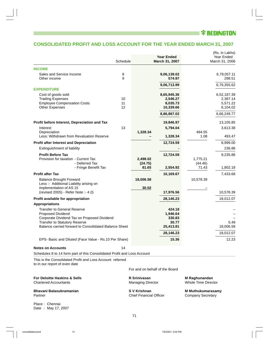# I <sup>*<b>* REDINGTON</sup>

 $\perp$ 

 $\vert \vert$ 

# **CONSOLIDATED PROFIT AND LOSS ACCOUNT FOR THE YEAR ENDED MARCH 31, 2007**

|                                                                                            | Schedule |                                                | <b>Year Ended</b><br>March 31, 2007 |                                                      | (Rs. in Lakhs)<br>Year Ended<br>March 31, 2006 |
|--------------------------------------------------------------------------------------------|----------|------------------------------------------------|-------------------------------------|------------------------------------------------------|------------------------------------------------|
| <b>INCOME</b>                                                                              |          |                                                |                                     |                                                      |                                                |
| Sales and Service Income<br>Other income                                                   | 8<br>9   |                                                | 9,06,139.02<br>574.97               |                                                      | 6,79,057.11<br>298.51                          |
|                                                                                            |          |                                                | 9,06,713.99                         |                                                      | 6,79,355.62                                    |
| <b>EXPENDITURE</b>                                                                         |          |                                                |                                     |                                                      |                                                |
| Cost of goods sold<br><b>Trading Expenses</b>                                              | 10       |                                                | 8,65,945.36<br>2,546.27             |                                                      | 6,52,187.39<br>2,387.14                        |
| <b>Employee Compensation Costs</b>                                                         | 11       |                                                | 8,035.73                            |                                                      | 5,571.22                                       |
| <b>Other Expenses</b>                                                                      | 12       |                                                | 10,339.66                           |                                                      | 6,104.02                                       |
|                                                                                            |          |                                                | 8,86,867.02                         |                                                      | 6,66,249.77                                    |
| Profit before Interest, Depreciation and Tax                                               |          |                                                | 19,846.97                           |                                                      | 13,105.85                                      |
| Interest                                                                                   | 13       |                                                | 5,794.04                            |                                                      | 3,613.38                                       |
| Depreciation<br>Less: Withdrawn from Revaluation Reserve                                   |          | 1,328.34                                       | 1,328.34                            | 494.55<br>1.08                                       | 493.47                                         |
| <b>Profit after Interest and Depreciation</b>                                              |          |                                                | 12,724.59                           |                                                      | 8,999.00                                       |
| Extinguishment of liability                                                                |          |                                                |                                     |                                                      | 236.86                                         |
| <b>Profit Before Tax</b>                                                                   |          |                                                | 12,724.59                           |                                                      | 9,235.86                                       |
| Provision for taxation - Current Tax                                                       |          | 2,498.02                                       |                                     | 1,775.21                                             |                                                |
| - Deferred Tax                                                                             |          | (24.75)                                        |                                     | (44.46)                                              |                                                |
| - Fringe Benefit Tax                                                                       |          | 81.65                                          | 2,554.92                            | 71.43                                                | 1,802.18                                       |
| <b>Profit after Tax</b>                                                                    |          |                                                | 10,169.67                           |                                                      | 7,433.68                                       |
| <b>Balance Brought Forward</b><br>Less :- Additional Liability arising on                  |          | 18,006.58                                      |                                     | 10,578.39                                            |                                                |
| implementation of AS 15                                                                    |          | 30.02                                          |                                     |                                                      |                                                |
| (revised 2005) - Refer Note :- 4 (I)                                                       |          |                                                | 17,976.56                           |                                                      | 10,578.39                                      |
| Profit available for appropriation                                                         |          |                                                | 28,146.23                           |                                                      | 18,012.07                                      |
| <b>Appropriations</b>                                                                      |          |                                                |                                     |                                                      |                                                |
| <b>Transfer to General Reserve</b>                                                         |          |                                                | 424.18                              |                                                      |                                                |
| Proposed Dividend<br>Corporate Dividend Tax on Proposed Dividend                           |          |                                                | 1,946.64<br>330.83                  |                                                      |                                                |
| <b>Transfer to Statutory Reserve</b>                                                       |          |                                                | 30.77                               |                                                      | 5.49                                           |
| Balance carried forward to Consolidated Balance Sheet                                      |          |                                                | 25,413.81                           |                                                      | 18,006.58                                      |
|                                                                                            |          |                                                | 28,146.23                           |                                                      | 18,012.07                                      |
| EPS- Basic and Diluted (Face Value - Rs.10 Per Share)                                      |          |                                                | 15.36                               |                                                      | 12.23                                          |
| <b>Notes on Accounts</b>                                                                   | 14       |                                                |                                     |                                                      |                                                |
| Schedules 8 to 14 form part of this Consolidated Profit and Loss Account                   |          |                                                |                                     |                                                      |                                                |
| This is the Consolidated Profit and Loss Account referred<br>to in our report of even date |          |                                                |                                     |                                                      |                                                |
|                                                                                            |          |                                                | For and on behalf of the Board      |                                                      |                                                |
| For Deloitte Haskins & Sells<br><b>Chartered Accountants</b>                               |          | R Srinivasan<br><b>Managing Director</b>       |                                     | M Raghunandan<br>Whole Time Director                 |                                                |
| Bhavani Balasubramanian<br>Partner                                                         |          | S V Krishnan<br><b>Chief Financial Officer</b> |                                     | <b>M Muthukumarasamy</b><br><b>Company Secretary</b> |                                                |

 $\begin{array}{c} \perp \\ \perp \\ \vdots \end{array}$ 

Place : Chennai Date : May 17, 2007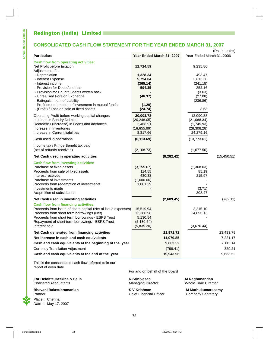**Annual Report 2006-07**

Annual Report 2006-07

 $\begin{array}{c} \end{array}$ 

 $\overline{a}$ 

### **CONSOLIDATED CASH FLOW STATEMENT FOR THE YEAR ENDED MARCH 31, 2007**

| <b>Particulars</b>                                                                                                                                                                                                                                                                                            | Year Ended March 31, 2007                                          | Year Ended March 31, 2006                                                             | (Rs. in Lakhs)     |
|---------------------------------------------------------------------------------------------------------------------------------------------------------------------------------------------------------------------------------------------------------------------------------------------------------------|--------------------------------------------------------------------|---------------------------------------------------------------------------------------|--------------------|
| <b>Cash flow from operating activities:</b><br>Net Profit before taxation<br>Adjustments for:<br>- Depreciation<br>- Interest Expense<br>- Interest income<br>- Provision for Doubtful debts<br>- Provision for Doubtful debts written back<br>- Unrealised Foreign Exchange<br>- Extinguishment of Liability | 12,724.59<br>1,328.34<br>5,794.04<br>(365.14)<br>594.35<br>(46.37) | 9,235.86<br>493.47<br>3,613.38<br>(241.15)<br>252.16<br>(3.03)<br>(27.08)<br>(236.86) |                    |
| - Profit on redemption of investment in mutual funds<br>- (Profit) / Loss on sale of fixed assets                                                                                                                                                                                                             | (1.29)<br>(24.74)                                                  | 3.63                                                                                  |                    |
| Operating Profit before working capital changes<br>Increase in Sundry Debtors<br>Decrease / (Increase) in Loans and advances<br>Increase in Inventories<br>Increase in Current liabilities                                                                                                                    | 20,003.78<br>(20, 248.05)<br>2,468.91<br>(16,655.99)<br>8,317.66   | 13,090.38<br>(21,088.34)<br>(1,745.93)<br>(28, 308.28)<br>24,279.16                   |                    |
| Cash used in operations                                                                                                                                                                                                                                                                                       | (6, 113.69)                                                        | (13,773.01)                                                                           |                    |
| Income tax / Fringe Benefit tax paid<br>(net of refunds received)                                                                                                                                                                                                                                             | (2, 168.73)                                                        | (1,677.50)                                                                            |                    |
| Net Cash used in operating activities                                                                                                                                                                                                                                                                         | (8, 282.42)                                                        |                                                                                       | (15, 450.51)       |
| <b>Cash flow from investing activities:</b><br>Purchase of fixed assets<br>Proceeds from sale of fixed assets<br>Interest received<br>Purchase of investments<br>Proceeds from redemption of investments<br>Investments made<br>Acquisition of subsidiaries                                                   | (3, 155.67)<br>114.55<br>430.38<br>(1,000.00)<br>1,001.29          | (1,368.03)<br>85.19<br>215.97<br>(3.71)<br>308.47                                     |                    |
| Net Cash used in investing activities                                                                                                                                                                                                                                                                         | (2,609.45)                                                         |                                                                                       | (762.11)           |
| <b>Cash flow from financing activities:</b><br>Proceeds from issue of share capital (Net of issue expenses)<br>Proceeds from short term borrowings (Net)<br>Proceeds from short term borrowings - ESPS Trust<br>Repayment of short term borrowings - ESPS Trust<br>Interest paid                              | 15,519.94<br>12,286.98<br>5,130.54<br>(5, 130.54)<br>(5,835.20)    | 2,215.10<br>24,895.13<br>(3,676.44)                                                   |                    |
| Net Cash generated from financing activities                                                                                                                                                                                                                                                                  | 21,971.72                                                          |                                                                                       | 23,433.79          |
| Net increase in cash and cash equivalents                                                                                                                                                                                                                                                                     | 11,079.85                                                          |                                                                                       | 7,221.17           |
| Cash and cash equivalents at the beginning of the year<br><b>Currency Translation Adjustment</b>                                                                                                                                                                                                              | 9,663.52<br>(799.41)                                               |                                                                                       | 2,113.14<br>329.21 |
| Cash and cash equivalents at the end of the year                                                                                                                                                                                                                                                              | 19,943.96                                                          |                                                                                       | 9,663.52           |

This is the consolidated cash flow referred to in our report of even date

**For Deloitte Haskins & Sells**<br>
Chartered Accountants<br>
Chartered Accountants<br>
Managing Director<br>
Managing Director<br>
Whole Time Director Chartered Accountants

**Bhavani Balasubramanian S V Krishnan S V Krishnan M Muthukumarasamy**<br>Partner Company Secretary Company Secretary Place : Chennai Date : May 17, 2007

For and on behalf of the Board

72

**Chief Financial Officer** 

 $\overline{\phantom{a}}$ 

 $\perp$ 

 $\overline{1}$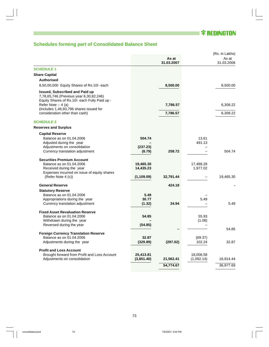■ **\* REDINGTON** 

 $\vert \vert$ 

 $\|$ 

# **Schedules forming part of Consolidated Balance Sheet**

|                                                                                                                                                                                                     |             |            |                 | (Rs. in Lakhs) |
|-----------------------------------------------------------------------------------------------------------------------------------------------------------------------------------------------------|-------------|------------|-----------------|----------------|
|                                                                                                                                                                                                     |             | As at      |                 | As at          |
|                                                                                                                                                                                                     |             | 31.03.2007 |                 | 31.03.2006     |
| <b>SCHEDULE 1</b>                                                                                                                                                                                   |             |            |                 |                |
| <b>Share Capital</b>                                                                                                                                                                                |             |            |                 |                |
| <b>Authorised</b>                                                                                                                                                                                   |             |            |                 |                |
| 8,50,00,000 Equity Shares of Rs.10/- each                                                                                                                                                           |             | 8,500.00   |                 | 8,500.00       |
| <b>Issued, Subscribed and Paid up</b><br>7,78,65,746 (Previous year 6,30,82,246)<br>Equity Shares of Rs.10/- each Fully Paid up -<br>Refer Note :- 4 (a)<br>(includes 1,46,93,796 shares issued for |             | 7,786.57   |                 | 6,308.22       |
| consideration other than cash)                                                                                                                                                                      |             | 7,786.57   |                 | 6,308.22       |
| <b>SCHEDULE 2</b>                                                                                                                                                                                   |             |            |                 |                |
| <b>Reserves and Surplus</b>                                                                                                                                                                         |             |            |                 |                |
| <b>Capital Reserve</b>                                                                                                                                                                              |             |            |                 |                |
| Balance as on 01.04.2006<br>Adjusted during the year                                                                                                                                                | 504.74      |            | 13.61<br>491.13 |                |
| Adjustments on consolidation                                                                                                                                                                        | (237.23)    |            |                 |                |
| Currency translation adjustment                                                                                                                                                                     | (8.79)      | 258.72     |                 | 504.74         |
| <b>Securities Premium Account</b>                                                                                                                                                                   |             |            |                 |                |
| Balance as on 01.04.2006                                                                                                                                                                            | 19,465.30   |            | 17,488.28       |                |
| Received during the year                                                                                                                                                                            | 14,435.23   |            | 1,977.02        |                |
| Expenses incurred on issue of equity shares                                                                                                                                                         |             |            |                 |                |
| (Refer Note 4 (c))                                                                                                                                                                                  | (1, 109.09) | 32,791.44  |                 | 19,465.30      |
| <b>General Reserve</b>                                                                                                                                                                              |             | 424.18     |                 |                |
| <b>Statutory Reserve</b>                                                                                                                                                                            |             |            |                 |                |
| Balance as on 01.04.2006                                                                                                                                                                            | 5.49        |            |                 |                |
| Appropriations during the year                                                                                                                                                                      | 30.77       |            | 5.49            |                |
| Currency translation adjustment                                                                                                                                                                     | (1.32)      | 34.94      |                 | 5.49           |
| <b>Fixed Asset Revaluation Reserve</b>                                                                                                                                                              |             |            |                 |                |
| Balance as on 01.04.2006                                                                                                                                                                            | 54.85       |            | 55.93           |                |
| Withdrawn during the year                                                                                                                                                                           |             |            | (1.08)          |                |
| Reversed during the year                                                                                                                                                                            | (54.85)     |            |                 |                |
|                                                                                                                                                                                                     |             |            |                 | 54.85          |
| <b>Foreign Currency Translation Reserve</b>                                                                                                                                                         |             |            |                 |                |
| Balance as on 01.04.2006                                                                                                                                                                            | 32.87       |            | (69.37)         |                |
| Adjustments during the year                                                                                                                                                                         | (329.89)    | (297.02)   | 102.24          | 32.87          |
| <b>Profit and Loss Account</b>                                                                                                                                                                      |             |            |                 |                |
| Brought forward from Profit and Loss Account                                                                                                                                                        | 25,413.81   |            | 18,006.58       |                |
| Adjustments on consolidation                                                                                                                                                                        | (3,851.40)  | 21,562.41  | (1,092.14)      | 16,914.44      |
|                                                                                                                                                                                                     |             | 54,774.67  |                 | 36,977.69      |
|                                                                                                                                                                                                     |             |            |                 |                |

L

 $\begin{array}{c} \perp \\ \perp \\ \end{array}$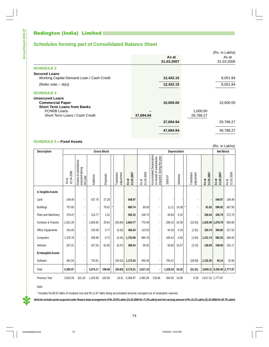# **Schedules forming part of Consolidated Balance Sheet**

|                                                          |           |            |           | (Rs. in Lakhs) |
|----------------------------------------------------------|-----------|------------|-----------|----------------|
|                                                          |           | As at      |           | As at          |
|                                                          |           | 31.03.2007 |           | 31.03.2006     |
| <b>SCHEDULE 3</b>                                        |           |            |           |                |
| <b>Secured Loans</b>                                     |           |            |           |                |
| Working Capital Demand Loan / Cash Credit                |           | 12,432.15  |           | 8,051.84       |
| (Refer note :- $4(e)$ )                                  |           | 12,432.15  |           | 8,051.84       |
| <b>SCHEDULE 4</b>                                        |           |            |           |                |
| <b>Unsecured Loans</b>                                   |           |            |           |                |
| <b>Commercial Paper</b>                                  |           | 10,000.00  |           | 10,000.00      |
| <b>Short Term Loans from Banks</b><br><b>FCNRB Loans</b> |           |            | 1,000.00  |                |
| Short Term Loans / Cash Credit                           | 37,694.94 |            | 28,788.27 |                |
|                                                          |           | 37,694.94  |           | 29,788.27      |
|                                                          |           | 47,694.94  |           | 39,788.27      |
|                                                          |           |            |           |                |

 $\perp$ 

 $\overline{1}$ 

### **SCHEDULE 5 – Fixed Assets**

|                            | (Rs. in Lakhs)      |                                                       |                  |                    |                           |                     |                     |                                                                                      |          |              |                           |                     |                            |                     |
|----------------------------|---------------------|-------------------------------------------------------|------------------|--------------------|---------------------------|---------------------|---------------------|--------------------------------------------------------------------------------------|----------|--------------|---------------------------|---------------------|----------------------------|---------------------|
| <b>Description</b>         |                     |                                                       |                  | <b>Gross Block</b> |                           |                     |                     |                                                                                      |          | Depreciation |                           |                     | <b>Net Block</b>           |                     |
|                            | 01.04.2006<br>As at | Assets of subsidiaries<br>acquired during<br>the year | <b>Additions</b> | Disposals          | adjustment<br>Translation | As at<br>31.03.2007 | As at<br>01.04.2006 | Accumulated Depreciation<br>on assets of subsidiaries<br>during the year<br>acquired | 2006-07  | Deletions    | adjustment<br>Translation | 31.03.2007<br>As at | 31.03.2007<br>As at        | 31.03.2006<br>As at |
| A.Tangible Assets          |                     |                                                       |                  |                    |                           |                     |                     |                                                                                      |          |              |                           |                     |                            |                     |
| Land                       | 148.49              | $\blacksquare$                                        | 427.76           | 27.28              |                           | 548.97              |                     |                                                                                      |          |              |                           |                     | 548.97                     | 148.49              |
| <b>Buildings</b>           | 757.65              |                                                       |                  | 76.91              |                           | 680.74              | 90.09               |                                                                                      | 11.11    | 19.38        |                           | 81.82               | 598.92                     | 667.56              |
| Plant and Machinery        | 379.47              |                                                       | 213.77           | 1.01               |                           | 592.23              | 106.72              |                                                                                      | 49.94    | 0.22         |                           | 156.44              | 435.79                     | 272.75              |
| Furniture & Fixtures       | 1,621.29            | $\blacksquare$                                        | 1,063.92         | 29.64              | (50.80)                   | 2,604.77            | 770.49              | $\blacksquare$                                                                       | 289.42   | 18.39        | (15.53)                   |                     | 1,025.99 1,578.78          | 850.80              |
| Office Equipments          | 341.05              | ÷,                                                    | 120.38           | 0.77               | (4.32)                    | 456.34              | 113.53              | $\blacksquare$                                                                       | 44.18    | 0.16         | (1.81)                    | 155.74              | 300.60                     | 227.52              |
| Computers                  | 1,378.76            | $\blacksquare$                                        | 359.99           | 0.72               | (4.04)                    | 1,733.99            | 984.76              | $\blacksquare$                                                                       | 169.42   | 0.50         | (1.94)                    | 1,151.74            | 582.25                     | 394.00              |
| Vehicles                   | 287.22              | ٠                                                     | 167.54           | 62.65              | (6.07)                    | 386.04              | 96.05               |                                                                                      | 58.86    | 15.67        | (3.15)                    | 136.09              | 249.95                     | 191.17              |
| <b>B.Intangible Assets</b> |                     |                                                       |                  |                    |                           |                     |                     |                                                                                      |          |              |                           |                     |                            |                     |
| Software                   | 481.04              | $\blacksquare$                                        | 720.81           |                    | (29.42)                   | 1,172.43            | 455.46              | $\blacksquare$                                                                       | 705.41   |              | (28.58)                   | 1,132.29            | 40.14                      | 25.58               |
| Total                      | 5,394.97            |                                                       | 3,074.17         | 198.98             | (94.65)                   | 8,175.51            | 2,617.10            | ٠                                                                                    | 1,328.34 | 54.32        | (51.01)                   |                     | 3,840.11 4,335.40 2,777.87 |                     |
| Previous Year              | 3,832.58            | 321.29                                                | 1,325.69         | 102.90             | 18.31                     | 5,394.97            | 1,991.58            | 135.66                                                                               | 494.55   | 14.08        | 9.39                      | 2,617.10 2,777.87   |                            |                     |

Note:

\* Includes Rs.66.52 lakhs of revalued cost and Rs.11.67 lakhs being accumulated amounts recouped out of revaluation reserves

**Vehicles include assets acquired under finance lease arrangement of Rs.19.93 Lakhs (31.03.2006-Rs.71.04 Lakhs) and net carrying amount of Rs.15.15 Lakhs (31.03.2006-Rs.55.70 Lakhs)**

74

 $\begin{array}{c} \end{array}$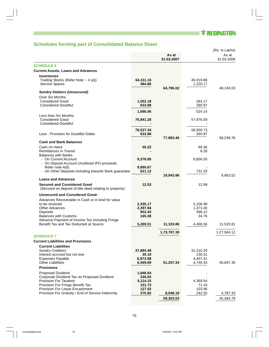■ **\* REDINGTON** 

 $\vert \vert$ 

 $\overline{1}$ 

# **Schedules forming part of Consolidated Balance Sheet**

|                                                                                                                                                                                            |                                                    |                     |                                         | (Rs. in Lakhs)      |
|--------------------------------------------------------------------------------------------------------------------------------------------------------------------------------------------|----------------------------------------------------|---------------------|-----------------------------------------|---------------------|
|                                                                                                                                                                                            |                                                    | As at<br>31.03.2007 |                                         | As at<br>31.03.2006 |
| <b>SCHEDULE 6</b>                                                                                                                                                                          |                                                    |                     |                                         |                     |
| <b>Current Assets, Loans and Advances</b>                                                                                                                                                  |                                                    |                     |                                         |                     |
| <b>Inventories</b><br>Trading Stocks (Refer Note :- 4 (p))<br>Service Spares                                                                                                               | 64,311.16<br>484.86                                |                     | 46,919.86<br>1,220.17                   |                     |
| <b>Sundry Debtors (Unsecured)</b>                                                                                                                                                          |                                                    | 64,796.02           |                                         | 48,140.03           |
| Over Six Months<br><b>Considered Good</b><br><b>Considered Doubtful</b>                                                                                                                    | 1,052.18<br>633.88                                 |                     | 263.17<br>260.97                        |                     |
|                                                                                                                                                                                            | 1,686.06                                           |                     | 524.14                                  |                     |
| Less than Six Months<br><b>Considered Good</b><br><b>Considered Doubtful</b>                                                                                                               | 76,841.28                                          |                     | 57,976.59                               |                     |
| Less: Provision for Doubtful Debts                                                                                                                                                         | 78,527.34<br>633.88                                | 77,893.46           | 58,500.73<br>260.97                     | 58,239.76           |
| <b>Cash and Bank Balances</b>                                                                                                                                                              |                                                    |                     |                                         |                     |
| Cash on Hand<br>Remittances in Transit<br><b>Balances with Banks</b>                                                                                                                       | 55.22                                              |                     | 69.36<br>6.28                           |                     |
| - On Current Account<br>- On Deposit Account Unutilized IPO proceeds                                                                                                                       | 9,376.95                                           |                     | 8,856.55                                |                     |
| Refer note 4(d)<br>- On Other Deposits including towards Bank guarantee                                                                                                                    | 9,890.67<br>621.12                                 | 19,943.96           | 731.33                                  | 9,663.52            |
| <b>Loans and Advances</b>                                                                                                                                                                  |                                                    |                     |                                         |                     |
| <b>Secured and Considered Good</b><br>(Secured on deposit of title deed relating to property)                                                                                              | 12.53                                              |                     | 12.98                                   |                     |
| <b>Unsecured and Considered Good:</b>                                                                                                                                                      |                                                    |                     |                                         |                     |
| Advances Recoverable in Cash or in kind for value<br>to be received<br><b>Other Advances</b><br>Deposits<br><b>Balances with Customs</b><br>Advance Payment of Income Tax including Fringe | 2,335.17<br>2,397.84<br>953.43<br>165.38           |                     | 5,106.99<br>1,373.40<br>496.12<br>34.76 |                     |
| Benefit Tax and Tax Deducted at Source                                                                                                                                                     | 5,289.51                                           | 11,153.86           | 4,496.56                                | 11,520.81           |
|                                                                                                                                                                                            |                                                    | 1,73,787.30         |                                         | 1,27,564.12         |
| <b>SCHEDULE 7</b><br><b>Current Liabilities and Provisions</b>                                                                                                                             |                                                    |                     |                                         |                     |
| <b>Current Liabilities</b><br><b>Sundry Creditors</b>                                                                                                                                      | 37,884.48                                          |                     | 31,310.20                               |                     |
| Interest accrued but not due<br>Expenses Payable<br><b>Other Liabilities</b>                                                                                                               | 30.19<br>6,872.98<br>6,469.69                      | 51,257.34           | 230.31<br>4,407.41<br>4,749.43          | 40,697.35           |
| <b>Provisions</b>                                                                                                                                                                          |                                                    |                     |                                         |                     |
| <b>Proposed Dividend</b><br>Corporate Dividend Tax on Proposed Dividend<br>Provision For Taxation<br>Provision For Fringe Benefit Tax<br>Provision For Leave Encashment                    | 1,946.64<br>330.83<br>5,114.15<br>151.73<br>127.02 |                     | 4,369.54<br>71.43<br>103.96             |                     |
| Provision For Gratuity / End of Service Indemnity                                                                                                                                          | 375.82                                             | 8,046.19            | 242.50                                  | 4,787.43            |
|                                                                                                                                                                                            |                                                    | 59,303.53           |                                         | 45,484.78           |

i,

 $\begin{array}{c} \perp \\ \perp \\ \end{array}$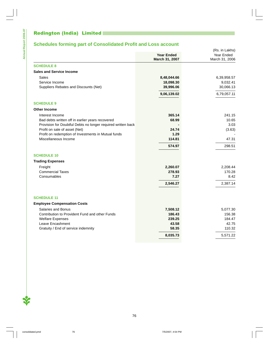# **Schedules forming part of Consolidated Profit and Loss account**

|                                                              | <b>Year Ended</b> | Year Ended     |  |
|--------------------------------------------------------------|-------------------|----------------|--|
|                                                              | March 31, 2007    | March 31, 2006 |  |
| <b>SCHEDULE 8</b>                                            |                   |                |  |
| <b>Sales and Service Income</b>                              |                   |                |  |
| <b>Sales</b>                                                 | 8,48,044.66       | 6,39,958.57    |  |
| Service Income                                               | 18,098.30         | 9,032.41       |  |
| Suppliers Rebates and Discounts (Net)                        | 39,996.06         | 30,066.13      |  |
|                                                              | 9,06,139.02       | 6,79,057.11    |  |
| <b>SCHEDULE 9</b>                                            |                   |                |  |
| <b>Other Income</b>                                          |                   |                |  |
| Interest Income                                              | 365.14            | 241.15         |  |
| Bad debts written off in earlier years recovered             | 68.99             | 10.65          |  |
| Provision for Doubtful Debts no longer required written back |                   | 3.03           |  |
| Profit on sale of asset (Net)                                | 24.74             | (3.63)         |  |
| Profit on redemption of Investments in Mutual funds          | 1.29              |                |  |
| Miscellaneous Income                                         | 114.81            | 47.31          |  |
|                                                              | 574.97            | 298.51         |  |
| <b>SCHEDULE 10</b>                                           |                   |                |  |
| <b>Trading Expenses</b>                                      |                   |                |  |
| Freight                                                      | 2,260.07          | 2,208.44       |  |
| <b>Commercial Taxes</b>                                      | 278.93            | 170.28         |  |
| Consumables                                                  | 7.27              | 8.42           |  |
|                                                              | 2,546.27          | 2,387.14       |  |
|                                                              |                   |                |  |
| <b>SCHEDULE 11</b>                                           |                   |                |  |
| <b>Employee Compensation Costs</b>                           |                   |                |  |
| <b>Salaries and Bonus</b>                                    | 7,508.12          | 5,077.30       |  |
| Contribution to Provident Fund and other Funds               | 186.43            | 156.38         |  |
| <b>Welfare Expenses</b>                                      | 239.25            | 184.47         |  |
| Leave Encashment                                             | 43.58             | 42.75          |  |
| Gratuity / End of service indemnity                          | 58.35             | 110.32         |  |
|                                                              | 8,035.73          | 5,571.22       |  |

 $\begin{array}{c} \perp \\ \perp \\ \vdots \end{array}$ 

 $\overline{1}$ 

76

 $\frac{1}{2}$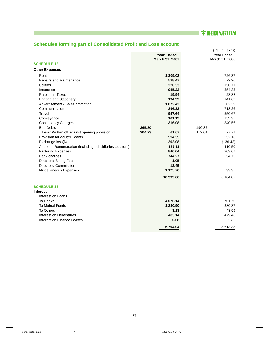

 $\perp$ 

 $\|$ 

# **Schedules forming part of Consolidated Profit and Loss account**

|                                                           |                   | (Rs. in Lakhs)  |
|-----------------------------------------------------------|-------------------|-----------------|
|                                                           | <b>Year Ended</b> | Year Ended      |
|                                                           | March 31, 2007    | March 31, 2006  |
| <b>SCHEDULE 12</b>                                        |                   |                 |
| <b>Other Expenses</b>                                     |                   |                 |
| Rent                                                      | 1,309.02          | 726.37          |
| Repairs and Maintenance                                   | 528.47            | 579.96          |
| <b>Utilities</b>                                          | 220.33            | 150.71          |
| Insurance                                                 | 955.22            | 554.35          |
| Rates and Taxes                                           | 19.94             | 28.88           |
| <b>Printing and Stationery</b>                            | 194.92            | 141.62          |
| Advertisement / Sales promotion                           | 1,072.42          | 502.39          |
| Communication                                             | 896.32            | 713.26          |
| Travel                                                    | 957.64            | 550.67          |
| Conveyance                                                | 161.12            | 152.95          |
| <b>Consultancy Charges</b>                                | 316.08            | 340.56          |
| <b>Bad Debts</b>                                          | 265.80            | 190.35          |
| Less: Written off against opening provision               | 204.73<br>61.07   | 112.64<br>77.71 |
| Provision for doubtful debts                              | 594.35            | 252.16          |
| Exchange loss(Net)                                        | 202.08            | (136.42)        |
| Auditor's Remuneration (including subsidiaries' auditors) | 127.11            | 110.50          |
| <b>Factoring Expenses</b>                                 | 840.04            | 203.67          |
| Bank charges                                              | 744.27            | 554.73          |
| <b>Directors' Sitting Fees</b>                            | 1.05              |                 |
| Directors' Commission                                     | 12.45             |                 |
| Miscellaneous Expenses                                    | 1,125.76          | 599.95          |
|                                                           | 10,339.66         | 6,104.02        |
| <b>SCHEDULE 13</b>                                        |                   |                 |
| <b>Interest</b>                                           |                   |                 |
| Interest on Loans                                         |                   |                 |
| To Banks                                                  | 4,076.14          | 2,701.70        |
| <b>To Mutual Funds</b>                                    | 1,230.90          | 380.87          |
| To Others                                                 | 3.18              | 48.99           |
| Interest on Debentures                                    | 483.14            | 479.46          |
| Interest on Finance Leases                                | 0.68              | 2.36            |
|                                                           | 5,794.04          | 3,613.38        |
|                                                           |                   |                 |

 $\begin{array}{c} \perp \\ \perp \\ \end{array}$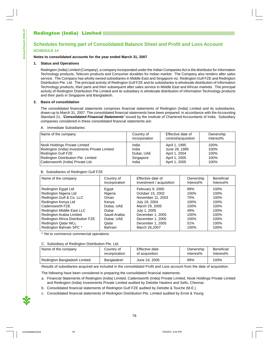### **Schedules forming part of Consolidated Balance Sheet and Profit and Loss Account SCHEDULE 14**

#### **Notes to consolidated accounts for the year ended March 31, 2007**

#### **1. Status and Operations**

Redington (India) Limited (Company), a company incorporated under the Indian Companies Act is the distributor for Information Technology products, Telecom products and Consumer durables for Indian market. The Company also renders after sales service. The Company has wholly owned subsidiaries in Middle East and Singapore viz. Redington Gulf FZE and Redington Distribution Pte. Ltd. The principal activity of Redington Gulf FZE and its subsidiaries is wholesale distribution of Information Technology products, their parts and their subsequent after sales service in Middle East and African markets. The principal activity of Redington Distribution Pte Limited and its subsidiary is wholesale distribution of Information Technology products and their parts in Singapore and Bangladesh.

#### **2. Basis of consolidation**

The consolidated financial statements comprises financial statements of Redington (India) Limited and its subsidiaries, drawn up to March 31, 2007. The consolidated financial statements have been prepared, in accordance with the Accounting Standard 21, "**Consolidated Financial Statements**" issued by the Institute of Chartered Accountants of India. Subsidiary companies considered in these consolidated financial statements are:

#### A. Immediate Subsidiaries

| Name of the company                           | Country of    | Effective date of   | Ownership |
|-----------------------------------------------|---------------|---------------------|-----------|
|                                               | incorporation | control/acquisition | Interest% |
| Nook Holdings Private Limited                 | India         | April 1, 1995       | 100%      |
| Redington (India) Investments Private Limited | India         | June 28, 1995       | 100%      |
| Redington Gulf FZE                            | Dubai, UAE    | April 1, 2004       | 100%      |
| Redington Distribution Pte. Limited           | Singapore     | April 1, 2005       | 100%      |
| Cadensworth (India) Private Ltd.              | India         | April 1, 2005       | 100%      |

#### B. Subsidiaries of Redington Gulf FZE

| Name of the company               | Country of     | Effective date of        | Ownership | <b>Beneficial</b> |
|-----------------------------------|----------------|--------------------------|-----------|-------------------|
|                                   | incorporation  | investment / acquisition | Interest% | Interest%         |
| Redington Egypt Ltd               | Egypt          | February 9, 2000         | 99%       | 100%              |
| Redington Nigeria Ltd             | Nigeria        | October 15, 2002         | 100%      | 100%              |
| Redington Gulf & Co. LLC          | Oman           | November 11, 2003        | 70%       | 100%              |
| Redington Kenya Ltd               | Kenya          | July 19, 2004            | 100%      | 100%              |
| Cadensworth FZE                   | Dubai, UAE     | March 29, 2005           | 100%      | 100%              |
| Redington Middle East LLC         | Dubai          | July 1, 2005             | 49%       | 100%              |
| Redington Arabia Limited          | Saudi Arabia   | December 1, 2005         | 100%      | 100%              |
| Redington Africa Distribution FZE | Dubai, UAE     | December 1, 2005         | 100%      | 100%              |
| <b>Redington Qatar WLL</b>        | Qatar          | December 1, 2005         | 51%       | 100%              |
| Redington Bahrain SPC *           | <b>Bahrain</b> | March 26,2007            | 100%      | 100%              |

\* Yet to commence commercial operations

#### C. Subsidiary of Redington Distribution Pte. Ltd.

| Name of the company          | Country of    | Effective date | Ownership | <b>Beneficial</b> |
|------------------------------|---------------|----------------|-----------|-------------------|
|                              | incorporation | of acquisition | Interest% | Interest%         |
| Redington Bangladesh Limited | Bangladesh    | June 24, 2005  | 99%       | 100%              |

Results of subsidiaries acquired are included in the consolidated Profit and Loss account from the date of acquisition.

78

The following have been considered in preparing the consolidated financial statements:

- a. Financial Statements of Redington (India) Limited, Cadensworth (India) Private Limited, Nook Holdings Private Limited and Redington (India) Investments Private Limited audited by Deloitte Haskins and Sells, Chennai.
- b. Consolidated financial statements of Redington Gulf FZE audited by Deloitte & Touche (M.E.)
- c. Consolidated financial statements of Redington Distribution Pte. Limited audited by Ernst & Young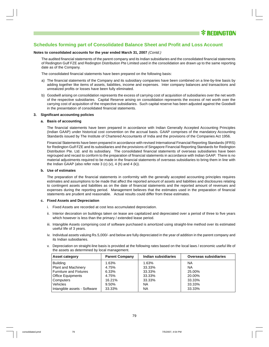#### **Notes to consolidated accounts for the year ended March 31, 2007** (Contd.)

The audited financial statements of the parent company and its Indian subsidiaries and the consolidated financial statements of Redington Gulf FZE and Redington Distribution Pte Limited used in the consolidation are drawn up to the same reporting date as of the Company.

The consolidated financial statements have been prepared on the following basis:

- a) The financial statements of the Company and its subsidiary companies have been combined on a line-by-line basis by adding together like items of assets, liabilities, income and expenses. Inter company balances and transactions and unrealized profits or losses have been fully eliminated.
- b) Goodwill arising on consolidation represents the excess of carrying cost of acquisition of subsidiaries over the net worth of the respective subsidiaries. Capital Reserve arising on consolidation represents the excess of net worth over the carrying cost of acquisition of the respective subsidiaries. Such capital reserve has been adjusted against the Goodwill in the presentation of consolidated financial statements.

#### **3. Significant accounting policies**

#### **a. Basis of accounting**

The financial statements have been prepared in accordance with Indian Generally Accepted Accounting Principles (Indian GAAP) under historical cost convention on the accrual basis. GAAP comprises of the mandatory Accounting Standards issued by The Institute of Chartered Accountants of India and the provisions of the Companies Act 1956.

Financial Statements have been prepared in accordance with revised International Financial Reporting Standards (IFRS) for Redington Gulf FZE and its subsidiaries and the provisions of Singapore Financial Reporting Standards for Redington Distribution Pte. Ltd. and its subsidiary. The consolidated financial statements of overseas subsidiaries have been regrouped and recast to conform to the preparation of financial statements in accordance with Indian GAAP. There is no material adjustments required to be made in the financial statements of overseas subsidiaries to bring them in line with the Indian GAAP (also refer note 3 (c)  $(v)$ , 4 (h) and 4 (k)).

#### **b. Use of estimates**

The preparation of the financial statements in conformity with the generally accepted accounting principles requires estimates and assumptions to be made that affect the reported amount of assets and liabilities and disclosures relating to contingent assets and liabilities as on the date of financial statements and the reported amount of revenues and expenses during the reporting period. Management believes that the estimates used in the preparation of financial statements are prudent and reasonable. Actual results could differ from these estimates.

#### **c. Fixed Assets and Depreciation**

- i. Fixed Assets are recorded at cost less accumulated depreciation.
- ii. Interior decoration on buildings taken on lease are capitalized and depreciated over a period of three to five years which however is less than the primary / extended lease period.
- iii. Intangible Assets comprising cost of software purchased is amortized using straight-line method over its estimated useful life of 3 years.
- iv. Individual assets valuing Rs.5,000/- and below are fully depreciated in the year of addition in the parent company and its Indian subsidiaries.
- v. Depreciation on straight-line basis is provided at the following rates based on the local laws / economic useful life of the assets as determined by local management.

| <b>Asset category</b>         | <b>Parent Company</b> | Indian subsidiaries | <b>Overseas subsidiaries</b> |
|-------------------------------|-----------------------|---------------------|------------------------------|
| <b>Building</b>               | 1.63%                 | 1.63%               | ΝA                           |
| <b>Plant and Machinery</b>    | 4.75%                 | 33.33%              | <b>NA</b>                    |
| <b>Furniture and Fixtures</b> | 6.33%                 | 33.33%              | 25.00%                       |
| <b>Office Equipments</b>      | 4.75%                 | 33.33%              | 20.00%                       |
| <b>Computers</b>              | 16.21%                | 33.33%              | 33.33%                       |
| <b>Vehicles</b>               | 9.50%                 | ΝA                  | 33.33%                       |
| Intangible assets - Software  | 33.33%                | ΝA                  | 33.33%                       |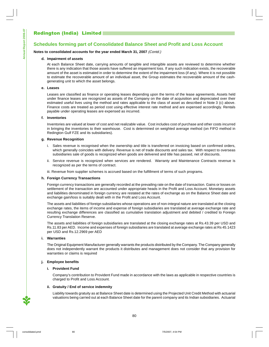### **Schedules forming part of Consolidated Balance Sheet and Profit and Loss Account**

#### **Notes to consolidated accounts for the year ended March 31, 2007** (Contd.)

#### **d. Impairment of assets**

At each Balance Sheet date, carrying amounts of tangible and intangible assets are reviewed to determine whether there is any indication that those assets have suffered an impairment loss. If any such indication exists, the recoverable amount of the asset is estimated in order to determine the extent of the impairment loss (if any). Where it is not possible to estimate the recoverable amount of an individual asset, the Group estimates the recoverable amount of the cashgenerating unit to which the asset belongs.

#### **e. Leases**

Leases are classified as finance or operating leases depending upon the terms of the lease agreements. Assets held under finance leases are recognized as assets of the Company on the date of acquisition and depreciated over their estimated useful lives using the method and rates applicable to the class of asset as described in Note 3 (c) above. Finance costs are treated as period cost using effective interest rate method and are expensed accordingly. Rentals payable under operating leases are expensed as incurred.

#### **f. Inventories**

Inventories are valued at lower of cost and net realizable value. Cost includes cost of purchase and other costs incurred in bringing the inventories to their warehouse. Cost is determined on weighted average method (on FIFO method in Redington Gulf FZE and its subsidiaries).

#### **g. Revenue Recognition**

- i. Sales revenue is recognised when the ownership and title is transferred on invoicing based on confirmed orders, which generally coincides with delivery. Revenue is net of trade discounts and sales tax. With respect to overseas subsidiaries sale of goods is recognized when goods are delivered and title has passed, net of discounts.
- ii. Service revenue is recognized when services are rendered. Warranty and Maintenance Contracts revenue is recognized as per the terms of contract.
- iii. Revenue from supplier schemes is accrued based on the fulfillment of terms of such programs.

#### **h. Foreign Currency Transactions**

Foreign currency transactions are generally recorded at the prevailing rate on the date of transaction. Gains or losses on settlement of the transaction are accounted under appropriate heads in the Profit and Loss Account. Monetary assets and liabilities denominated in foreign currency are restated at the rates of exchange as on the Balance Sheet date and exchange gain/loss is suitably dealt with in the Profit and Loss Account.

The assets and liabilities of foreign subsidiaries whose operations are of non-integral nature are translated at the closing exchange rates, the items of income and expense of foreign subsidiaries are translated at average exchange rate and resulting exchange differences are classified as cumulative translation adjustment and debited / credited to Foreign Currency Translation Reserve.

The assets and liabilities of foreign subsidiaries are translated at the closing exchange rates at Rs.43.39 per USD and Rs.11.83 per AED. Income and expenses of foreign subsidiaries are translated at average exchange rates at Rs 45.1423 per USD and Rs.12.2969 per AED

#### **i. Warranties**

The Original Equipment Manufacturer generally warrants the products distributed by the Company. The Company generally does not independently warrant the products it distributes and management does not consider that any provision for warranties or claims is required

#### **j. Employee benefits**

#### **i. Provident Fund**

Company's contribution to Provident Fund made in accordance with the laws as applicable in respective countries is charged to Profit and Loss Account.

#### **ii. Gratuity / End of service indemnity**

Liability towards gratuity as at Balance Sheet date is determined using the Projected Unit Credit Method with actuarial valuations being carried out at each Balance Sheet date for the parent company and its Indian subsidiaries. Actuarial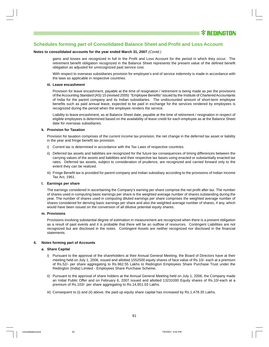#### **Notes to consolidated accounts for the year ended March 31, 2007** (Contd.)

gains and losses are recognized in full in the Profit and Loss Account for the period in which they occur. The retirement benefit obligation recognized in the Balance Sheet represents the present value of the defined benefit obligation as adjusted for unrecognized past service cost.

With respect to overseas subsidiaries provision for employee's end of service indemnity is made in accordance with the laws as applicable in respective countries.

#### **iii. Leave encashment**

Provision for leave encashment, payable at the time of resignation / retirement is being made as per the provisions of the Accounting Standard (AS) 15 (revised 2005) "Employee Benefits" issued by the Institute of Chartered Accountants of India for the parent company and its Indian subsidiaries. The undiscounted amount of short-term employee benefits such as paid annual leave, expected to be paid in exchange for the services rendered by employees is recognized during the period when the employee renders the service.

Liability to leave encashment, as at Balance Sheet date, payable at the time of retirement / resignation in respect of eligible employees is determined based on the availability of leave credit for each employee as at the Balance Sheet date for overseas subsidiaries.

#### **k. Provision for Taxation**

Provision for taxation comprises of the current income tax provision, the net change in the deferred tax asset or liability in the year and fringe benefit tax provision.

- i) Current tax is determined in accordance with the Tax Laws of respective countries.
- ii) Deferred tax assets and liabilities are recognized for the future tax consequences of timing differences between the carrying values of the assets and liabilities and their respective tax bases using enacted or substantially enacted tax rates. Deferred tax assets, subject to consideration of prudence, are recognized and carried forward only to the extent they can be realized.
- iii) Fringe Benefit tax is provided for parent company and Indian subsidiary according to the provisions of Indian Income Tax Act, 1961.

#### **l. Earnings per share**

The earnings considered in ascertaining the Company's earning per share comprise the net profit after tax. The number of shares used in computing basic earnings per share is the weighted average number of shares outstanding during the year. The number of shares used in computing diluted earnings per share comprises the weighted average number of shares considered for deriving basic earnings per share and also the weighted average number of shares, if any, which would have been issued on the conversion of all dilutive potential equity shares.

#### **m. Provisions**

Provisions involving substantial degree of estimation in measurement are recognized when there is a present obligation as a result of past events and it is probable that there will be an outflow of resources. Contingent Liabilities are not recognized but are disclosed in the notes. Contingent Assets are neither recognized nor disclosed in the financial statements.

#### **4. Notes forming part of Accounts**

#### **a. Share Capital**

- i) Pursuant to the approval of the shareholders at their Annual General Meeting, the Board of Directors have at their meeting held on July 1, 2006, issued and allotted 1552500 equity shares of face value of Rs.10/- each at a premium of Rs.52/- per share aggregating to Rs.962.55 Lakhs to Redington Employees Share Purchase Trust under the Redington (India) Limited - Employees Share Purchase Scheme.
- ii) Pursuant to the approval of share holders at the Annual General Meeting held on July 1, 2006, the Company made an Initial Public Offer and on February 6, 2007 issued and allotted 13231000 Equity shares of Rs.10/-each at a premium of Rs.103/- per share aggregating to Rs.14,951.03 Lakhs.
- iii) Consequent to (i) and (ii) above, the paid up equity share capital has increased by Rs.1,478.35 Lakhs.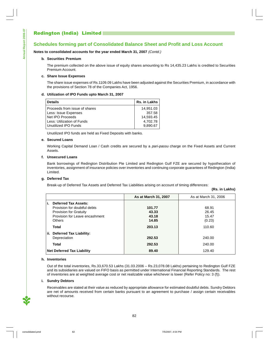## **Schedules forming part of Consolidated Balance Sheet and Profit and Loss Account**

**Notes to consolidated accounts for the year ended March 31, 2007** (Contd.)

#### **b. Securities Premium**

The premium collected on the above issue of equity shares amounting to Rs 14,435.23 Lakhs is credited to Securities Premium Account.

#### **c. Share Issue Expenses**

The share issue expenses of Rs.1109.09 Lakhs have been adjusted against the Securities Premium, in accordance with the provisions of Section 78 of the Companies Act, 1956.

#### **d. Utilization of IPO Funds upto March 31, 2007**

| <b>Details</b>                | Rs. in Lakhs |
|-------------------------------|--------------|
| Proceeds from issue of shares | 14,951.03    |
| Less: Issue Expenses          | 357.58       |
| Net IPO Proceeds              | 14.593.45    |
| Less: Utilization of Funds    | 4,702.78     |
| Unutilized IPO Funds          | 9,890.67     |

Unutilized IPO funds are held as Fixed Deposits with banks.

#### **e. Secured Loans**

Working Capital Demand Loan / Cash credits are secured by a pari-passu charge on the Fixed Assets and Current Assets.

#### **f. Unsecured Loans**

Bank borrowings of Redington Distribution Pte Limited and Redington Gulf FZE are secured by hypothecation of inventories, assignment of insurance policies over inventories and continuing corporate guarantees of Redington (India) Limited.

### **g. Deferred Tax**

Break-up of Deferred Tax Assets and Deferred Tax Liabilities arising on account of timing differences:

|                                       | As at March 31, 2007 | As at March 31, 2006 |
|---------------------------------------|----------------------|----------------------|
| <b>Deferred Tax Assets:</b><br>i.     |                      |                      |
| Provision for doubtful debts          | 101.77               | 68.91                |
| <b>Provision for Gratuity</b>         | 43.33                | 26.45                |
| Provision for Leave encashment        | 43.18                | 15.47                |
| <b>Others</b>                         | 14.85                | (0.23)               |
| <b>Total</b>                          | 203.13               | 110.60               |
| <b>Deferred Tax Liability:</b><br>ii. |                      |                      |
| Depreciation                          | 292.53               | 240.00               |
| <b>Total</b>                          | 292.53               | 240.00               |
| <b>Net Deferred Tax Liability</b>     | 89.40                | 129.40               |

#### **h. Inventories**

Out of the total inventories, Rs.33,670.53 Lakhs (31.03.2006 – Rs.23,078.08 Lakhs) pertaining to Redington Gulf FZE and its subsidiaries are valued on FIFO basis as permitted under International Financial Reporting Standards. The rest of inventories are at weighted average cost or net realizable value whichever is lower (Refer Policy no: 3 (f)).

#### **i. Sundry Debtors**

Receivables are stated at their value as reduced by appropriate allowance for estimated doubtful debts. Sundry Debtors are net of amounts received from certain banks pursuant to an agreement to purchase / assign certain receivables without recourse.

82

**(Rs. in Lakhs)**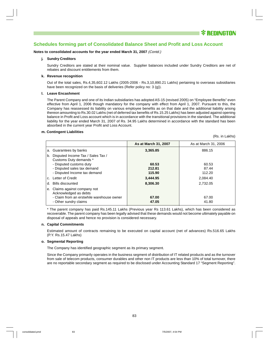**Notes to consolidated accounts for the year ended March 31, 2007** (Contd.)

#### **j. Sundry Creditors**

Sundry Creditors are stated at their nominal value. Supplier balances included under Sundry Creditors are net of rebates and discount entitlements from them.

#### **k. Revenue recognition**

Out of the total sales, Rs.4,35,602.12 Lakhs (2005-2006 - Rs.3,10,890.21 Lakhs) pertaining to overseas subsidiaries have been recognized on the basis of deliveries (Refer policy no: 3 (g)).

#### **l. Leave Encashment**

The Parent Company and one of its Indian subsidiaries has adopted AS-15 (revised 2005) on "Employee Benefits" even effective from April 1, 2006 though mandatory for the company with effect from April 1, 2007. Pursuant to this, the Company has reassessed its liability on various employee benefits as on that date and the additional liability arising thereon amounting to Rs.30.02 Lakhs (net of deferred tax benefits of Rs.15.25 Lakhs) has been adjusted against opening balance in Profit and Loss account which is in accordance with the transitional provisions in the standard. The additional liability for the year ended March 31, 2007 of Rs. 34.95 Lakhs determined in accordance with the standard has been absorbed in the current year Profit and Loss Account.

#### **m. Contingent Liabilities**

|  |  | (Rs. in Lakhs) |  |
|--|--|----------------|--|
|--|--|----------------|--|

|                                                                   | As at March 31, 2007 | As at March 31, 2006 |
|-------------------------------------------------------------------|----------------------|----------------------|
| a. Guarantees by banks                                            | 3,365.85             | 886.15               |
| Disputed Income Tax / Sales Tax /<br>b.<br>Customs Duty demands * |                      |                      |
| - Disputed customs duty                                           | 60.53                | 60.53                |
| - Disputed sales tax demand                                       | 212.81               | 87.44                |
| - Disputed Income tax demand                                      | 115.90               | 112.20               |
| c. Letter of Credit                                               | 3,444.95             | 2,084.40             |
| Bills discounted<br>d.                                            | 8,306.30             | 2,732.05             |
| e. Claims against company not<br>Acknowledged as debts            |                      |                      |
| - Claim from an erstwhile warehouse owner                         | 67.00                | 67.00                |
| - Other sundry claims                                             | 47.05                | 41.80                |

\* The parent company has paid Rs.145.11 Lakhs (Previous year Rs 113.61 Lakhs), which has been considered as recoverable. The parent company has been legally advised that these demands would not become ultimately payable on disposal of appeals and hence no provision is considered necessary.

#### **n. Capital Commitments**

Estimated amount of contracts remaining to be executed on capital account (net of advances) Rs.516.65 Lakhs (P.Y. Rs.15.47 Lakhs)

#### **o. Segmental Reporting**

The Company has identified geographic segment as its primary segment.

Since the Company primarily operates in the business segment of distribution of IT related products and as the turnover from sale of telecom products, consumer durables and other non IT products are less than 10% of total turnover, there are no reportable secondary segment as required to be disclosed under Accounting Standard 17 "Segment Reporting".

83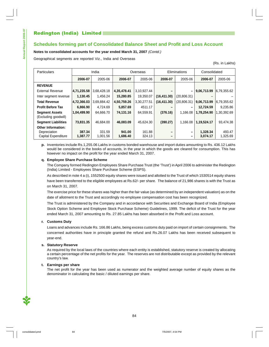#### **Notes to consolidated accounts for the year ended March 31, 2007** (Contd.)

Geographical segments are reported Viz., India and Overseas

(Rs. in Lakhs)

| Particulars                |                    | India<br>Overseas |                    |             | Eliminations |              | Consolidated |             |
|----------------------------|--------------------|-------------------|--------------------|-------------|--------------|--------------|--------------|-------------|
|                            | 2005-06<br>2006-07 |                   | 2005-06<br>2006-07 |             | 2006-07      | 2005-06      | 2006-07      | 2005-06     |
| <b>REVENUE</b>             |                    |                   |                    |             |              |              |              |             |
| <b>External Revenue</b>    | 4,71,235.58        | 3,68,428.18       | 4,35,478.41        | 3,10,927.44 |              | -            | 9,06,713.99  | 6,79,355.62 |
| Inter segment revenue      | 1,130.45           | 1.456.24          | 15,280.85          | 19.350.07   | (16, 411.30) | (20, 806.31) |              |             |
| <b>Total Revenue</b>       | 4,72,366.03        | 3,69,884.42       | 4,50,759.26        | 3,30,277.51 | (16, 411.30) | (20, 806.31) | 9,06,713.99  | 6.79.355.62 |
| <b>Profit Before Tax</b>   | 6.866.90           | 4.724.69          | 5,857.69           | 4511.17     |              | -            | 12.724.59    | 9.235.86    |
| <b>Segment Assets</b>      | 1,04,499.90        | 64,666.70         | 74,131.16          | 64,559.91   | (376.16)     | 1.166.08     | 1,78,254.90  | 1,30,392.69 |
| (Excluding goodwill)       |                    |                   |                    |             |              |              |              |             |
| <b>Segment Liabilities</b> | 73,831.35          | 46.684.00         | 46,083.09          | 45.624.30   | (390.27)     | 1,166.08     | 1,19,524.17  | 93,474.38   |
| <b>Other Information:</b>  |                    |                   |                    |             |              |              |              |             |
| Depreciation               | 387.34             | 331.59            | 941.00             | 161.88      |              | -            | 1,328.34     | 493.47      |
| Capital Expenditure        | 1,387.77           | 1,001.56          | 1,686.40           | 324.13      |              | -            | 3,074.17     | 1,325.69    |

**p.** Inventories include Rs.1,255.06 Lakhs in customs bonded warehouse and import duties amounting to Rs. 436.12 Lakhs would be considered in the books of accounts, in the year in which the goods are cleared for consumption. This has however no impact on the profit for the year ended March 31, 2007.

#### **q. Employee Share Purchase Scheme**

The Company formed Redington Employees Share Purchase Trust (the 'Trust') in April 2006 to administer the Redington (India) Limited - Employees Share Purchase Scheme (ESPS).

As described in note 4 a (i), 1552500 equity shares were issued and allotted to the Trust of which 1530514 equity shares have been transferred to the eligible employees at Rs.62/- per share. The balance of 21,986 shares is with the Trust as on March 31, 2007.

The exercise price for these shares was higher than the fair value (as determined by an independent valuation) as on the date of allotment to the Trust and accordingly no employee compensation cost has been recognized.

The Trust is administered by the Company and in accordance with Securities and Exchange Board of India (Employee Stock Option Scheme and Employee Stock Purchase Scheme) Guidelines, 1999. The deficit of the Trust for the year ended March 31, 2007 amounting to Rs. 27.85 Lakhs has been absorbed in the Profit and Loss account.

#### **r. Customs Duty**

Loans and advances include Rs. 166.86 Lakhs, being excess customs duty paid on import of certain consignments. The concerned authorities have in principle granted the refund and Rs.26.07 Lakhs has been received subsequent to year-end.

#### **s. Statutory Reserve**

As required by the local laws of the countries where each entity is established, statutory reserve is created by allocating a certain percentage of the net profits for the year. The reserves are not distributable except as provided by the relevant country's law.

#### **t. Earnings per share**

The net profit for the year has been used as numerator and the weighted average number of equity shares as the denominator in calculating the basic / diluted earnings per share.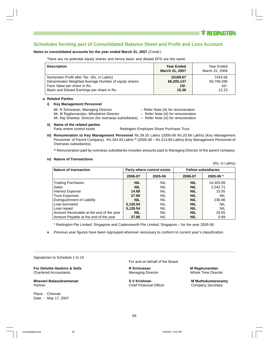(Rs. in Lakhs)

### **Schedules forming part of Consolidated Balance Sheet and Profit and Loss Account**

#### **Notes to consolidated accounts for the year ended March 31, 2007** (Contd.)

There are no potential equity shares and hence basic and diluted EPS are the same.

| <b>Description</b>                                   | <b>Year Ended</b><br><b>March 31, 2007</b> | Year Ended<br>March 31, 2006 |
|------------------------------------------------------|--------------------------------------------|------------------------------|
| Numerator-Profit after Tax (Rs. in Lakhs)            | 10169.67                                   | 7433.68                      |
| Denominator-Weighted Average Number of equity shares | 66,205,147                                 | 60,799,286                   |
| Face Value per share in Rs.                          | $10/-$                                     | $10/-$                       |
| Basic and Diluted Earnings per share in Rs.          | 15.36                                      | 12.23                        |

#### **u. Related Parties**

#### **i) Key Management Personnel**

- Mr. R Srinivasan, Managing Director Fefer Note (iii) for remuneration
- Mr. M Raghunandan, Wholetime Director Refer Note (iii) for remuneration.
	-
- 

Mr. Raj Shankar, Director (for overseas subsidiaries) – Refer Note (iii) for remuneration

**ii) Name of the related parties**

Party where control exists Redington Employee Share Purchase Trust

**iii) Remuneration to Key Management Personnel** Rs.39.25 Lakhs (2005-06 Rs.20.69 Lakhs) (Key Management Personnel of Parent Company). Rs.344.93 Lakhs @ (2005-06 - Rs.213.89 Lakhs) (Key Management Personnel of Overseas subsidiaries).

@ Remuneration paid by overseas subsidiaries includes amounts paid to Managing Director of the parent company.

#### **iv) Nature of Transactions**

Nature of transaction **Party where control exists Fellow subsidiaries Party where control exists Fellow subsidiaries 2006-07 2005-06 2006-07 2005-06 \*** Trading Purchases **NIL** NIL **NIL** 16,303.08 Sales **NIL** NIL **NIL** 2,042.71 **Interest Expense 14.68** NIL **NIL** 15.05 Trust Expenses **27.85** NIL NIL NIL NIL NIL Extinguishment of Liability **NIL NIL NIL NIL NIL** 236.86 Loan borrowed **5,130.54** NIL **NIL** NIL Loan repaid **120.54 12.54 12.54 12.54 NIL NIL NIL NIL** Amount Receivable at the end of the year **NIL NIL** NIL **NIL NIL** 29.55 Amount Payable at the end of the year **27.85** NIL **NIL NIL** 0.89

\* Redington Pte Limited, Singapore and Cadensworth Pte Limited, Singapore – for the year 2005-06.

**v**. Previous year figures have been regrouped wherever necessary to conform to current year's classification.

Signatories to Schedule 1 to 14

**For Deloitte Haskins & Sells R Srinivasan M Raghunandan** Chartered Accountants Managing Director Whole Time Director

**Bhavani Balasubramanian 1988 S V Krishnan Nikala S V Krishnan** M Muthukumarasamy<br>Partner Company Secretary Partner **Chief Financial Officer** Company Secretary Company Secretary

Place : Chennai Date : May 17, 2007 For and on behalf of the Board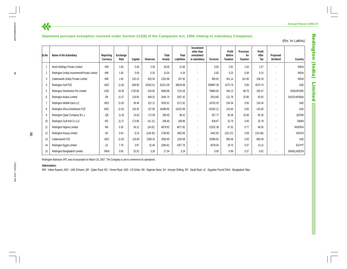### **Statement pursuant exemption received under Section 212(8) of the Companies Act, 1956 relating to subsidiary Companies**

|                | Statement pursuant exemption received under Section 212(8) of the Companies Act, 1956 relating to subsidiary Companies |                       |                  |         |          |                 |                             |                                                         |                 |                                     |                                     |                        |                             | (Rs. In Lakhs)    |
|----------------|------------------------------------------------------------------------------------------------------------------------|-----------------------|------------------|---------|----------|-----------------|-----------------------------|---------------------------------------------------------|-----------------|-------------------------------------|-------------------------------------|------------------------|-----------------------------|-------------------|
| Sr.No          | Name of the Subsidiary                                                                                                 | Reporting<br>Currency | Exchange<br>Rate | Capital | Reserves | Total<br>Assets | <b>Total</b><br>Liabilities | Investment<br>other than<br>investment<br>in subsidiary | <b>Turnover</b> | Profit<br><b>Before</b><br>Taxation | Provision<br>for<br><b>Taxation</b> | Profit<br>After<br>Tax | Proposed<br><b>Dividend</b> | Country           |
|                | Nook Holdings Private Limited                                                                                          | <b>INR</b>            | 1.00             | 5.00    | 3.39     | 30.05           | 21.66                       | $\blacksquare$                                          | 0.00            | 2.61                                | 1.04                                | 1.57                   |                             | <b>INDIA</b>      |
| $\overline{2}$ | Redington (India) InvestmentsPrivate Limited                                                                           | <b>INR</b>            | 1.00             | 5.00    | 5.20     | 10.54           | 0.34                        | $\blacksquare$                                          | 0.83            | 0.23                                | 0.08                                | 0.15                   |                             | <b>INDIA</b>      |
| 3              | Cadenswoth (India) Private Limited                                                                                     | <b>INR</b>            | 1.00             | 130.13  | 825.33   | 1252.96         | 297.50                      | $\blacksquare$                                          | 590.92          | 301.14                              | 101.95                              | 199.19                 |                             | <b>INDIA</b>      |
|                | Redington Gulf FZE                                                                                                     | AED                   | 11.83            | 949.60  | 22052.51 | 61521.09        | 38518.98                    | $\blacksquare$                                          | 358987.39       | 4373.74                             | 0.00                                | 4373.74                |                             | <b>UAE</b>        |
| 5              | Redington Distribution Pte Limited                                                                                     | <b>USD</b>            | 43.39            | 1735.60 | 618.92   | 9469.88         | 7115.36                     | $\blacksquare$                                          | 78660.93        | 345.13                              | 88.76                               | 256.37                 |                             | SINGAPORE         |
| 6              | Redington Arabia Limited                                                                                               | <b>SR</b>             | 11.57            | 119.00  | 469.32   | 1645.74         | 1057.42                     | $\blacksquare$                                          | 2914.80         | 121.78                              | 25.86                               | 95.92                  | $\blacksquare$              | SAUDI ARABIA      |
|                | Redington Middle East LLC                                                                                              | AED                   | 11.83            | 36.48   | 312.12   | 3520.52         | 3171.92                     | $\blacksquare$                                          | 24762.03        | 154.34                              | 0.00                                | 154.34                 | $\blacksquare$              | <b>UAE</b>        |
| 8              | Redington Africa Distribution FZE                                                                                      | AED                   | 11.83            | 118.30  | 137.56   | 16488.85        | 16232.99                    | $\blacksquare$                                          | 62262.12        | 143.00                              | 0.00                                | 143.00                 |                             | <b>UAE</b>        |
| 9              | Redington Qatar Company W.L.L                                                                                          | QR                    | 11.92            | 24.52   | 171.99   | 286.92          | 90.41                       | $\sim$                                                  | 817.77          | 95.36                               | 10.06                               | 85.30                  |                             | QATAR             |
|                | Redington Gulf And Co LLC                                                                                              | R <sub>O</sub>        | 11.27            | 173.85  | (41.11)  | 299.60          | 166.86                      | $\blacksquare$                                          | 829.67          | 32.79                               | 0.00                                | 32.79                  |                             | <b>OMAN</b>       |
| 11             | Redington Nigeria Limited                                                                                              | <b>NN</b>             | 0.35             | 36.12   | (34.02)  | 4679.92         | 4677.82                     | $\blacksquare$                                          | 15252.38        | 47.32                               | 0.77                                | 46.55                  |                             | <b>NIGERIA</b>    |
| 12             | Redington Kenya Limited                                                                                                | <b>SH</b>             | 0.63             | 6.24    | (148.35) | 1760.85         | 1902.96                     | $\blacksquare$                                          | 3442.83         | (151.57)                            | 0.09                                | (151.66)               |                             | <b>KENYA</b>      |
| 13             | Cadensworth FZE                                                                                                        | AED                   | 11.83            | 118.94  | 2369.32  | 3593.95         | 1105.69                     | $\blacksquare$                                          | 10366.82        | 660.46                              | 0.00                                | 660.46                 |                             | UAE               |
| 14             | Redington Egypt Limited                                                                                                | LE                    | 7.78             | 3.97    | 32.46    | 1094.81         | 1057.78                     | $\blacksquare$                                          | 4078.04         | 18.70                               | 5.57                                | 13.13                  |                             | <b>EGYPT</b>      |
| 15             | Redington Bangladesh Limited                                                                                           | <b>TAKA</b>           | 0.65             | 20.52   | 3.28     | 27.04           | 3.24                        | $\blacksquare$                                          | 0.00            | 0.99                                | 0.37                                | 0.62                   | $\blacksquare$              | <b>BANGLADESH</b> |

Redington Baharain SPC was incorporated on March 26, 2007. The Company is yet to commence its operations.

#### **Abbreviation:**

INR - Indian Rupees; AED - UAE Dirhams; QR - Qatari Riyal; RO - Omani Riyal; USD - US Dollar; NN - Nigerian Naira; SH - Kenyan Shilling; SR - Saudi Riyal; LE - Egyptian Pound;TAKA - Bangladesh Taka

7/5/2007, 4:54 PM 86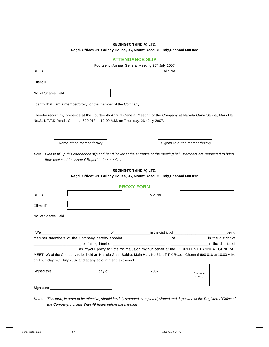### **REDINGTON (INDIA) LTD. Regd. Office:SPL Guindy House, 95, Mount Road, Guindy,Chennai 600 032**

### **ATTENDANCE SLIP**

|                    |                                                                                                                                                                                                                                                                                           | Fourteenth Annual General Meeting 26th July 2007 |                    |
|--------------------|-------------------------------------------------------------------------------------------------------------------------------------------------------------------------------------------------------------------------------------------------------------------------------------------|--------------------------------------------------|--------------------|
| DP ID              |                                                                                                                                                                                                                                                                                           | Folio No.                                        |                    |
| Client ID          |                                                                                                                                                                                                                                                                                           |                                                  |                    |
| No. of Shares Held |                                                                                                                                                                                                                                                                                           |                                                  |                    |
|                    | I certify that I am a member/proxy for the member of the Company.                                                                                                                                                                                                                         |                                                  |                    |
|                    | I hereby record my presence at the Fourteenth Annual General Meeting of the Company at Narada Gana Sabha, Main Hall,<br>No.314, T.T.K Road, Chennai-600 018 at 10.00 A.M. on Thursday, 26 <sup>th</sup> July 2007.                                                                        |                                                  |                    |
|                    | Name of the member/proxy                                                                                                                                                                                                                                                                  | Signature of the member/Proxy                    |                    |
|                    | Note: Please fill up this attendance slip and hand it over at the entrance of the meeting hall. Members are requested to bring<br>their copies of the Annual Report to the meeting.                                                                                                       |                                                  |                    |
|                    | Regd. Office: SPL Guindy House, 95, Mount Road, Guindy, Chennai 600 032                                                                                                                                                                                                                   | <b>REDINGTON (INDIA) LTD.</b>                    |                    |
|                    |                                                                                                                                                                                                                                                                                           | <b>PROXY FORM</b>                                |                    |
| DP ID              |                                                                                                                                                                                                                                                                                           | Folio No.                                        |                    |
| Client ID          |                                                                                                                                                                                                                                                                                           |                                                  |                    |
| No. of Shares Held |                                                                                                                                                                                                                                                                                           |                                                  |                    |
|                    | I/We<br>of                                                                                                                                                                                                                                                                                |                                                  | being              |
|                    | member /members of the Company hereby appoint______________                                                                                                                                                                                                                               | $\Omega$                                         | in the district of |
|                    |                                                                                                                                                                                                                                                                                           |                                                  |                    |
|                    | as my/our proxy to vote for me/us/on my/our behalf at the FOURTEENTH ANNUAL GENERAL<br>MEETING of the Company to be held at Narada Gana Sabha, Main Hall, No.314, T.T.K Road, Chennai-600 018 at 10.00 A.M.<br>on Thursday, 26 <sup>th</sup> July 2007 and at any adjournment (s) thereof |                                                  |                    |
|                    |                                                                                                                                                                                                                                                                                           |                                                  | Revenue<br>stamp   |
| Signature          |                                                                                                                                                                                                                                                                                           |                                                  |                    |

Notes: This form, in order to be effective, should be duly stamped, completed, signed and deposited at the Registered Office of the Company, not less than 48 hours before the meeting